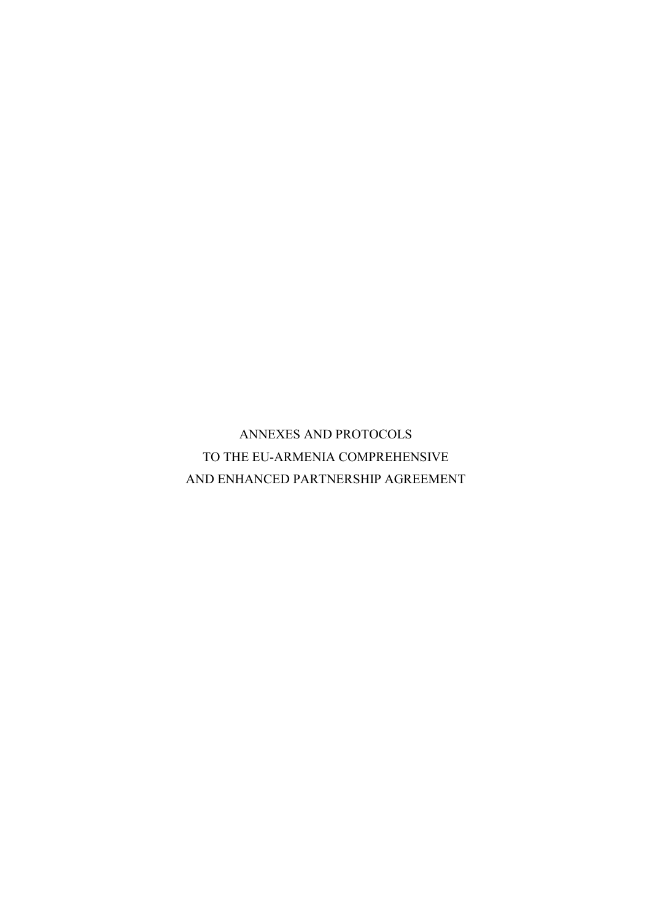ANNEXES AND PROTOCOLS TO THE EU-ARMENIA COMPREHENSIVE AND ENHANCED PARTNERSHIP AGREEMENT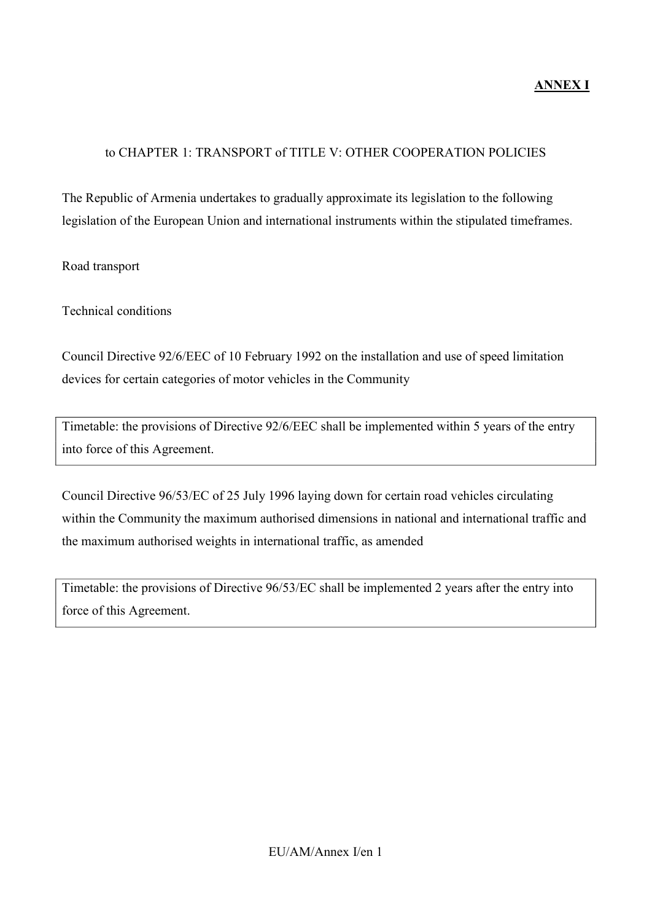## to CHAPTER 1: TRANSPORT of TITLE V: OTHER COOPERATION POLICIES

The Republic of Armenia undertakes to gradually approximate its legislation to the following legislation of the European Union and international instruments within the stipulated timeframes.

Road transport

Technical conditions

Council Directive 92/6/EEC of 10 February 1992 on the installation and use of speed limitation devices for certain categories of motor vehicles in the Community

Timetable: the provisions of Directive 92/6/EEC shall be implemented within 5 years of the entry into force of this Agreement.

Council Directive 96/53/EC of 25 July 1996 laying down for certain road vehicles circulating within the Community the maximum authorised dimensions in national and international traffic and the maximum authorised weights in international traffic, as amended

Timetable: the provisions of Directive 96/53/EC shall be implemented 2 years after the entry into force of this Agreement.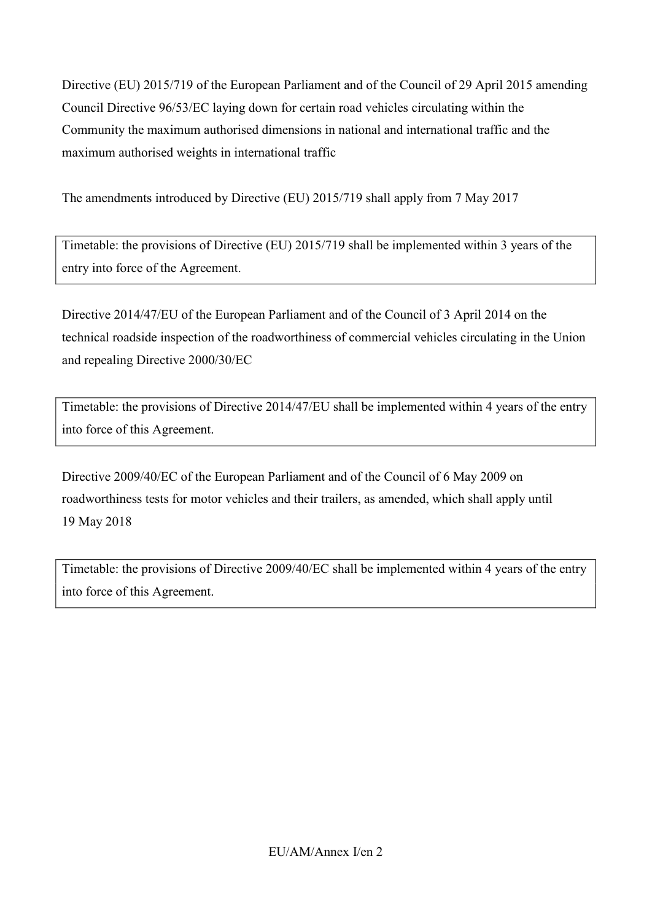Directive (EU) 2015/719 of the European Parliament and of the Council of 29 April 2015 amending Council Directive 96/53/EC laying down for certain road vehicles circulating within the Community the maximum authorised dimensions in national and international traffic and the maximum authorised weights in international traffic

The amendments introduced by Directive (EU) 2015/719 shall apply from 7 May 2017

Timetable: the provisions of Directive (EU) 2015/719 shall be implemented within 3 years of the entry into force of the Agreement.

Directive 2014/47/EU of the European Parliament and of the Council of 3 April 2014 on the technical roadside inspection of the roadworthiness of commercial vehicles circulating in the Union and repealing Directive 2000/30/EC

Timetable: the provisions of Directive 2014/47/EU shall be implemented within 4 years of the entry into force of this Agreement.

Directive 2009/40/EC of the European Parliament and of the Council of 6 May 2009 on roadworthiness tests for motor vehicles and their trailers, as amended, which shall apply until 19 May 2018

Timetable: the provisions of Directive 2009/40/EC shall be implemented within 4 years of the entry into force of this Agreement.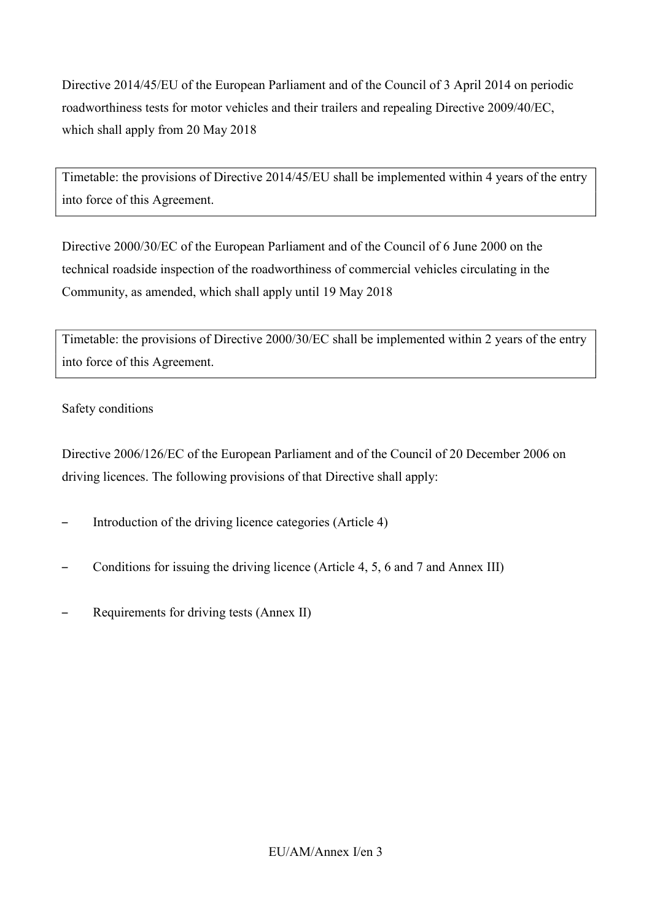Directive 2014/45/EU of the European Parliament and of the Council of 3 April 2014 on periodic roadworthiness tests for motor vehicles and their trailers and repealing Directive 2009/40/EC, which shall apply from 20 May 2018

Timetable: the provisions of Directive 2014/45/EU shall be implemented within 4 years of the entry into force of this Agreement.

Directive 2000/30/EC of the European Parliament and of the Council of 6 June 2000 on the technical roadside inspection of the roadworthiness of commercial vehicles circulating in the Community, as amended, which shall apply until 19 May 2018

Timetable: the provisions of Directive 2000/30/EC shall be implemented within 2 years of the entry into force of this Agreement.

## Safety conditions

Directive 2006/126/EC of the European Parliament and of the Council of 20 December 2006 on driving licences. The following provisions of that Directive shall apply:

- Introduction of the driving licence categories (Article 4)
- Conditions for issuing the driving licence (Article 4, 5, 6 and 7 and Annex III)
- Requirements for driving tests (Annex II)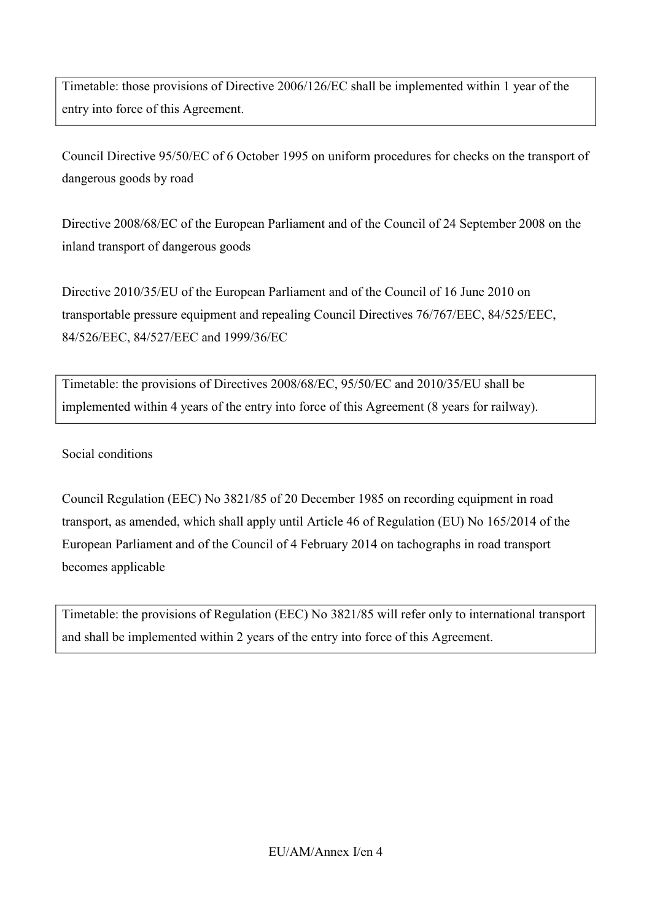Timetable: those provisions of Directive 2006/126/EC shall be implemented within 1 year of the entry into force of this Agreement.

Council Directive 95/50/EC of 6 October 1995 on uniform procedures for checks on the transport of dangerous goods by road

Directive 2008/68/EC of the European Parliament and of the Council of 24 September 2008 on the inland transport of dangerous goods

Directive 2010/35/EU of the European Parliament and of the Council of 16 June 2010 on transportable pressure equipment and repealing Council Directives 76/767/EEC, 84/525/EEC, 84/526/EEC, 84/527/EEC and 1999/36/EC

Timetable: the provisions of Directives 2008/68/EC, 95/50/EC and 2010/35/EU shall be implemented within 4 years of the entry into force of this Agreement (8 years for railway).

Social conditions

Council Regulation (EEC) No 3821/85 of 20 December 1985 on recording equipment in road transport, as amended, which shall apply until Article 46 of Regulation (EU) No 165/2014 of the European Parliament and of the Council of 4 February 2014 on tachographs in road transport becomes applicable

Timetable: the provisions of Regulation (EEC) No 3821/85 will refer only to international transport and shall be implemented within 2 years of the entry into force of this Agreement.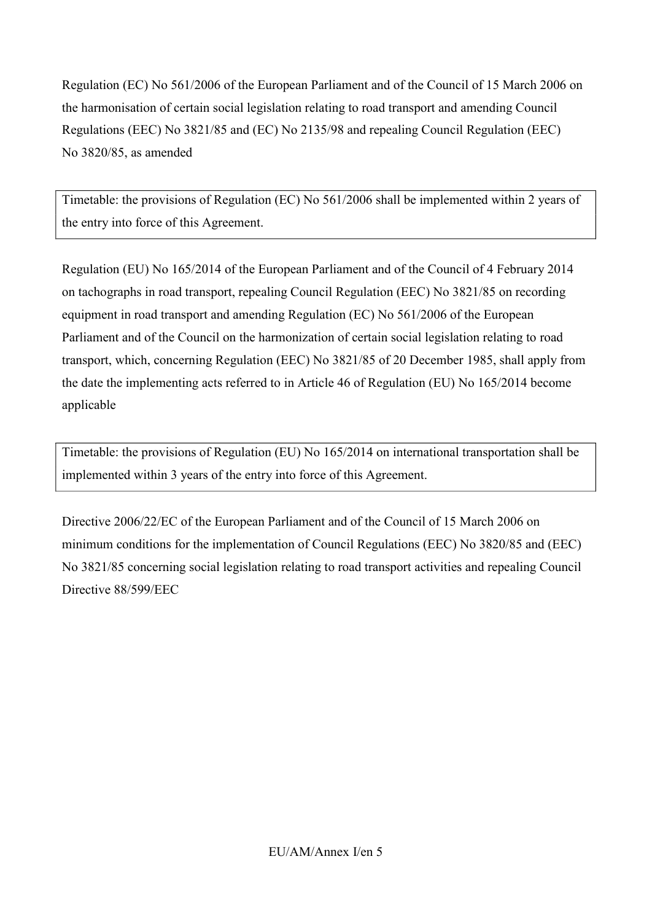Regulation (EC) No 561/2006 of the European Parliament and of the Council of 15 March 2006 on the harmonisation of certain social legislation relating to road transport and amending Council Regulations (EEC) No 3821/85 and (EC) No 2135/98 and repealing Council Regulation (EEC) No 3820/85, as amended

Timetable: the provisions of Regulation (EC) No 561/2006 shall be implemented within 2 years of the entry into force of this Agreement.

Regulation (EU) No 165/2014 of the European Parliament and of the Council of 4 February 2014 on tachographs in road transport, repealing Council Regulation (EEC) No 3821/85 on recording equipment in road transport and amending Regulation (EC) No 561/2006 of the European Parliament and of the Council on the harmonization of certain social legislation relating to road transport, which, concerning Regulation (EEC) No 3821/85 of 20 December 1985, shall apply from the date the implementing acts referred to in Article 46 of Regulation (EU) No 165/2014 become applicable

Timetable: the provisions of Regulation (EU) No 165/2014 on international transportation shall be implemented within 3 years of the entry into force of this Agreement.

Directive 2006/22/EC of the European Parliament and of the Council of 15 March 2006 on minimum conditions for the implementation of Council Regulations (EEC) No 3820/85 and (EEC) No 3821/85 concerning social legislation relating to road transport activities and repealing Council Directive 88/599/EEC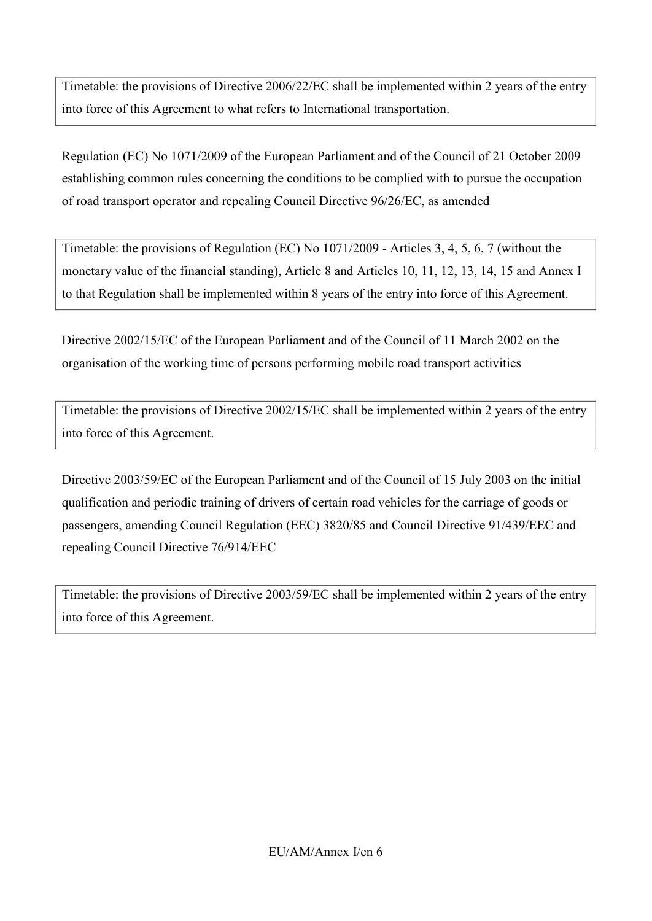Timetable: the provisions of Directive 2006/22/EC shall be implemented within 2 years of the entry into force of this Agreement to what refers to International transportation.

Regulation (EC) No 1071/2009 of the European Parliament and of the Council of 21 October 2009 establishing common rules concerning the conditions to be complied with to pursue the occupation of road transport operator and repealing Council Directive 96/26/EC, as amended

Timetable: the provisions of Regulation (EC) No 1071/2009 - Articles 3, 4, 5, 6, 7 (without the monetary value of the financial standing), Article 8 and Articles 10, 11, 12, 13, 14, 15 and Annex I to that Regulation shall be implemented within 8 years of the entry into force of this Agreement.

Directive 2002/15/EC of the European Parliament and of the Council of 11 March 2002 on the organisation of the working time of persons performing mobile road transport activities

Timetable: the provisions of Directive 2002/15/EC shall be implemented within 2 years of the entry into force of this Agreement.

Directive 2003/59/EC of the European Parliament and of the Council of 15 July 2003 on the initial qualification and periodic training of drivers of certain road vehicles for the carriage of goods or passengers, amending Council Regulation (EEC) 3820/85 and Council Directive 91/439/EEC and repealing Council Directive 76/914/EEC

Timetable: the provisions of Directive 2003/59/EC shall be implemented within 2 years of the entry into force of this Agreement.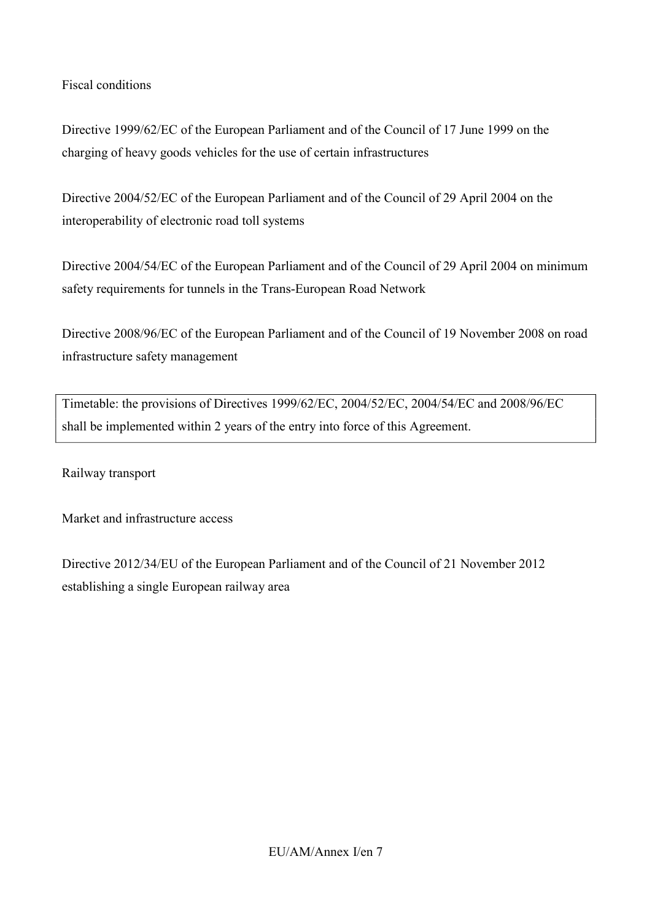## Fiscal conditions

Directive 1999/62/EC of the European Parliament and of the Council of 17 June 1999 on the charging of heavy goods vehicles for the use of certain infrastructures

Directive 2004/52/EC of the European Parliament and of the Council of 29 April 2004 on the interoperability of electronic road toll systems

Directive 2004/54/EC of the European Parliament and of the Council of 29 April 2004 on minimum safety requirements for tunnels in the Trans-European Road Network

Directive 2008/96/EC of the European Parliament and of the Council of 19 November 2008 on road infrastructure safety management

Timetable: the provisions of Directives 1999/62/EC, 2004/52/EC, 2004/54/EC and 2008/96/EC shall be implemented within 2 years of the entry into force of this Agreement.

Railway transport

Market and infrastructure access

Directive 2012/34/EU of the European Parliament and of the Council of 21 November 2012 establishing a single European railway area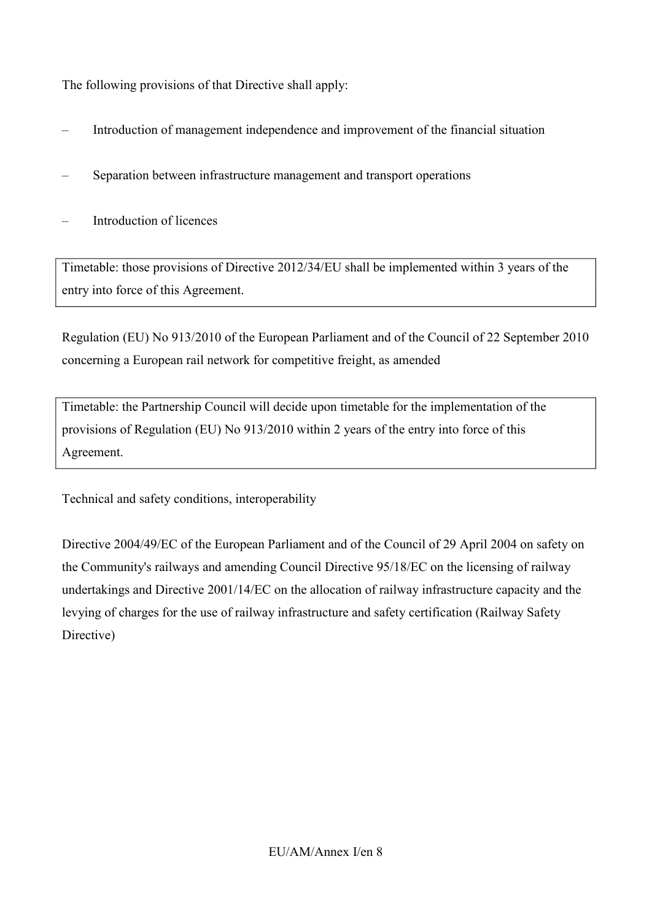The following provisions of that Directive shall apply:

- Introduction of management independence and improvement of the financial situation
- Separation between infrastructure management and transport operations
- Introduction of licences

Timetable: those provisions of Directive 2012/34/EU shall be implemented within 3 years of the entry into force of this Agreement.

Regulation (EU) No 913/2010 of the European Parliament and of the Council of 22 September 2010 concerning a European rail network for competitive freight, as amended

Timetable: the Partnership Council will decide upon timetable for the implementation of the provisions of Regulation (EU) No 913/2010 within 2 years of the entry into force of this Agreement.

Technical and safety conditions, interoperability

Directive 2004/49/EC of the European Parliament and of the Council of 29 April 2004 on safety on the Community's railways and amending Council Directive 95/18/EC on the licensing of railway undertakings and Directive 2001/14/EC on the allocation of railway infrastructure capacity and the levying of charges for the use of railway infrastructure and safety certification (Railway Safety Directive)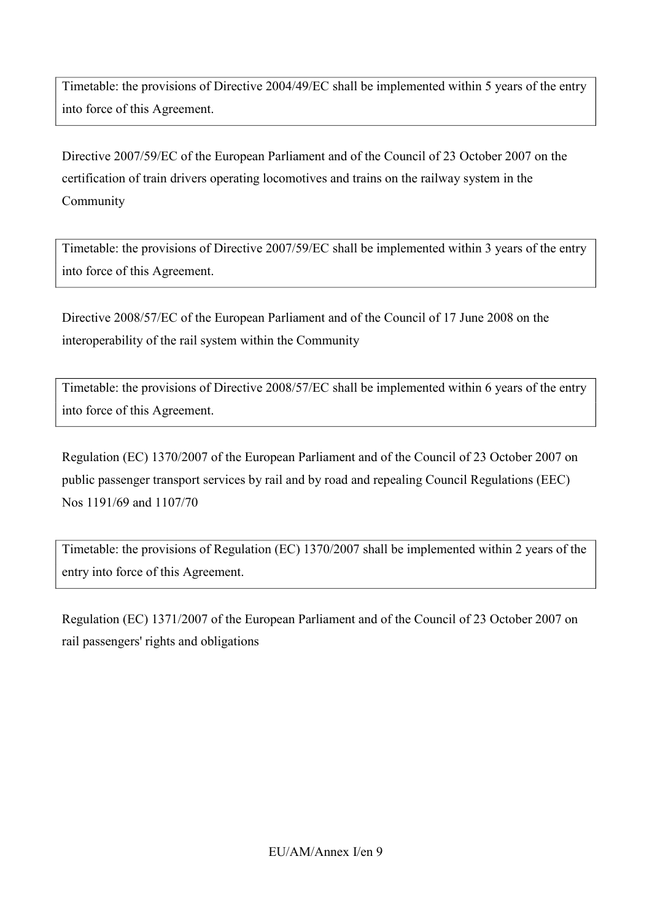Timetable: the provisions of Directive 2004/49/EC shall be implemented within 5 years of the entry into force of this Agreement.

Directive 2007/59/EC of the European Parliament and of the Council of 23 October 2007 on the certification of train drivers operating locomotives and trains on the railway system in the Community

Timetable: the provisions of Directive 2007/59/EC shall be implemented within 3 years of the entry into force of this Agreement.

Directive 2008/57/EC of the European Parliament and of the Council of 17 June 2008 on the interoperability of the rail system within the Community

Timetable: the provisions of Directive 2008/57/EC shall be implemented within 6 years of the entry into force of this Agreement.

Regulation (EC) 1370/2007 of the European Parliament and of the Council of 23 October 2007 on public passenger transport services by rail and by road and repealing Council Regulations (EEC) Nos 1191/69 and 1107/70

Timetable: the provisions of Regulation (EC) 1370/2007 shall be implemented within 2 years of the entry into force of this Agreement.

Regulation (EC) 1371/2007 of the European Parliament and of the Council of 23 October 2007 on rail passengers' rights and obligations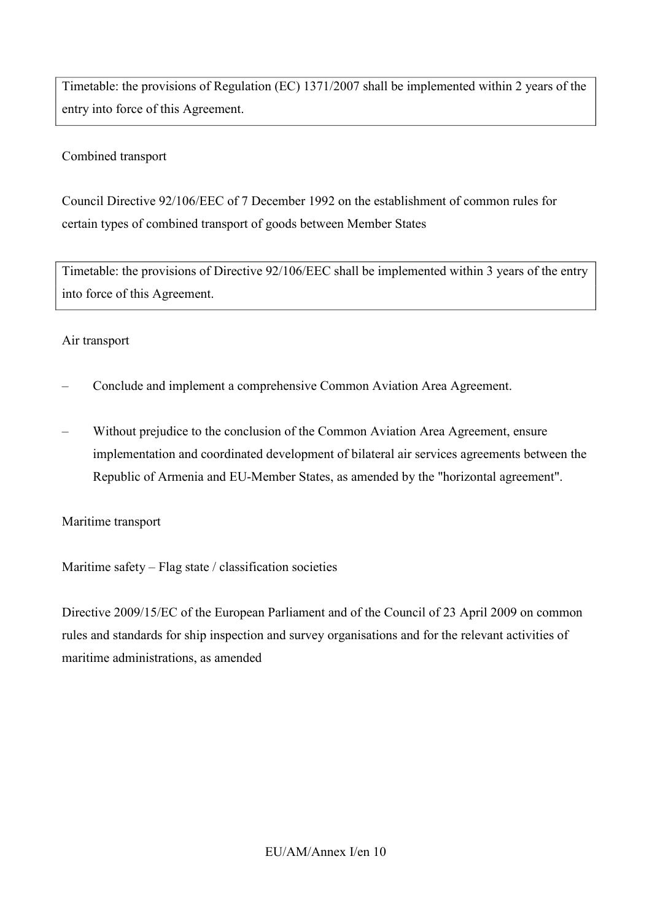Timetable: the provisions of Regulation (EC) 1371/2007 shall be implemented within 2 years of the entry into force of this Agreement.

## Combined transport

Council Directive 92/106/EEC of 7 December 1992 on the establishment of common rules for certain types of combined transport of goods between Member States

Timetable: the provisions of Directive 92/106/EEC shall be implemented within 3 years of the entry into force of this Agreement.

#### Air transport

- Conclude and implement a comprehensive Common Aviation Area Agreement.
- Without prejudice to the conclusion of the Common Aviation Area Agreement, ensure implementation and coordinated development of bilateral air services agreements between the Republic of Armenia and EU-Member States, as amended by the "horizontal agreement".

#### Maritime transport

Maritime safety – Flag state / classification societies

Directive 2009/15/EC of the European Parliament and of the Council of 23 April 2009 on common rules and standards for ship inspection and survey organisations and for the relevant activities of maritime administrations, as amended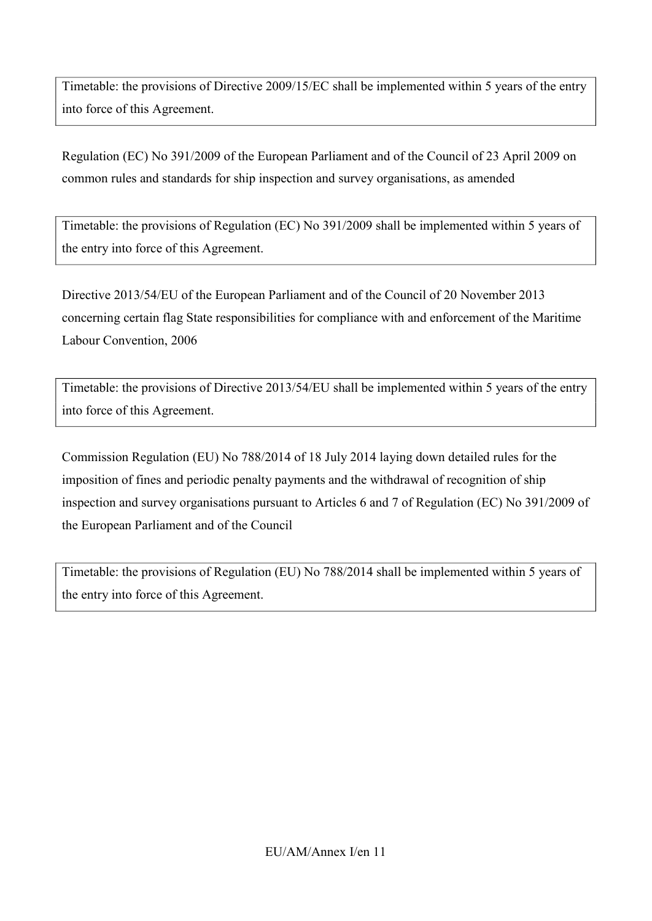Timetable: the provisions of Directive 2009/15/EC shall be implemented within 5 years of the entry into force of this Agreement.

Regulation (EC) No 391/2009 of the European Parliament and of the Council of 23 April 2009 on common rules and standards for ship inspection and survey organisations, as amended

Timetable: the provisions of Regulation (EC) No 391/2009 shall be implemented within 5 years of the entry into force of this Agreement.

Directive 2013/54/EU of the European Parliament and of the Council of 20 November 2013 concerning certain flag State responsibilities for compliance with and enforcement of the Maritime Labour Convention, 2006

Timetable: the provisions of Directive 2013/54/EU shall be implemented within 5 years of the entry into force of this Agreement.

Commission Regulation (EU) No 788/2014 of 18 July 2014 laying down detailed rules for the imposition of fines and periodic penalty payments and the withdrawal of recognition of ship inspection and survey organisations pursuant to Articles 6 and 7 of Regulation (EC) No 391/2009 of the European Parliament and of the Council

Timetable: the provisions of Regulation (EU) No 788/2014 shall be implemented within 5 years of the entry into force of this Agreement.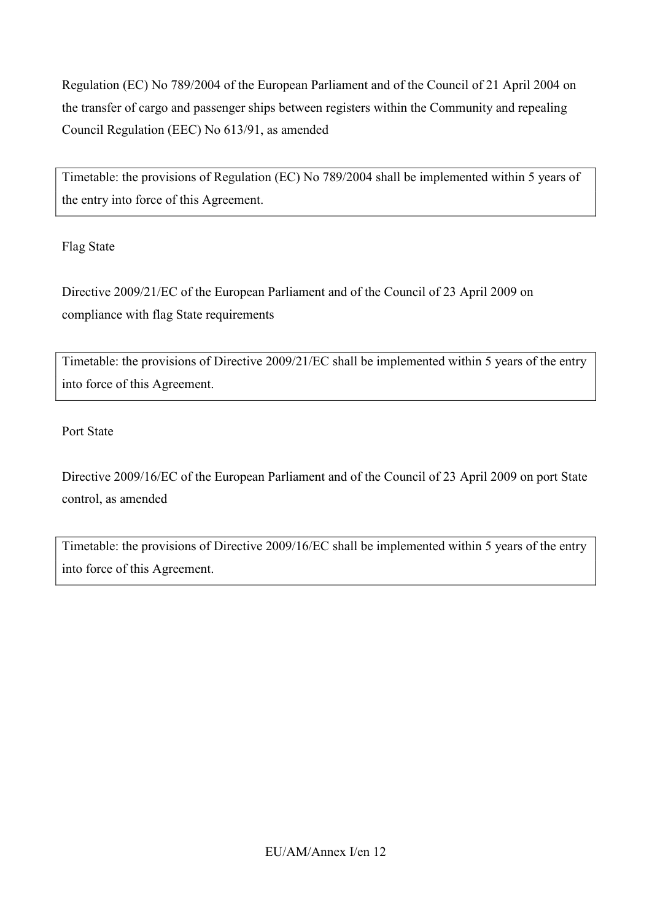Regulation (EC) No 789/2004 of the European Parliament and of the Council of 21 April 2004 on the transfer of cargo and passenger ships between registers within the Community and repealing Council Regulation (EEC) No 613/91, as amended

Timetable: the provisions of Regulation (EC) No 789/2004 shall be implemented within 5 years of the entry into force of this Agreement.

Flag State

Directive 2009/21/EC of the European Parliament and of the Council of 23 April 2009 on compliance with flag State requirements

Timetable: the provisions of Directive 2009/21/EC shall be implemented within 5 years of the entry into force of this Agreement.

Port State

Directive 2009/16/EC of the European Parliament and of the Council of 23 April 2009 on port State control, as amended

Timetable: the provisions of Directive 2009/16/EC shall be implemented within 5 years of the entry into force of this Agreement.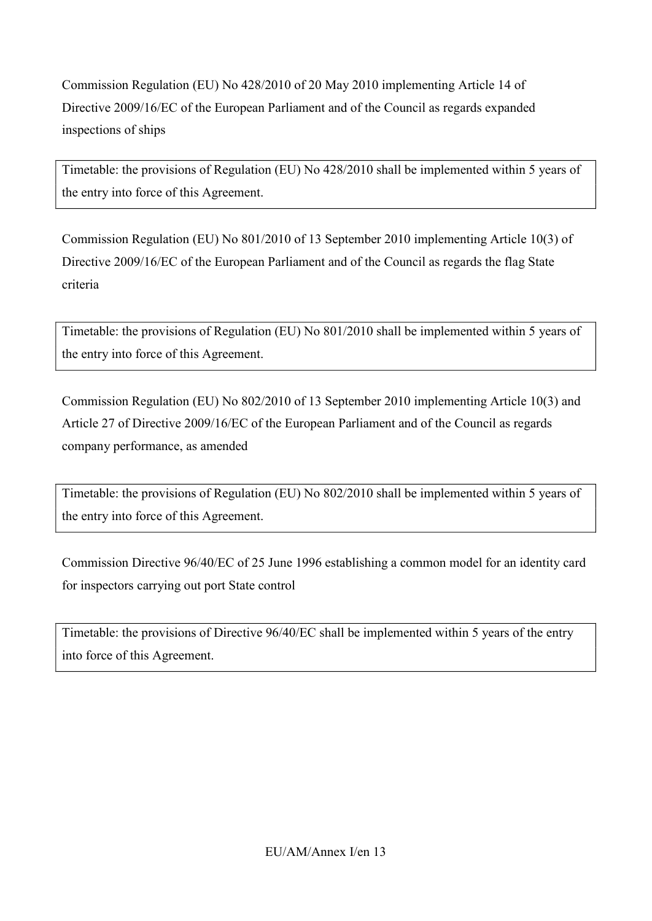Commission Regulation (EU) No 428/2010 of 20 May 2010 implementing Article 14 of Directive 2009/16/EC of the European Parliament and of the Council as regards expanded inspections of ships

Timetable: the provisions of Regulation (EU) No 428/2010 shall be implemented within 5 years of the entry into force of this Agreement.

Commission Regulation (EU) No 801/2010 of 13 September 2010 implementing Article 10(3) of Directive 2009/16/EC of the European Parliament and of the Council as regards the flag State criteria

Timetable: the provisions of Regulation (EU) No 801/2010 shall be implemented within 5 years of the entry into force of this Agreement.

Commission Regulation (EU) No 802/2010 of 13 September 2010 implementing Article 10(3) and Article 27 of Directive 2009/16/EC of the European Parliament and of the Council as regards company performance, as amended

Timetable: the provisions of Regulation (EU) No 802/2010 shall be implemented within 5 years of the entry into force of this Agreement.

Commission Directive 96/40/EC of 25 June 1996 establishing a common model for an identity card for inspectors carrying out port State control

Timetable: the provisions of Directive 96/40/EC shall be implemented within 5 years of the entry into force of this Agreement.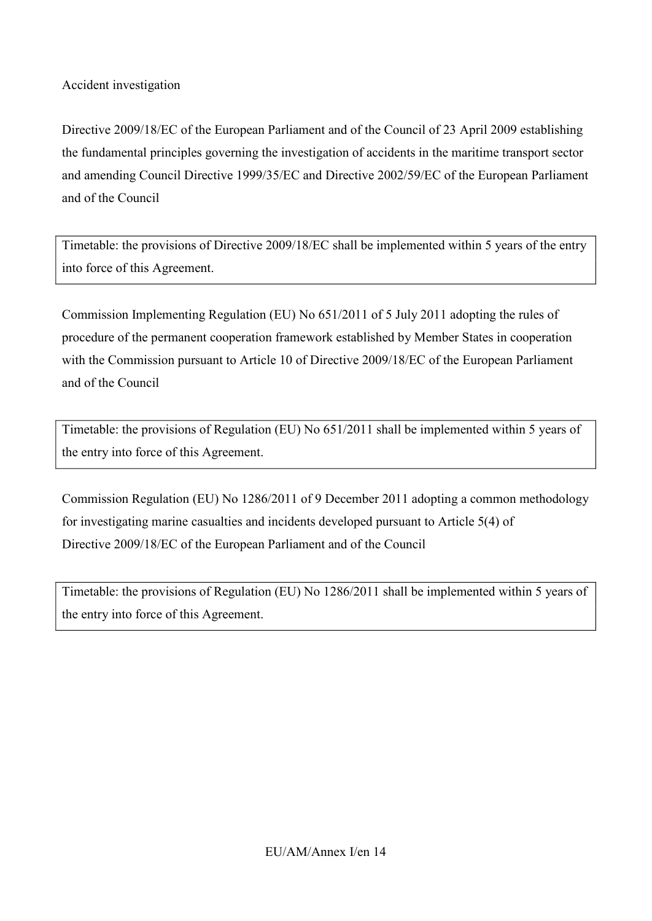Accident investigation

Directive 2009/18/EC of the European Parliament and of the Council of 23 April 2009 establishing the fundamental principles governing the investigation of accidents in the maritime transport sector and amending Council Directive 1999/35/EC and Directive 2002/59/EC of the European Parliament and of the Council

Timetable: the provisions of Directive 2009/18/EC shall be implemented within 5 years of the entry into force of this Agreement.

Commission Implementing Regulation (EU) No 651/2011 of 5 July 2011 adopting the rules of procedure of the permanent cooperation framework established by Member States in cooperation with the Commission pursuant to Article 10 of Directive 2009/18/EC of the European Parliament and of the Council

Timetable: the provisions of Regulation (EU) No 651/2011 shall be implemented within 5 years of the entry into force of this Agreement.

Commission Regulation (EU) No 1286/2011 of 9 December 2011 adopting a common methodology for investigating marine casualties and incidents developed pursuant to Article 5(4) of Directive 2009/18/EC of the European Parliament and of the Council

Timetable: the provisions of Regulation (EU) No 1286/2011 shall be implemented within 5 years of the entry into force of this Agreement.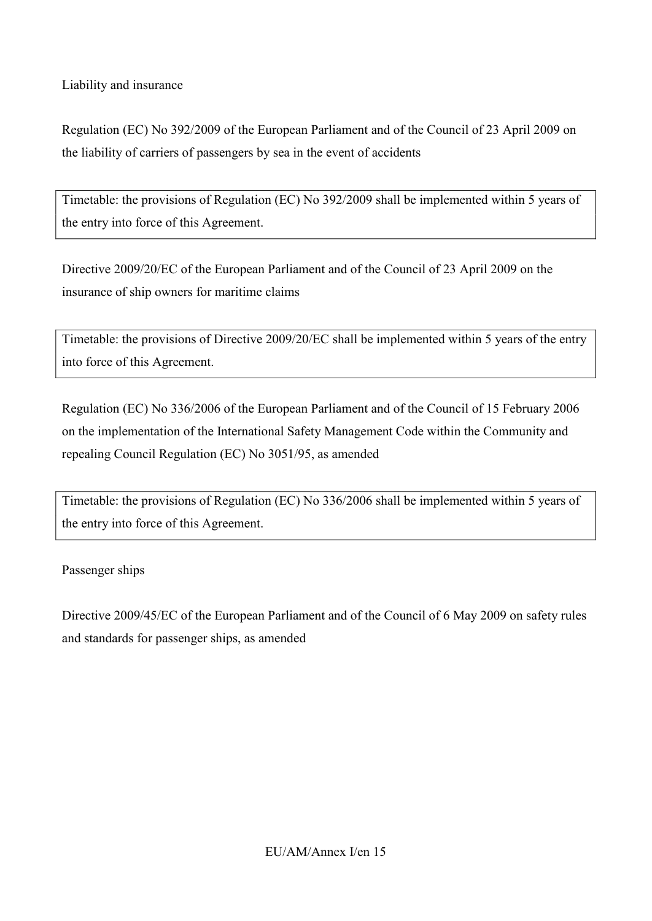Liability and insurance

Regulation (EC) No 392/2009 of the European Parliament and of the Council of 23 April 2009 on the liability of carriers of passengers by sea in the event of accidents

Timetable: the provisions of Regulation (EC) No 392/2009 shall be implemented within 5 years of the entry into force of this Agreement.

Directive 2009/20/EC of the European Parliament and of the Council of 23 April 2009 on the insurance of ship owners for maritime claims

Timetable: the provisions of Directive 2009/20/EC shall be implemented within 5 years of the entry into force of this Agreement.

Regulation (EC) No 336/2006 of the European Parliament and of the Council of 15 February 2006 on the implementation of the International Safety Management Code within the Community and repealing Council Regulation (EC) No 3051/95, as amended

Timetable: the provisions of Regulation (EC) No 336/2006 shall be implemented within 5 years of the entry into force of this Agreement.

Passenger ships

Directive 2009/45/EC of the European Parliament and of the Council of 6 May 2009 on safety rules and standards for passenger ships, as amended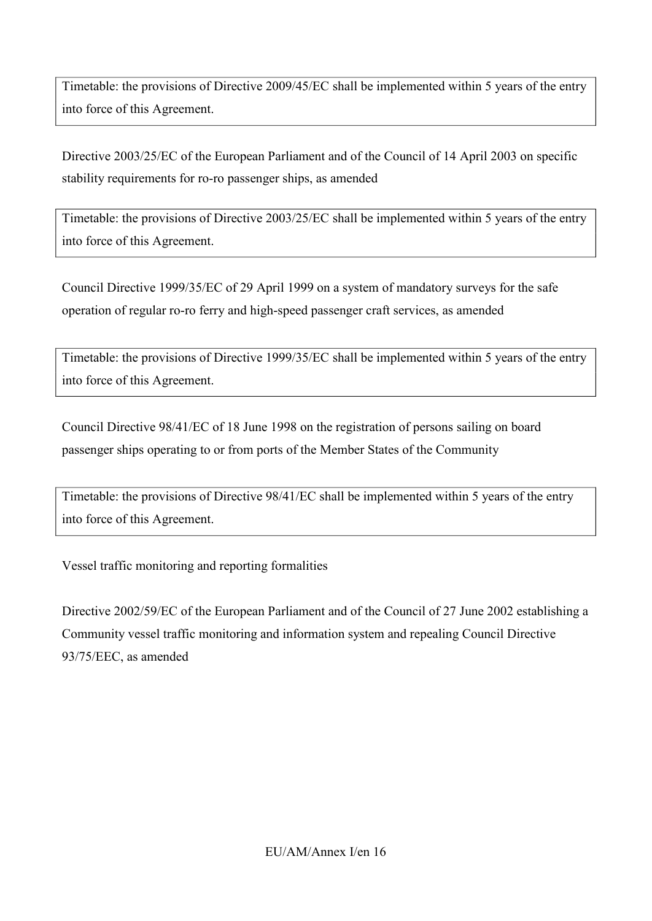Timetable: the provisions of Directive 2009/45/EC shall be implemented within 5 years of the entry into force of this Agreement.

Directive 2003/25/EC of the European Parliament and of the Council of 14 April 2003 on specific stability requirements for ro-ro passenger ships, as amended

Timetable: the provisions of Directive 2003/25/EC shall be implemented within 5 years of the entry into force of this Agreement.

Council Directive 1999/35/EC of 29 April 1999 on a system of mandatory surveys for the safe operation of regular ro-ro ferry and high-speed passenger craft services, as amended

Timetable: the provisions of Directive 1999/35/EC shall be implemented within 5 years of the entry into force of this Agreement.

Council Directive 98/41/EC of 18 June 1998 on the registration of persons sailing on board passenger ships operating to or from ports of the Member States of the Community

Timetable: the provisions of Directive 98/41/EC shall be implemented within 5 years of the entry into force of this Agreement.

Vessel traffic monitoring and reporting formalities

Directive 2002/59/EC of the European Parliament and of the Council of 27 June 2002 establishing a Community vessel traffic monitoring and information system and repealing Council Directive 93/75/EEC, as amended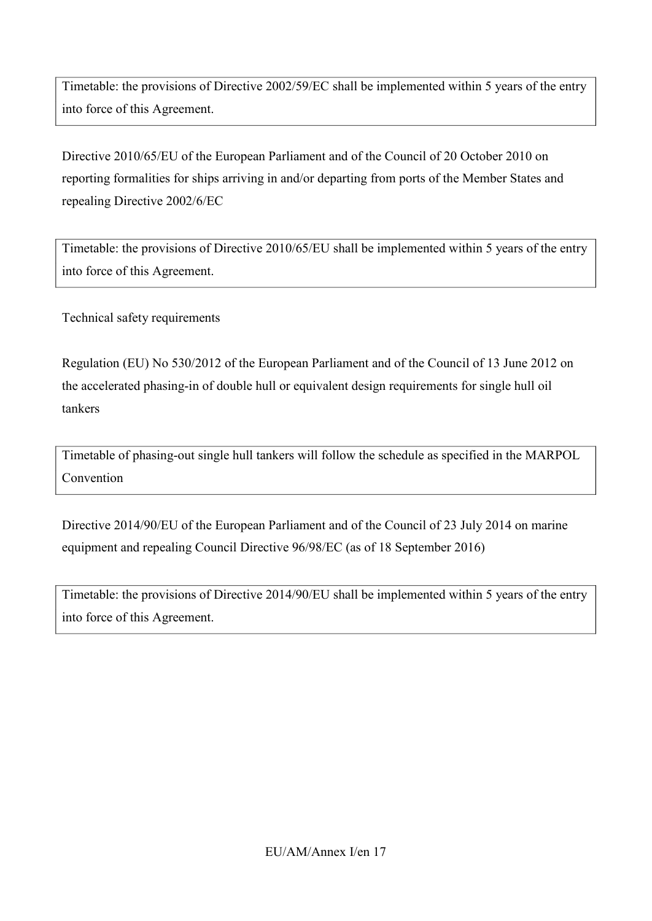Timetable: the provisions of Directive 2002/59/EC shall be implemented within 5 years of the entry into force of this Agreement.

Directive 2010/65/EU of the European Parliament and of the Council of 20 October 2010 on reporting formalities for ships arriving in and/or departing from ports of the Member States and repealing Directive 2002/6/EC

Timetable: the provisions of Directive 2010/65/EU shall be implemented within 5 years of the entry into force of this Agreement.

Technical safety requirements

Regulation (EU) No 530/2012 of the European Parliament and of the Council of 13 June 2012 on the accelerated phasing-in of double hull or equivalent design requirements for single hull oil tankers

Timetable of phasing-out single hull tankers will follow the schedule as specified in the MARPOL Convention

Directive 2014/90/EU of the European Parliament and of the Council of 23 July 2014 on marine equipment and repealing Council Directive 96/98/EC (as of 18 September 2016)

Timetable: the provisions of Directive 2014/90/EU shall be implemented within 5 years of the entry into force of this Agreement.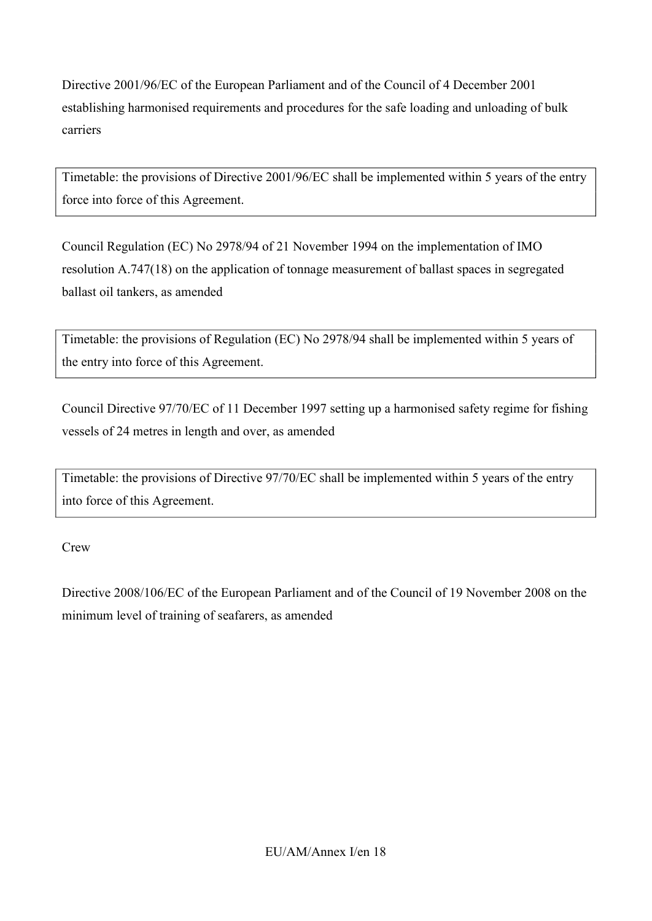Directive 2001/96/EC of the European Parliament and of the Council of 4 December 2001 establishing harmonised requirements and procedures for the safe loading and unloading of bulk carriers

Timetable: the provisions of Directive 2001/96/EC shall be implemented within 5 years of the entry force into force of this Agreement.

Council Regulation (EC) No 2978/94 of 21 November 1994 on the implementation of IMO resolution A.747(18) on the application of tonnage measurement of ballast spaces in segregated ballast oil tankers, as amended

Timetable: the provisions of Regulation (EC) No 2978/94 shall be implemented within 5 years of the entry into force of this Agreement.

Council Directive 97/70/EC of 11 December 1997 setting up a harmonised safety regime for fishing vessels of 24 metres in length and over, as amended

Timetable: the provisions of Directive 97/70/EC shall be implemented within 5 years of the entry into force of this Agreement.

**Crew** 

Directive 2008/106/EC of the European Parliament and of the Council of 19 November 2008 on the minimum level of training of seafarers, as amended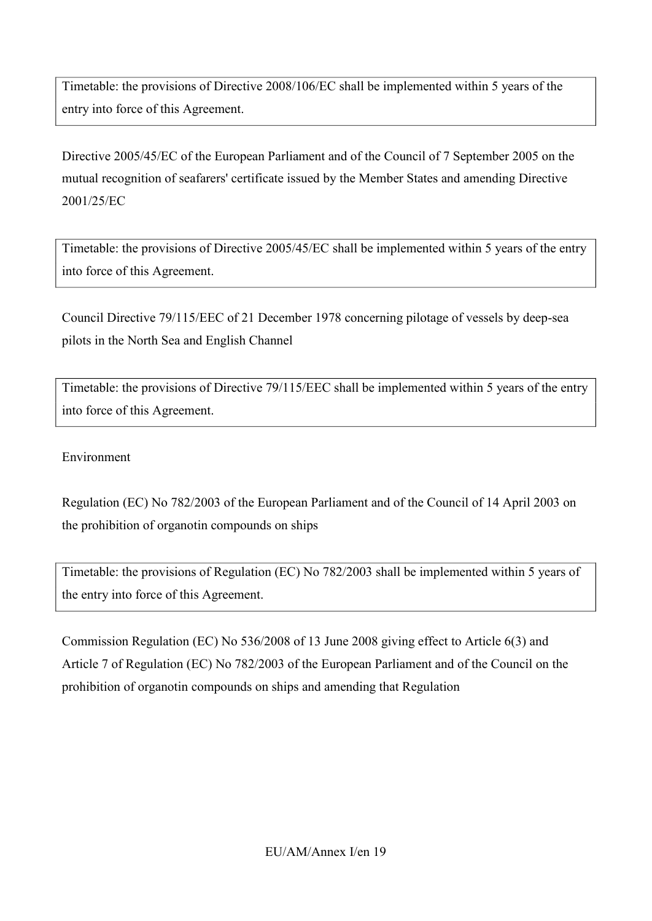Timetable: the provisions of Directive 2008/106/EC shall be implemented within 5 years of the entry into force of this Agreement.

Directive 2005/45/EC of the European Parliament and of the Council of 7 September 2005 on the mutual recognition of seafarers' certificate issued by the Member States and amending Directive 2001/25/EC

Timetable: the provisions of Directive 2005/45/EC shall be implemented within 5 years of the entry into force of this Agreement.

Council Directive 79/115/EEC of 21 December 1978 concerning pilotage of vessels by deep-sea pilots in the North Sea and English Channel

Timetable: the provisions of Directive 79/115/EEC shall be implemented within 5 years of the entry into force of this Agreement.

Environment

Regulation (EC) No 782/2003 of the European Parliament and of the Council of 14 April 2003 on the prohibition of organotin compounds on ships

Timetable: the provisions of Regulation (EC) No 782/2003 shall be implemented within 5 years of the entry into force of this Agreement.

Commission Regulation (EC) No 536/2008 of 13 June 2008 giving effect to Article 6(3) and Article 7 of Regulation (EC) No 782/2003 of the European Parliament and of the Council on the prohibition of organotin compounds on ships and amending that Regulation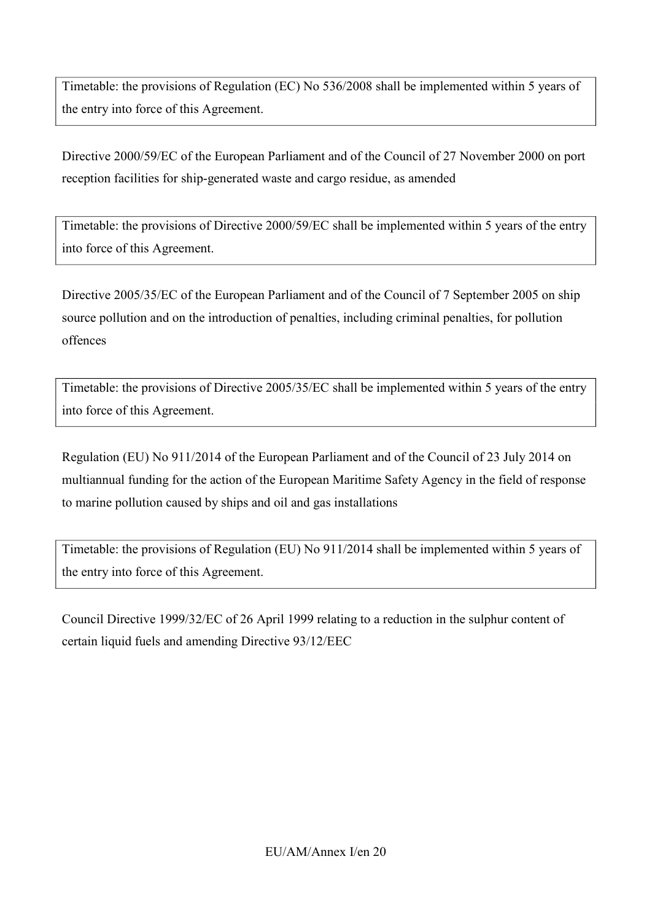Timetable: the provisions of Regulation (EC) No 536/2008 shall be implemented within 5 years of the entry into force of this Agreement.

Directive 2000/59/EC of the European Parliament and of the Council of 27 November 2000 on port reception facilities for ship-generated waste and cargo residue, as amended

Timetable: the provisions of Directive 2000/59/EC shall be implemented within 5 years of the entry into force of this Agreement.

Directive 2005/35/EC of the European Parliament and of the Council of 7 September 2005 on ship source pollution and on the introduction of penalties, including criminal penalties, for pollution offences

Timetable: the provisions of Directive 2005/35/EC shall be implemented within 5 years of the entry into force of this Agreement.

Regulation (EU) No 911/2014 of the European Parliament and of the Council of 23 July 2014 on multiannual funding for the action of the European Maritime Safety Agency in the field of response to marine pollution caused by ships and oil and gas installations

Timetable: the provisions of Regulation (EU) No 911/2014 shall be implemented within 5 years of the entry into force of this Agreement.

Council Directive 1999/32/EC of 26 April 1999 relating to a reduction in the sulphur content of certain liquid fuels and amending Directive 93/12/EEC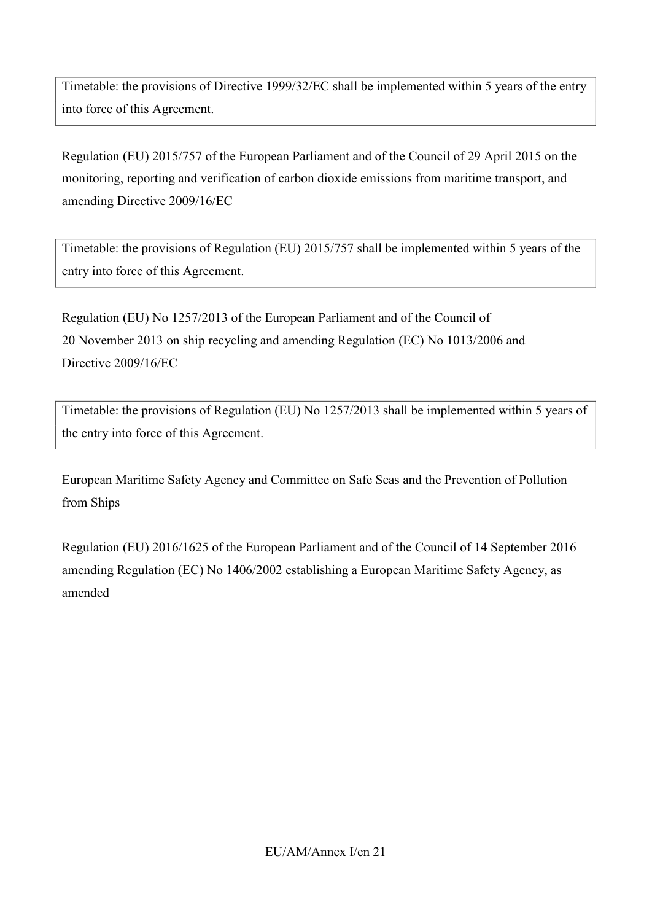Timetable: the provisions of Directive 1999/32/EC shall be implemented within 5 years of the entry into force of this Agreement.

Regulation (EU) 2015/757 of the European Parliament and of the Council of 29 April 2015 on the monitoring, reporting and verification of carbon dioxide emissions from maritime transport, and amending Directive 2009/16/EC

Timetable: the provisions of Regulation (EU) 2015/757 shall be implemented within 5 years of the entry into force of this Agreement.

Regulation (EU) No 1257/2013 of the European Parliament and of the Council of 20 November 2013 on ship recycling and amending Regulation (EC) No 1013/2006 and Directive 2009/16/EC

Timetable: the provisions of Regulation (EU) No 1257/2013 shall be implemented within 5 years of the entry into force of this Agreement.

European Maritime Safety Agency and Committee on Safe Seas and the Prevention of Pollution from Ships

Regulation (EU) 2016/1625 of the European Parliament and of the Council of 14 September 2016 amending Regulation (EC) No 1406/2002 establishing a European Maritime Safety Agency, as amended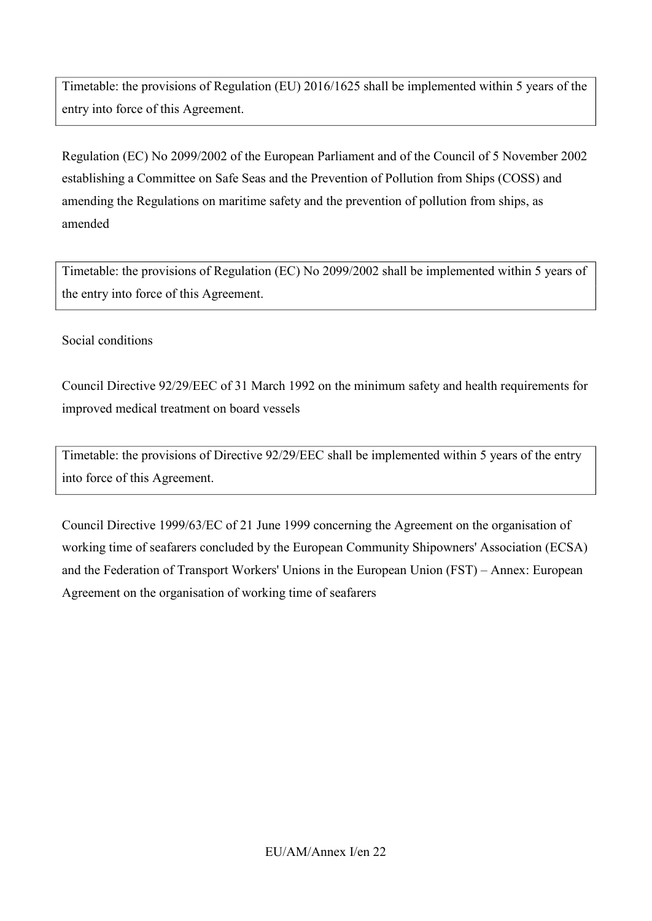Timetable: the provisions of Regulation (EU) 2016/1625 shall be implemented within 5 years of the entry into force of this Agreement.

Regulation (EC) No 2099/2002 of the European Parliament and of the Council of 5 November 2002 establishing a Committee on Safe Seas and the Prevention of Pollution from Ships (COSS) and amending the Regulations on maritime safety and the prevention of pollution from ships, as amended

Timetable: the provisions of Regulation (EC) No 2099/2002 shall be implemented within 5 years of the entry into force of this Agreement.

## Social conditions

Council Directive 92/29/EEC of 31 March 1992 on the minimum safety and health requirements for improved medical treatment on board vessels

Timetable: the provisions of Directive 92/29/EEC shall be implemented within 5 years of the entry into force of this Agreement.

Council Directive 1999/63/EC of 21 June 1999 concerning the Agreement on the organisation of working time of seafarers concluded by the European Community Shipowners' Association (ECSA) and the Federation of Transport Workers' Unions in the European Union (FST) – Annex: European Agreement on the organisation of working time of seafarers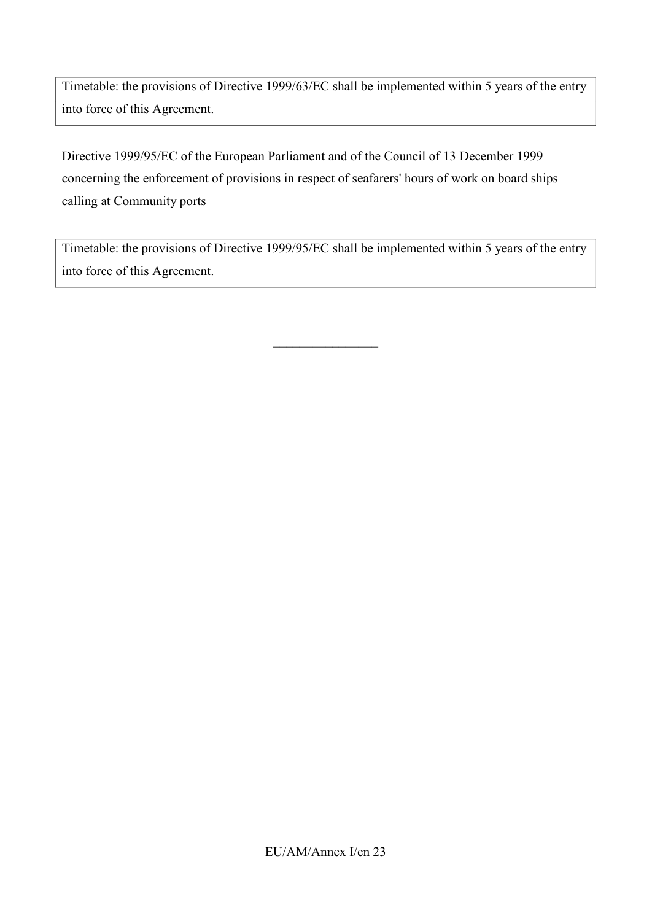Timetable: the provisions of Directive 1999/63/EC shall be implemented within 5 years of the entry into force of this Agreement.

Directive 1999/95/EC of the European Parliament and of the Council of 13 December 1999 concerning the enforcement of provisions in respect of seafarers' hours of work on board ships calling at Community ports

Timetable: the provisions of Directive 1999/95/EC shall be implemented within 5 years of the entry into force of this Agreement.

 $\_$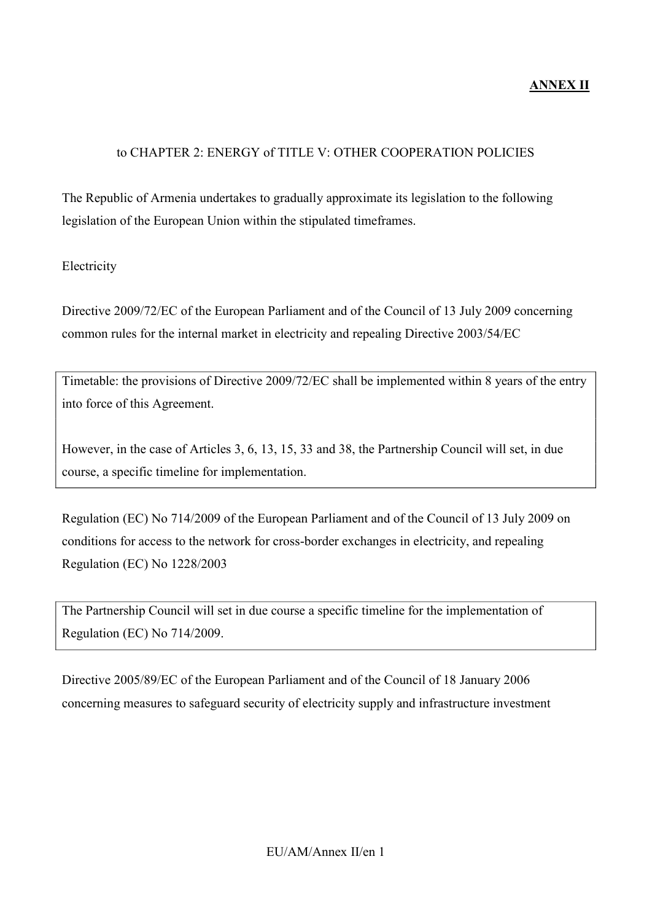## to CHAPTER 2: ENERGY of TITLE V: OTHER COOPERATION POLICIES

The Republic of Armenia undertakes to gradually approximate its legislation to the following legislation of the European Union within the stipulated timeframes.

## Electricity

Directive 2009/72/EC of the European Parliament and of the Council of 13 July 2009 concerning common rules for the internal market in electricity and repealing Directive 2003/54/EC

Timetable: the provisions of Directive 2009/72/EC shall be implemented within 8 years of the entry into force of this Agreement.

However, in the case of Articles 3, 6, 13, 15, 33 and 38, the Partnership Council will set, in due course, a specific timeline for implementation.

Regulation (EC) No 714/2009 of the European Parliament and of the Council of 13 July 2009 on conditions for access to the network for cross-border exchanges in electricity, and repealing Regulation (EC) No 1228/2003

The Partnership Council will set in due course a specific timeline for the implementation of Regulation (EC) No 714/2009.

Directive 2005/89/EC of the European Parliament and of the Council of 18 January 2006 concerning measures to safeguard security of electricity supply and infrastructure investment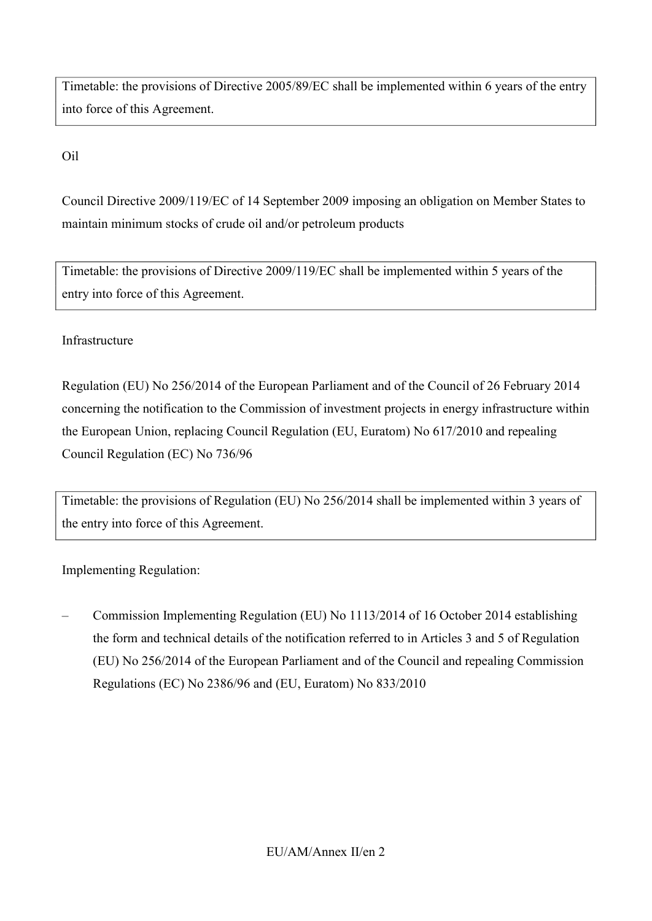Timetable: the provisions of Directive 2005/89/EC shall be implemented within 6 years of the entry into force of this Agreement.

Oil

Council Directive 2009/119/EC of 14 September 2009 imposing an obligation on Member States to maintain minimum stocks of crude oil and/or petroleum products

Timetable: the provisions of Directive 2009/119/EC shall be implemented within 5 years of the entry into force of this Agreement.

# Infrastructure

Regulation (EU) No 256/2014 of the European Parliament and of the Council of 26 February 2014 concerning the notification to the Commission of investment projects in energy infrastructure within the European Union, replacing Council Regulation (EU, Euratom) No 617/2010 and repealing Council Regulation (EC) No 736/96

Timetable: the provisions of Regulation (EU) No 256/2014 shall be implemented within 3 years of the entry into force of this Agreement.

Implementing Regulation:

– Commission Implementing Regulation (EU) No 1113/2014 of 16 October 2014 establishing the form and technical details of the notification referred to in Articles 3 and 5 of Regulation (EU) No 256/2014 of the European Parliament and of the Council and repealing Commission Regulations (EC) No 2386/96 and (EU, Euratom) No 833/2010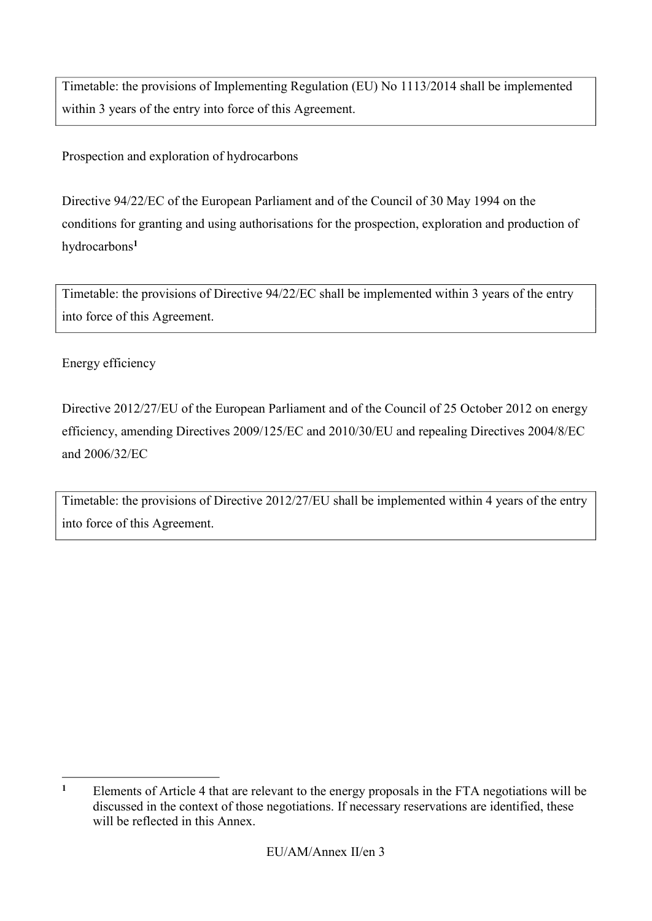Timetable: the provisions of Implementing Regulation (EU) No 1113/2014 shall be implemented within 3 years of the entry into force of this Agreement.

Prospection and exploration of hydrocarbons

<span id="page-26-1"></span>Directive 94/22/EC of the European Parliament and of the Council of 30 May 1994 on the conditions for granting and using authorisations for the prospection, exploration and production of hydrocarbons**[1](#page-26-0)**

Timetable: the provisions of Directive 94/22/EC shall be implemented within 3 years of the entry into force of this Agreement.

Energy efficiency

Directive 2012/27/EU of the European Parliament and of the Council of 25 October 2012 on energy efficiency, amending Directives 2009/125/EC and 2010/30/EU and repealing Directives 2004/8/EC and 2006/32/EC

Timetable: the provisions of Directive 2012/27/EU shall be implemented within 4 years of the entry into force of this Agreement.

<span id="page-26-0"></span><sup>-</sup>**[1](#page-26-1)** Elements of Article 4 that are relevant to the energy proposals in the FTA negotiations will be discussed in the context of those negotiations. If necessary reservations are identified, these will be reflected in this Annex.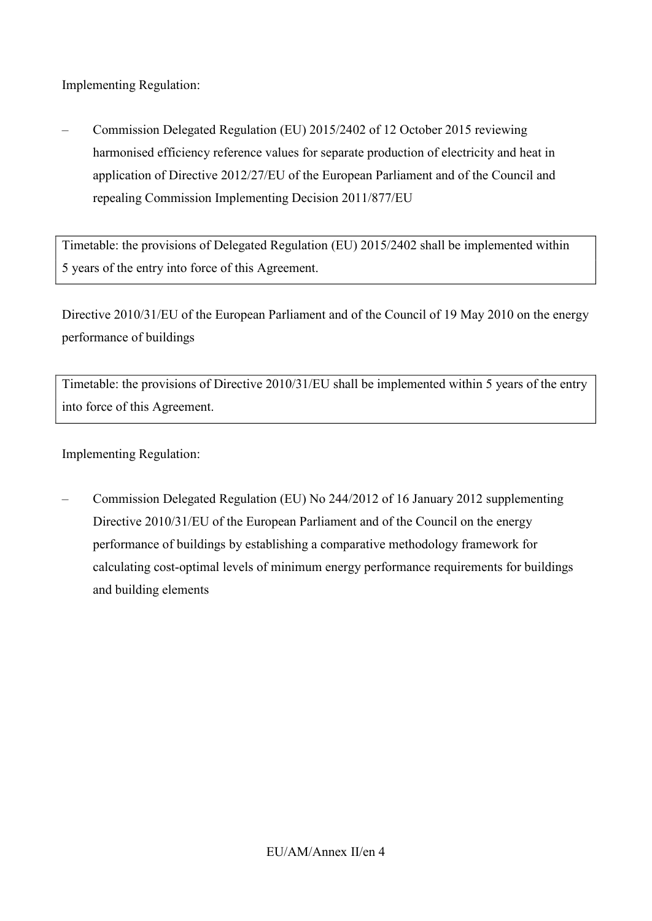Implementing Regulation:

– Commission Delegated Regulation (EU) 2015/2402 of 12 October 2015 reviewing harmonised efficiency reference values for separate production of electricity and heat in application of Directive 2012/27/EU of the European Parliament and of the Council and repealing Commission Implementing Decision 2011/877/EU

Timetable: the provisions of Delegated Regulation (EU) 2015/2402 shall be implemented within 5 years of the entry into force of this Agreement.

Directive 2010/31/EU of the European Parliament and of the Council of 19 May 2010 on the energy performance of buildings

Timetable: the provisions of Directive 2010/31/EU shall be implemented within 5 years of the entry into force of this Agreement.

Implementing Regulation:

– Commission Delegated Regulation (EU) No 244/2012 of 16 January 2012 supplementing Directive 2010/31/EU of the European Parliament and of the Council on the energy performance of buildings by establishing a comparative methodology framework for calculating cost-optimal levels of minimum energy performance requirements for buildings and building elements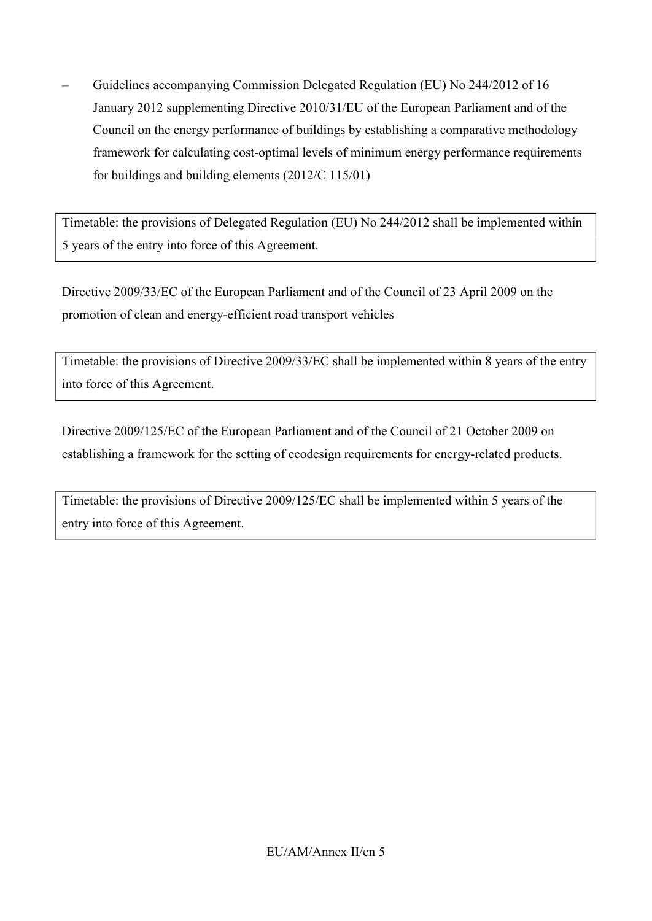– Guidelines accompanying Commission Delegated Regulation (EU) No 244/2012 of 16 January 2012 supplementing Directive 2010/31/EU of the European Parliament and of the Council on the energy performance of buildings by establishing a comparative methodology framework for calculating cost-optimal levels of minimum energy performance requirements for buildings and building elements (2012/C 115/01)

Timetable: the provisions of Delegated Regulation (EU) No 244/2012 shall be implemented within 5 years of the entry into force of this Agreement.

Directive 2009/33/EC of the European Parliament and of the Council of 23 April 2009 on the promotion of clean and energy-efficient road transport vehicles

Timetable: the provisions of Directive 2009/33/EC shall be implemented within 8 years of the entry into force of this Agreement.

Directive 2009/125/EC of the European Parliament and of the Council of 21 October 2009 on establishing a framework for the setting of ecodesign requirements for energy-related products.

Timetable: the provisions of Directive 2009/125/EC shall be implemented within 5 years of the entry into force of this Agreement.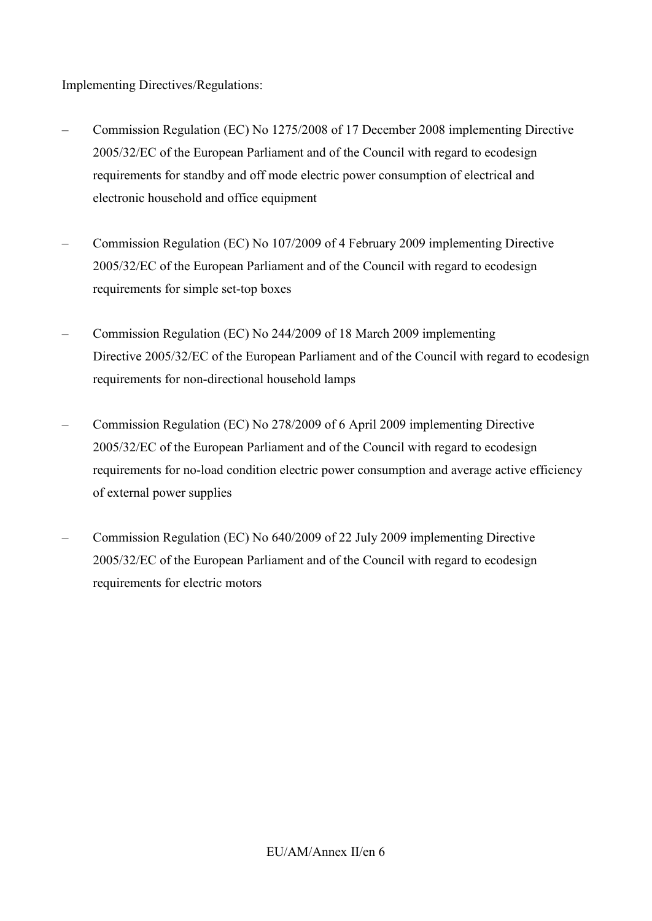Implementing Directives/Regulations:

- Commission Regulation (EC) No 1275/2008 of 17 December 2008 implementing Directive 2005/32/EC of the European Parliament and of the Council with regard to ecodesign requirements for standby and off mode electric power consumption of electrical and electronic household and office equipment
- Commission Regulation (EC) No 107/2009 of 4 February 2009 implementing Directive 2005/32/EC of the European Parliament and of the Council with regard to ecodesign requirements for simple set-top boxes
- Commission Regulation (EC) No 244/2009 of 18 March 2009 implementing Directive 2005/32/EC of the European Parliament and of the Council with regard to ecodesign requirements for non-directional household lamps
- Commission Regulation (EC) No 278/2009 of 6 April 2009 implementing Directive 2005/32/EC of the European Parliament and of the Council with regard to ecodesign requirements for no-load condition electric power consumption and average active efficiency of external power supplies
- Commission Regulation (EC) No 640/2009 of 22 July 2009 implementing Directive 2005/32/EC of the European Parliament and of the Council with regard to ecodesign requirements for electric motors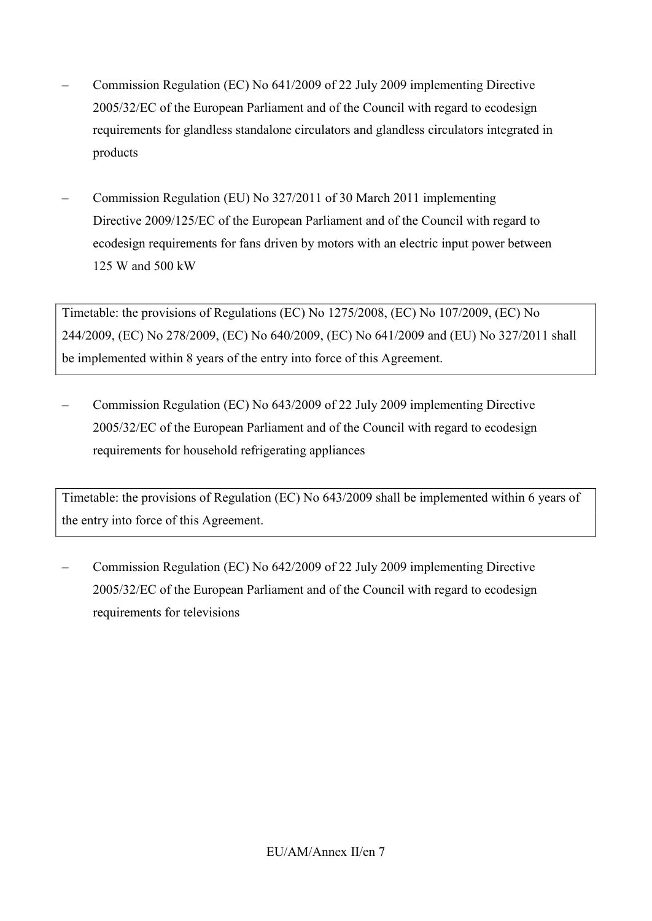- Commission Regulation (EC) No 641/2009 of 22 July 2009 implementing Directive 2005/32/EC of the European Parliament and of the Council with regard to ecodesign requirements for glandless standalone circulators and glandless circulators integrated in products
- Commission Regulation (EU) No 327/2011 of 30 March 2011 implementing Directive 2009/125/EC of the European Parliament and of the Council with regard to ecodesign requirements for fans driven by motors with an electric input power between 125 W and 500 kW

Timetable: the provisions of Regulations (EC) No 1275/2008, (EC) No 107/2009, (EC) No 244/2009, (EC) No 278/2009, (EC) No 640/2009, (EC) No 641/2009 and (EU) No 327/2011 shall be implemented within 8 years of the entry into force of this Agreement.

– Commission Regulation (EC) No 643/2009 of 22 July 2009 implementing Directive 2005/32/EC of the European Parliament and of the Council with regard to ecodesign requirements for household refrigerating appliances

Timetable: the provisions of Regulation (EC) No 643/2009 shall be implemented within 6 years of the entry into force of this Agreement.

– Commission Regulation (EC) No 642/2009 of 22 July 2009 implementing Directive 2005/32/EC of the European Parliament and of the Council with regard to ecodesign requirements for televisions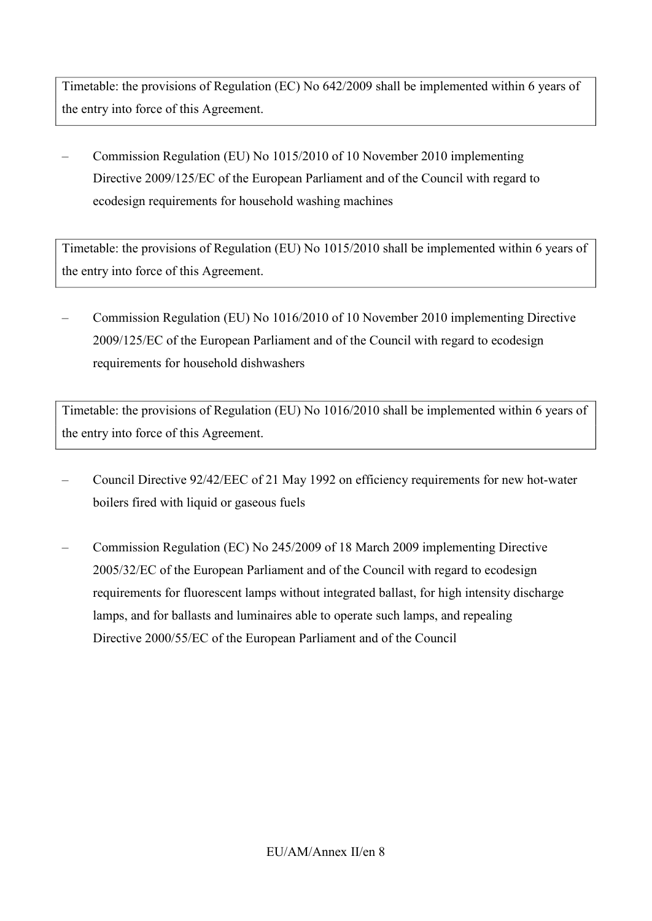Timetable: the provisions of Regulation (EC) No 642/2009 shall be implemented within 6 years of the entry into force of this Agreement.

– Commission Regulation (EU) No 1015/2010 of 10 November 2010 implementing Directive 2009/125/EC of the European Parliament and of the Council with regard to ecodesign requirements for household washing machines

Timetable: the provisions of Regulation (EU) No 1015/2010 shall be implemented within 6 years of the entry into force of this Agreement.

– Commission Regulation (EU) No 1016/2010 of 10 November 2010 implementing Directive 2009/125/EC of the European Parliament and of the Council with regard to ecodesign requirements for household dishwashers

Timetable: the provisions of Regulation (EU) No 1016/2010 shall be implemented within 6 years of the entry into force of this Agreement.

- Council Directive 92/42/EEC of 21 May 1992 on efficiency requirements for new hot-water boilers fired with liquid or gaseous fuels
- Commission Regulation (EC) No 245/2009 of 18 March 2009 implementing Directive 2005/32/EC of the European Parliament and of the Council with regard to ecodesign requirements for fluorescent lamps without integrated ballast, for high intensity discharge lamps, and for ballasts and luminaires able to operate such lamps, and repealing Directive 2000/55/EC of the European Parliament and of the Council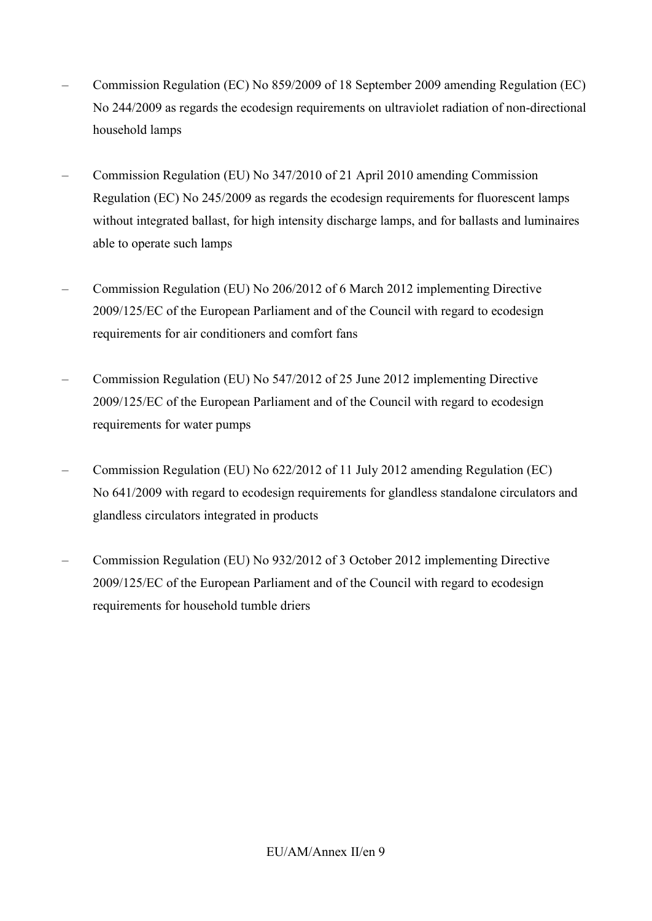- Commission Regulation (EC) No 859/2009 of 18 September 2009 amending Regulation (EC) No 244/2009 as regards the ecodesign requirements on ultraviolet radiation of non-directional household lamps
- Commission Regulation (EU) No 347/2010 of 21 April 2010 amending Commission Regulation (EC) No 245/2009 as regards the ecodesign requirements for fluorescent lamps without integrated ballast, for high intensity discharge lamps, and for ballasts and luminaires able to operate such lamps
- Commission Regulation (EU) No 206/2012 of 6 March 2012 implementing Directive 2009/125/EC of the European Parliament and of the Council with regard to ecodesign requirements for air conditioners and comfort fans
- Commission Regulation (EU) No 547/2012 of 25 June 2012 implementing Directive 2009/125/EC of the European Parliament and of the Council with regard to ecodesign requirements for water pumps
- Commission Regulation (EU) No 622/2012 of 11 July 2012 amending Regulation (EC) No 641/2009 with regard to ecodesign requirements for glandless standalone circulators and glandless circulators integrated in products
- Commission Regulation (EU) No 932/2012 of 3 October 2012 implementing Directive 2009/125/EC of the European Parliament and of the Council with regard to ecodesign requirements for household tumble driers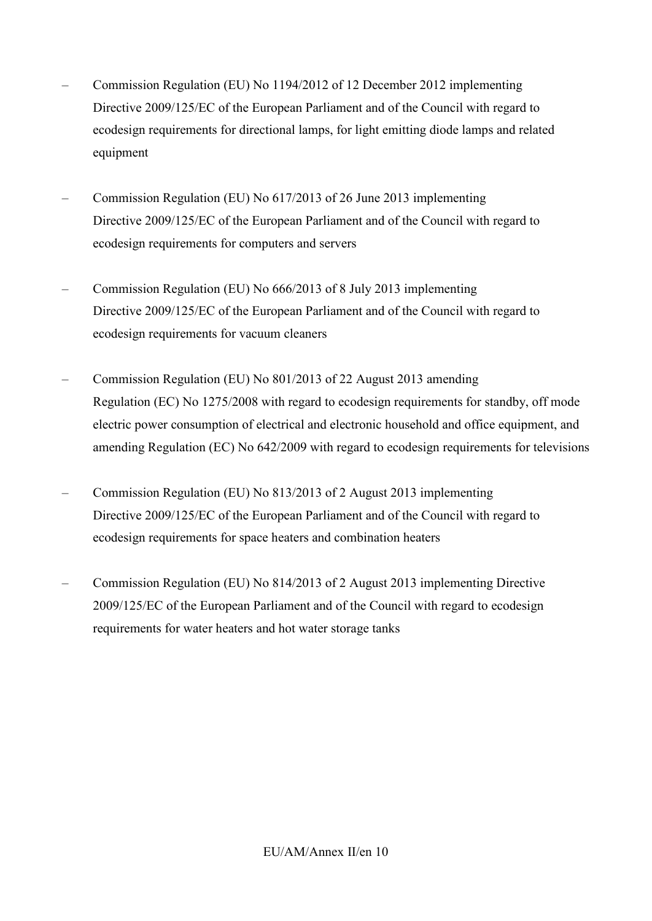- Commission Regulation (EU) No 1194/2012 of 12 December 2012 implementing Directive 2009/125/EC of the European Parliament and of the Council with regard to ecodesign requirements for directional lamps, for light emitting diode lamps and related equipment
- Commission Regulation (EU) No 617/2013 of 26 June 2013 implementing Directive 2009/125/EC of the European Parliament and of the Council with regard to ecodesign requirements for computers and servers
- Commission Regulation (EU) No 666/2013 of 8 July 2013 implementing Directive 2009/125/EC of the European Parliament and of the Council with regard to ecodesign requirements for vacuum cleaners
- Commission Regulation (EU) No 801/2013 of 22 August 2013 amending Regulation (EC) No 1275/2008 with regard to ecodesign requirements for standby, off mode electric power consumption of electrical and electronic household and office equipment, and amending Regulation (EC) No 642/2009 with regard to ecodesign requirements for televisions
- Commission Regulation (EU) No 813/2013 of 2 August 2013 implementing Directive 2009/125/EC of the European Parliament and of the Council with regard to ecodesign requirements for space heaters and combination heaters
- Commission Regulation (EU) No 814/2013 of 2 August 2013 implementing Directive 2009/125/EC of the European Parliament and of the Council with regard to ecodesign requirements for water heaters and hot water storage tanks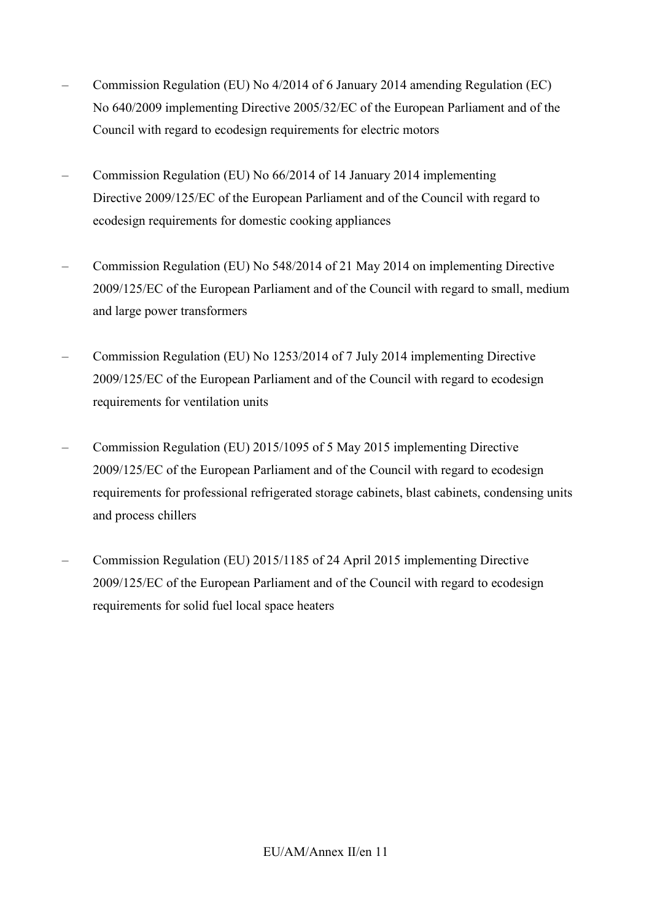- Commission Regulation (EU) No 4/2014 of 6 January 2014 amending Regulation (EC) No 640/2009 implementing Directive 2005/32/EC of the European Parliament and of the Council with regard to ecodesign requirements for electric motors
- Commission Regulation (EU) No 66/2014 of 14 January 2014 implementing Directive 2009/125/EC of the European Parliament and of the Council with regard to ecodesign requirements for domestic cooking appliances
- Commission Regulation (EU) No 548/2014 of 21 May 2014 on implementing Directive 2009/125/EC of the European Parliament and of the Council with regard to small, medium and large power transformers
- Commission Regulation (EU) No 1253/2014 of 7 July 2014 implementing Directive 2009/125/EC of the European Parliament and of the Council with regard to ecodesign requirements for ventilation units
- Commission Regulation (EU) 2015/1095 of 5 May 2015 implementing Directive 2009/125/EC of the European Parliament and of the Council with regard to ecodesign requirements for professional refrigerated storage cabinets, blast cabinets, condensing units and process chillers
- Commission Regulation (EU) 2015/1185 of 24 April 2015 implementing Directive 2009/125/EC of the European Parliament and of the Council with regard to ecodesign requirements for solid fuel local space heaters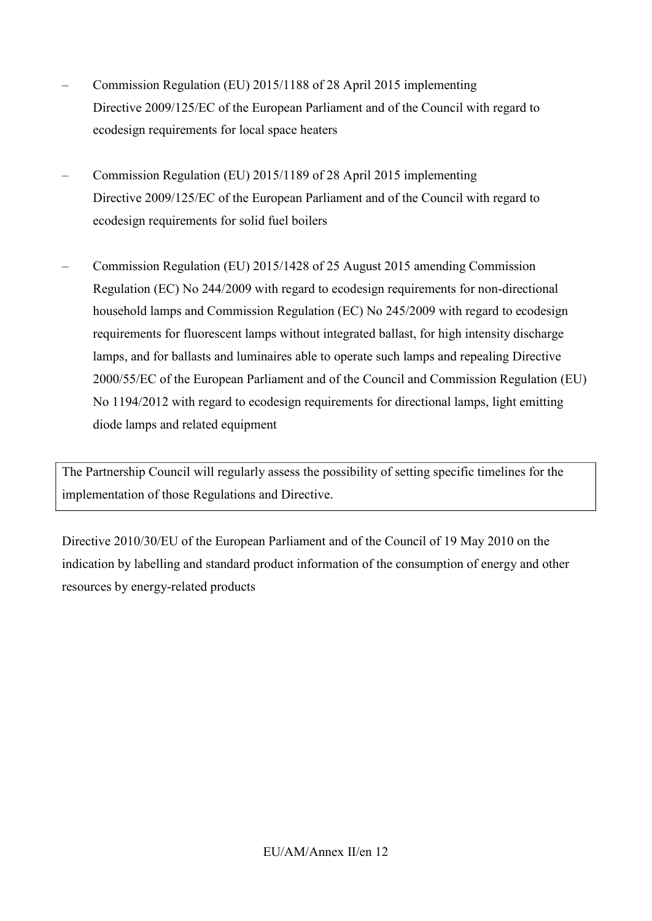- Commission Regulation (EU) 2015/1188 of 28 April 2015 implementing Directive 2009/125/EC of the European Parliament and of the Council with regard to ecodesign requirements for local space heaters
- Commission Regulation (EU) 2015/1189 of 28 April 2015 implementing Directive 2009/125/EC of the European Parliament and of the Council with regard to ecodesign requirements for solid fuel boilers
- Commission Regulation (EU) 2015/1428 of 25 August 2015 amending Commission Regulation (EC) No 244/2009 with regard to ecodesign requirements for non-directional household lamps and Commission Regulation (EC) No 245/2009 with regard to ecodesign requirements for fluorescent lamps without integrated ballast, for high intensity discharge lamps, and for ballasts and luminaires able to operate such lamps and repealing Directive 2000/55/EC of the European Parliament and of the Council and Commission Regulation (EU) No 1194/2012 with regard to ecodesign requirements for directional lamps, light emitting diode lamps and related equipment

The Partnership Council will regularly assess the possibility of setting specific timelines for the implementation of those Regulations and Directive.

Directive 2010/30/EU of the European Parliament and of the Council of 19 May 2010 on the indication by labelling and standard product information of the consumption of energy and other resources by energy-related products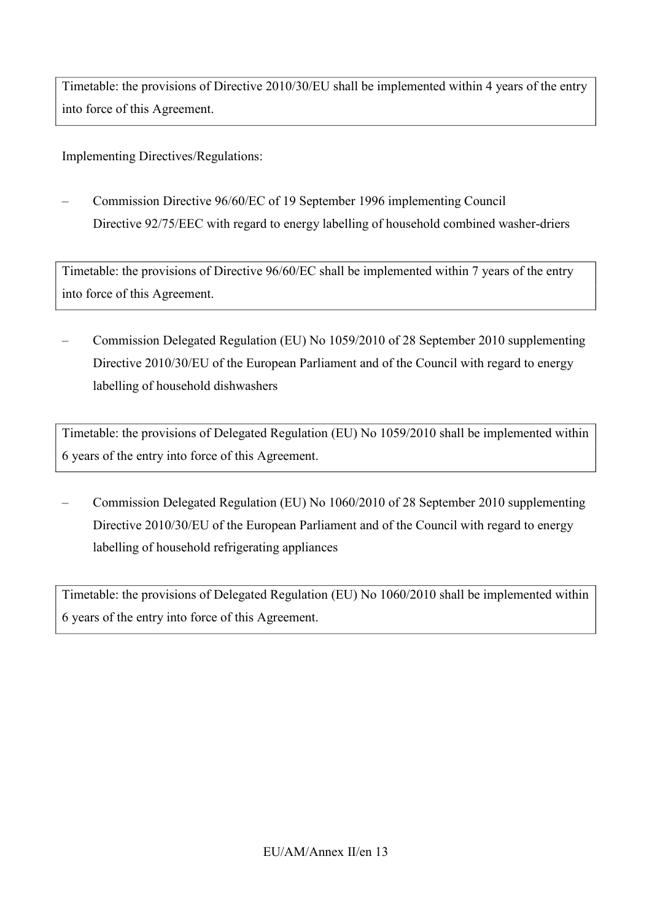Timetable: the provisions of Directive 2010/30/EU shall be implemented within 4 years of the entry into force of this Agreement.

Implementing Directives/Regulations:

– Commission Directive 96/60/EC of 19 September 1996 implementing Council Directive 92/75/EEC with regard to energy labelling of household combined washer-driers

Timetable: the provisions of Directive 96/60/EC shall be implemented within 7 years of the entry into force of this Agreement.

– Commission Delegated Regulation (EU) No 1059/2010 of 28 September 2010 supplementing Directive 2010/30/EU of the European Parliament and of the Council with regard to energy labelling of household dishwashers

Timetable: the provisions of Delegated Regulation (EU) No 1059/2010 shall be implemented within 6 years of the entry into force of this Agreement.

– Commission Delegated Regulation (EU) No 1060/2010 of 28 September 2010 supplementing Directive 2010/30/EU of the European Parliament and of the Council with regard to energy labelling of household refrigerating appliances

Timetable: the provisions of Delegated Regulation (EU) No 1060/2010 shall be implemented within 6 years of the entry into force of this Agreement.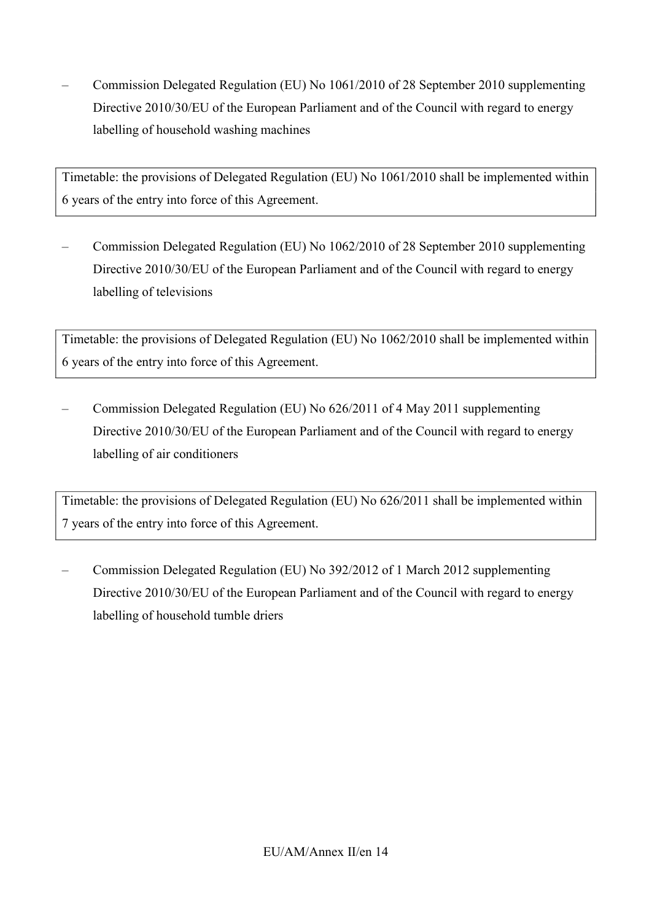– Commission Delegated Regulation (EU) No 1061/2010 of 28 September 2010 supplementing Directive 2010/30/EU of the European Parliament and of the Council with regard to energy labelling of household washing machines

Timetable: the provisions of Delegated Regulation (EU) No 1061/2010 shall be implemented within 6 years of the entry into force of this Agreement.

– Commission Delegated Regulation (EU) No 1062/2010 of 28 September 2010 supplementing Directive 2010/30/EU of the European Parliament and of the Council with regard to energy labelling of televisions

Timetable: the provisions of Delegated Regulation (EU) No 1062/2010 shall be implemented within 6 years of the entry into force of this Agreement.

– Commission Delegated Regulation (EU) No 626/2011 of 4 May 2011 supplementing Directive 2010/30/EU of the European Parliament and of the Council with regard to energy labelling of air conditioners

Timetable: the provisions of Delegated Regulation (EU) No 626/2011 shall be implemented within 7 years of the entry into force of this Agreement.

– Commission Delegated Regulation (EU) No 392/2012 of 1 March 2012 supplementing Directive 2010/30/EU of the European Parliament and of the Council with regard to energy labelling of household tumble driers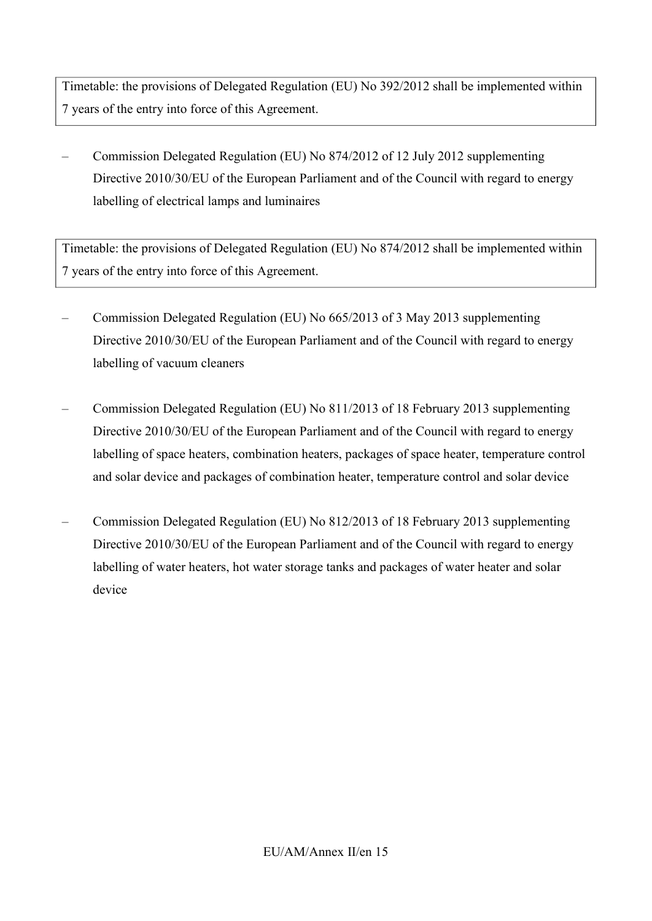Timetable: the provisions of Delegated Regulation (EU) No 392/2012 shall be implemented within 7 years of the entry into force of this Agreement.

– Commission Delegated Regulation (EU) No 874/2012 of 12 July 2012 supplementing Directive 2010/30/EU of the European Parliament and of the Council with regard to energy labelling of electrical lamps and luminaires

Timetable: the provisions of Delegated Regulation (EU) No 874/2012 shall be implemented within 7 years of the entry into force of this Agreement.

- Commission Delegated Regulation (EU) No 665/2013 of 3 May 2013 supplementing Directive 2010/30/EU of the European Parliament and of the Council with regard to energy labelling of vacuum cleaners
- Commission Delegated Regulation (EU) No 811/2013 of 18 February 2013 supplementing Directive 2010/30/EU of the European Parliament and of the Council with regard to energy labelling of space heaters, combination heaters, packages of space heater, temperature control and solar device and packages of combination heater, temperature control and solar device
- Commission Delegated Regulation (EU) No 812/2013 of 18 February 2013 supplementing Directive 2010/30/EU of the European Parliament and of the Council with regard to energy labelling of water heaters, hot water storage tanks and packages of water heater and solar device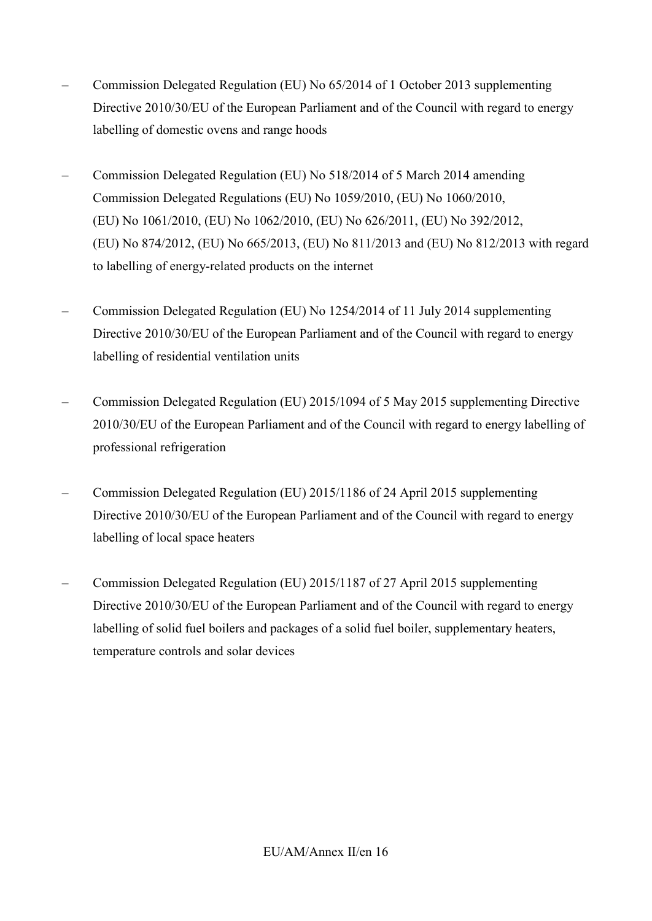- Commission Delegated Regulation (EU) No 65/2014 of 1 October 2013 supplementing Directive 2010/30/EU of the European Parliament and of the Council with regard to energy labelling of domestic ovens and range hoods
- Commission Delegated Regulation (EU) No 518/2014 of 5 March 2014 amending Commission Delegated Regulations (EU) No 1059/2010, (EU) No 1060/2010, (EU) No 1061/2010, (EU) No 1062/2010, (EU) No 626/2011, (EU) No 392/2012, (EU) No 874/2012, (EU) No 665/2013, (EU) No 811/2013 and (EU) No 812/2013 with regard to labelling of energy-related products on the internet
- Commission Delegated Regulation (EU) No 1254/2014 of 11 July 2014 supplementing Directive 2010/30/EU of the European Parliament and of the Council with regard to energy labelling of residential ventilation units
- Commission Delegated Regulation (EU) 2015/1094 of 5 May 2015 supplementing Directive 2010/30/EU of the European Parliament and of the Council with regard to energy labelling of professional refrigeration
- Commission Delegated Regulation (EU) 2015/1186 of 24 April 2015 supplementing Directive 2010/30/EU of the European Parliament and of the Council with regard to energy labelling of local space heaters
- Commission Delegated Regulation (EU) 2015/1187 of 27 April 2015 supplementing Directive 2010/30/EU of the European Parliament and of the Council with regard to energy labelling of solid fuel boilers and packages of a solid fuel boiler, supplementary heaters, temperature controls and solar devices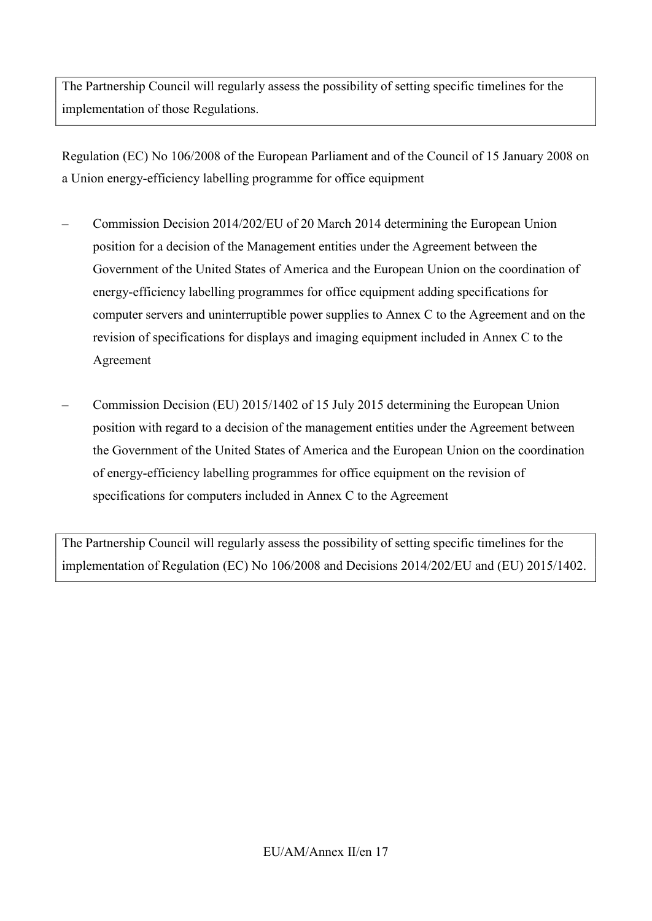The Partnership Council will regularly assess the possibility of setting specific timelines for the implementation of those Regulations.

Regulation (EC) No 106/2008 of the European Parliament and of the Council of 15 January 2008 on a Union energy-efficiency labelling programme for office equipment

- Commission Decision 2014/202/EU of 20 March 2014 determining the European Union position for a decision of the Management entities under the Agreement between the Government of the United States of America and the European Union on the coordination of energy-efficiency labelling programmes for office equipment adding specifications for computer servers and uninterruptible power supplies to Annex C to the Agreement and on the revision of specifications for displays and imaging equipment included in Annex C to the Agreement
- Commission Decision (EU) 2015/1402 of 15 July 2015 determining the European Union position with regard to a decision of the management entities under the Agreement between the Government of the United States of America and the European Union on the coordination of energy-efficiency labelling programmes for office equipment on the revision of specifications for computers included in Annex C to the Agreement

The Partnership Council will regularly assess the possibility of setting specific timelines for the implementation of Regulation (EC) No 106/2008 and Decisions 2014/202/EU and (EU) 2015/1402.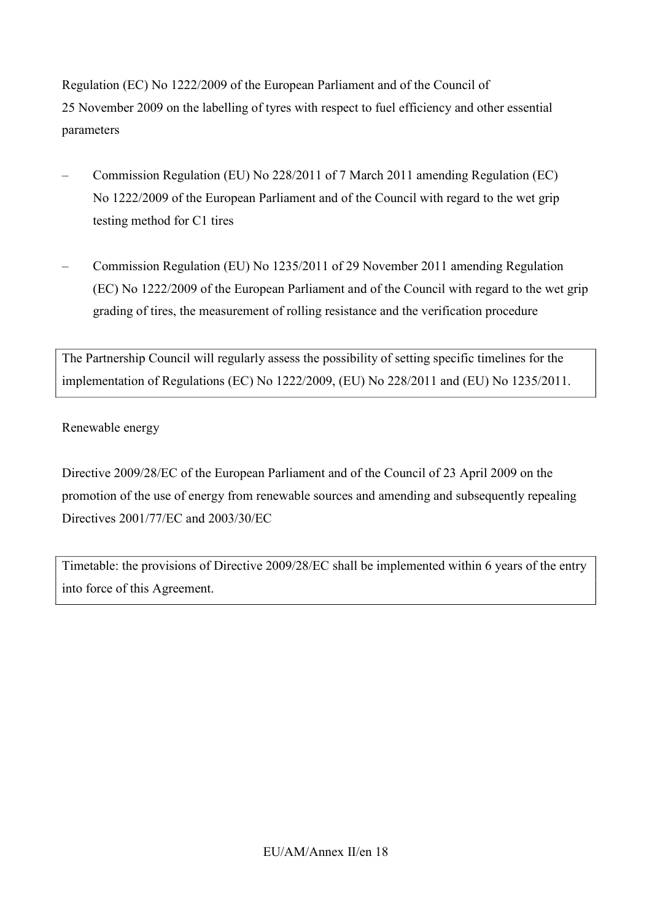Regulation (EC) No 1222/2009 of the European Parliament and of the Council of 25 November 2009 on the labelling of tyres with respect to fuel efficiency and other essential parameters

- Commission Regulation (EU) No 228/2011 of 7 March 2011 amending Regulation (EC) No 1222/2009 of the European Parliament and of the Council with regard to the wet grip testing method for C1 tires
- Commission Regulation (EU) No 1235/2011 of 29 November 2011 amending Regulation (EC) No 1222/2009 of the European Parliament and of the Council with regard to the wet grip grading of tires, the measurement of rolling resistance and the verification procedure

The Partnership Council will regularly assess the possibility of setting specific timelines for the implementation of Regulations (EC) No 1222/2009, (EU) No 228/2011 and (EU) No 1235/2011.

Renewable energy

Directive 2009/28/EC of the European Parliament and of the Council of 23 April 2009 on the promotion of the use of energy from renewable sources and amending and subsequently repealing Directives 2001/77/EC and 2003/30/EC

Timetable: the provisions of Directive 2009/28/EC shall be implemented within 6 years of the entry into force of this Agreement.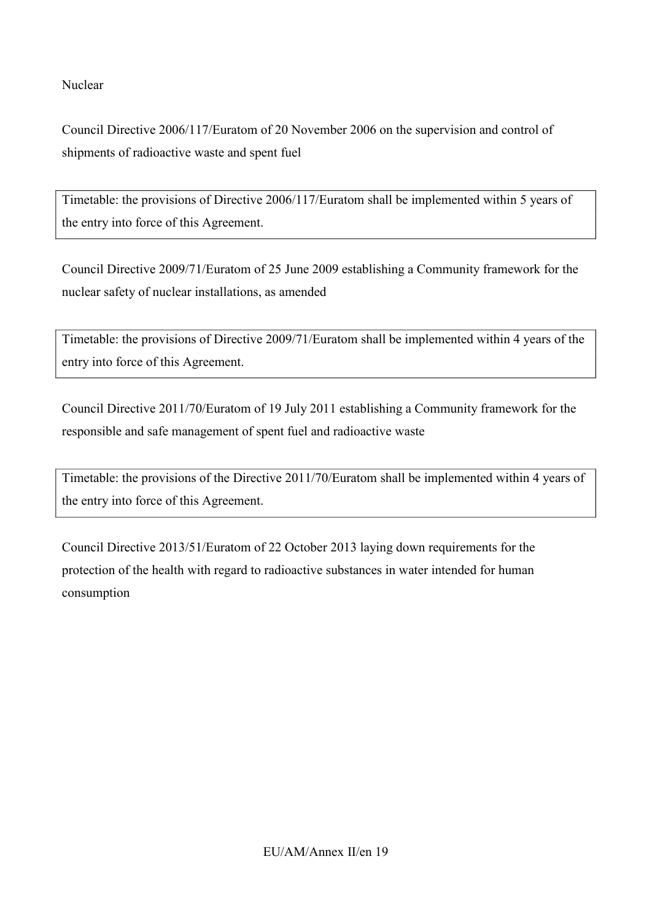Nuclear

Council Directive 2006/117/Euratom of 20 November 2006 on the supervision and control of shipments of radioactive waste and spent fuel

Timetable: the provisions of Directive 2006/117/Euratom shall be implemented within 5 years of the entry into force of this Agreement.

Council Directive 2009/71/Euratom of 25 June 2009 establishing a Community framework for the nuclear safety of nuclear installations, as amended

Timetable: the provisions of Directive 2009/71/Euratom shall be implemented within 4 years of the entry into force of this Agreement.

Council Directive 2011/70/Euratom of 19 July 2011 establishing a Community framework for the responsible and safe management of spent fuel and radioactive waste

Timetable: the provisions of the Directive 2011/70/Euratom shall be implemented within 4 years of the entry into force of this Agreement.

Council Directive 2013/51/Euratom of 22 October 2013 laying down requirements for the protection of the health with regard to radioactive substances in water intended for human consumption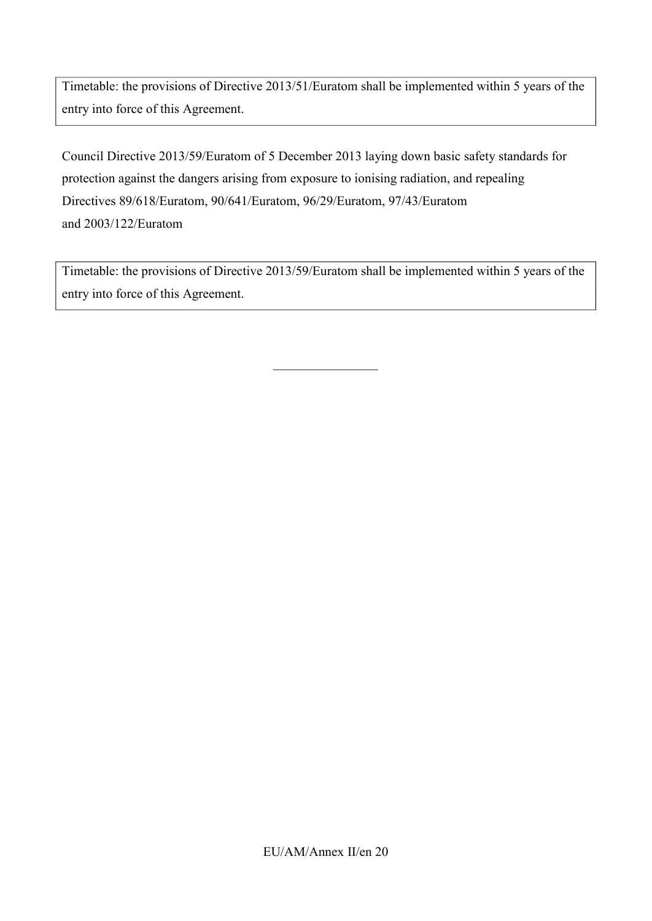Timetable: the provisions of Directive 2013/51/Euratom shall be implemented within 5 years of the entry into force of this Agreement.

Council Directive 2013/59/Euratom of 5 December 2013 laying down basic safety standards for protection against the dangers arising from exposure to ionising radiation, and repealing Directives 89/618/Euratom, 90/641/Euratom, 96/29/Euratom, 97/43/Euratom and 2003/122/Euratom

Timetable: the provisions of Directive 2013/59/Euratom shall be implemented within 5 years of the entry into force of this Agreement.

 $\_$ 

EU/AM/Annex II/en 20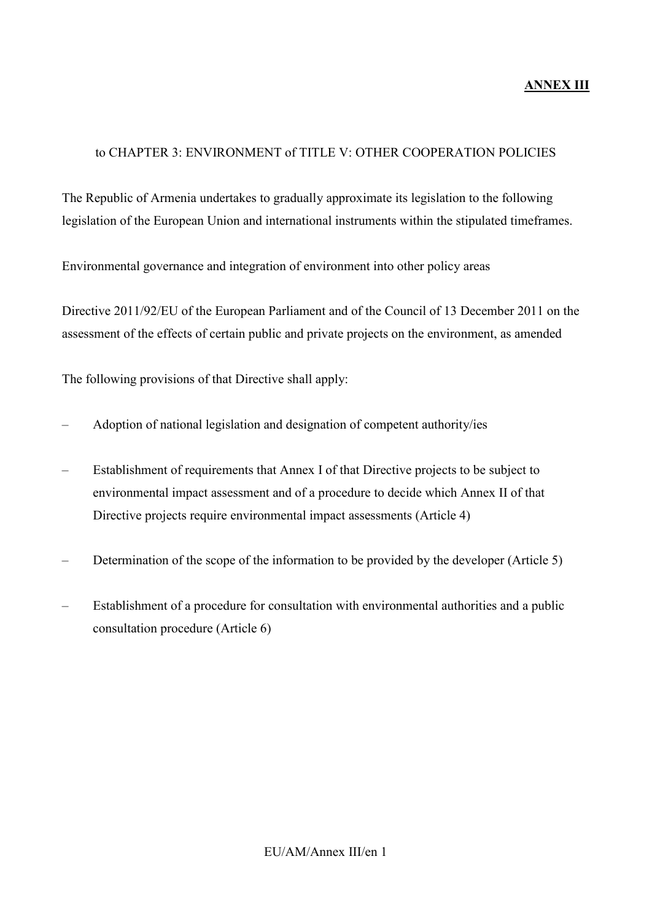## **ANNEX III**

#### to CHAPTER 3: ENVIRONMENT of TITLE V: OTHER COOPERATION POLICIES

The Republic of Armenia undertakes to gradually approximate its legislation to the following legislation of the European Union and international instruments within the stipulated timeframes.

Environmental governance and integration of environment into other policy areas

Directive 2011/92/EU of the European Parliament and of the Council of 13 December 2011 on the assessment of the effects of certain public and private projects on the environment, as amended

- Adoption of national legislation and designation of competent authority/ies
- Establishment of requirements that Annex I of that Directive projects to be subject to environmental impact assessment and of a procedure to decide which Annex II of that Directive projects require environmental impact assessments (Article 4)
- Determination of the scope of the information to be provided by the developer (Article 5)
- Establishment of a procedure for consultation with environmental authorities and a public consultation procedure (Article 6)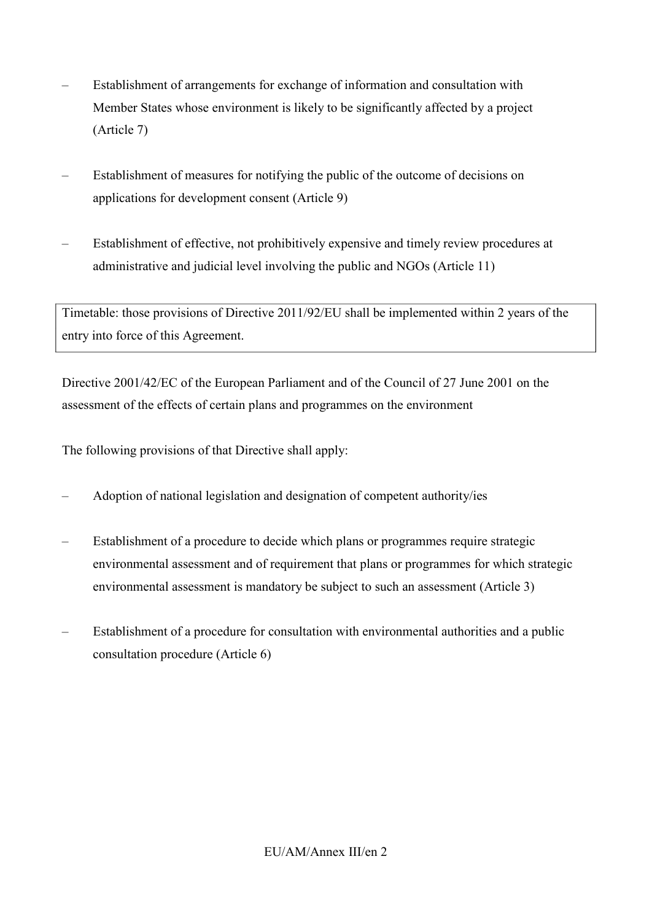- Establishment of arrangements for exchange of information and consultation with Member States whose environment is likely to be significantly affected by a project (Article 7)
- Establishment of measures for notifying the public of the outcome of decisions on applications for development consent (Article 9)
- Establishment of effective, not prohibitively expensive and timely review procedures at administrative and judicial level involving the public and NGOs (Article 11)

Timetable: those provisions of Directive 2011/92/EU shall be implemented within 2 years of the entry into force of this Agreement.

Directive 2001/42/EC of the European Parliament and of the Council of 27 June 2001 on the assessment of the effects of certain plans and programmes on the environment

- Adoption of national legislation and designation of competent authority/ies
- Establishment of a procedure to decide which plans or programmes require strategic environmental assessment and of requirement that plans or programmes for which strategic environmental assessment is mandatory be subject to such an assessment (Article 3)
- Establishment of a procedure for consultation with environmental authorities and a public consultation procedure (Article 6)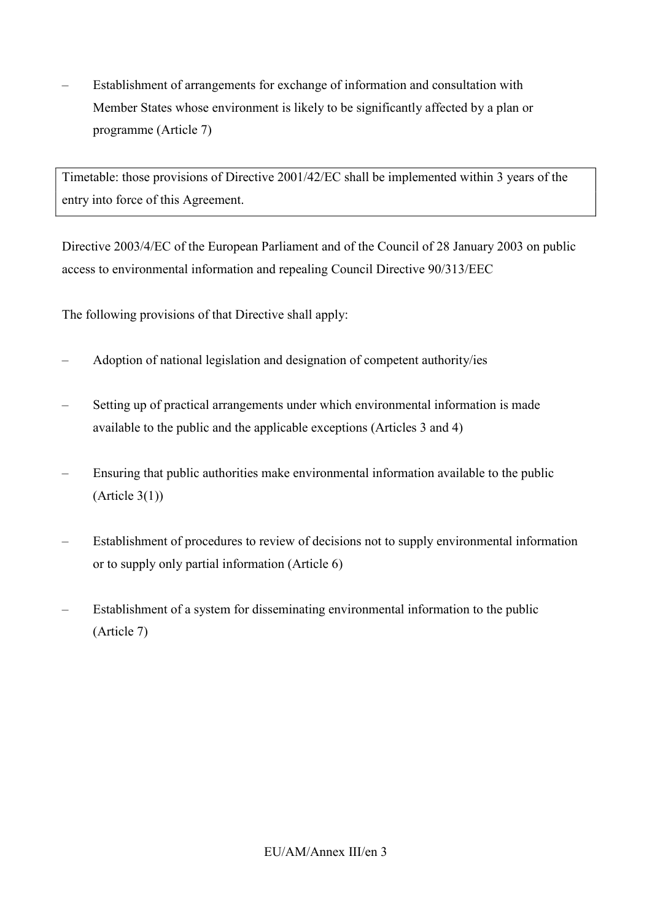– Establishment of arrangements for exchange of information and consultation with Member States whose environment is likely to be significantly affected by a plan or programme (Article 7)

Timetable: those provisions of Directive 2001/42/EC shall be implemented within 3 years of the entry into force of this Agreement.

Directive 2003/4/EC of the European Parliament and of the Council of 28 January 2003 on public access to environmental information and repealing Council Directive 90/313/EEC

- Adoption of national legislation and designation of competent authority/ies
- Setting up of practical arrangements under which environmental information is made available to the public and the applicable exceptions (Articles 3 and 4)
- Ensuring that public authorities make environmental information available to the public (Article 3(1))
- Establishment of procedures to review of decisions not to supply environmental information or to supply only partial information (Article 6)
- Establishment of a system for disseminating environmental information to the public (Article 7)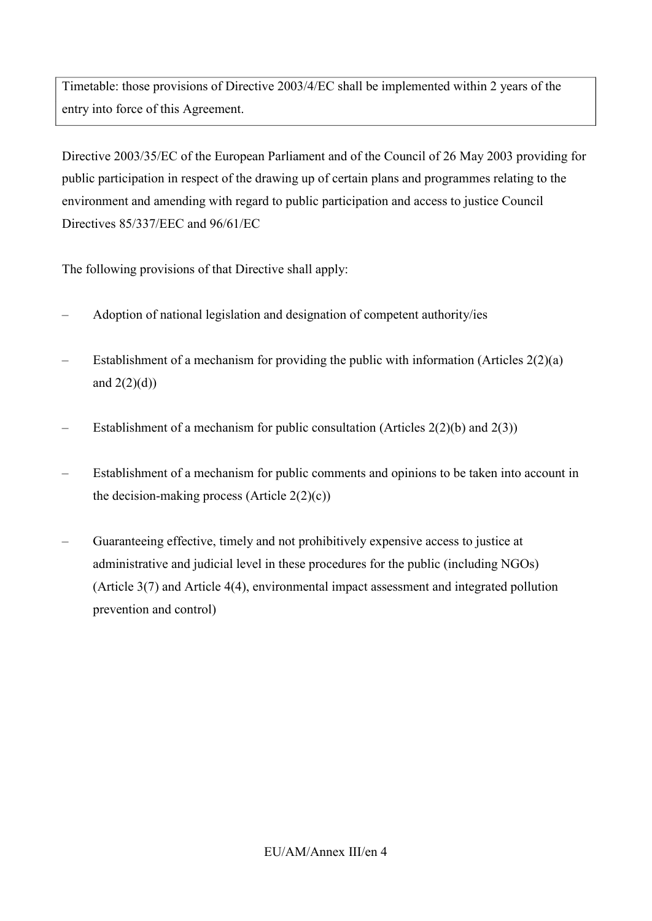Timetable: those provisions of Directive 2003/4/EC shall be implemented within 2 years of the entry into force of this Agreement.

Directive 2003/35/EC of the European Parliament and of the Council of 26 May 2003 providing for public participation in respect of the drawing up of certain plans and programmes relating to the environment and amending with regard to public participation and access to justice Council Directives 85/337/EEC and 96/61/EC

- Adoption of national legislation and designation of competent authority/ies
- Establishment of a mechanism for providing the public with information (Articles  $2(2)(a)$ ) and  $2(2)(d)$
- Establishment of a mechanism for public consultation (Articles  $2(2)(b)$  and  $2(3)$ )
- Establishment of a mechanism for public comments and opinions to be taken into account in the decision-making process (Article  $2(2)(c)$ )
- Guaranteeing effective, timely and not prohibitively expensive access to justice at administrative and judicial level in these procedures for the public (including NGOs) (Article 3(7) and Article 4(4), environmental impact assessment and integrated pollution prevention and control)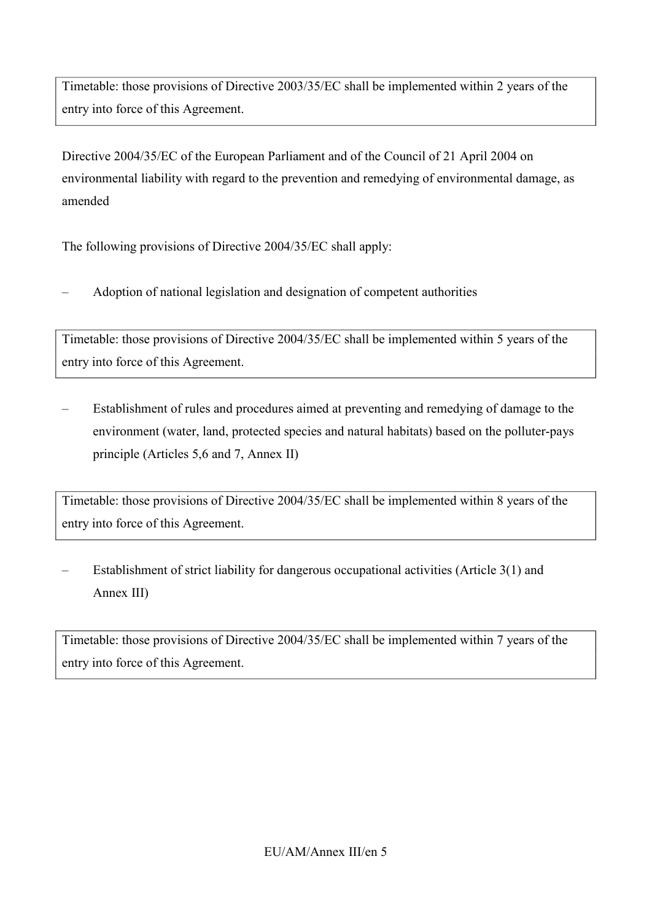Timetable: those provisions of Directive 2003/35/EC shall be implemented within 2 years of the entry into force of this Agreement.

Directive 2004/35/EC of the European Parliament and of the Council of 21 April 2004 on environmental liability with regard to the prevention and remedying of environmental damage, as amended

The following provisions of Directive 2004/35/EC shall apply:

– Adoption of national legislation and designation of competent authorities

Timetable: those provisions of Directive 2004/35/EC shall be implemented within 5 years of the entry into force of this Agreement.

– Establishment of rules and procedures aimed at preventing and remedying of damage to the environment (water, land, protected species and natural habitats) based on the polluter-pays principle (Articles 5,6 and 7, Annex II)

Timetable: those provisions of Directive 2004/35/EC shall be implemented within 8 years of the entry into force of this Agreement.

– Establishment of strict liability for dangerous occupational activities (Article 3(1) and Annex III)

Timetable: those provisions of Directive 2004/35/EC shall be implemented within 7 years of the entry into force of this Agreement.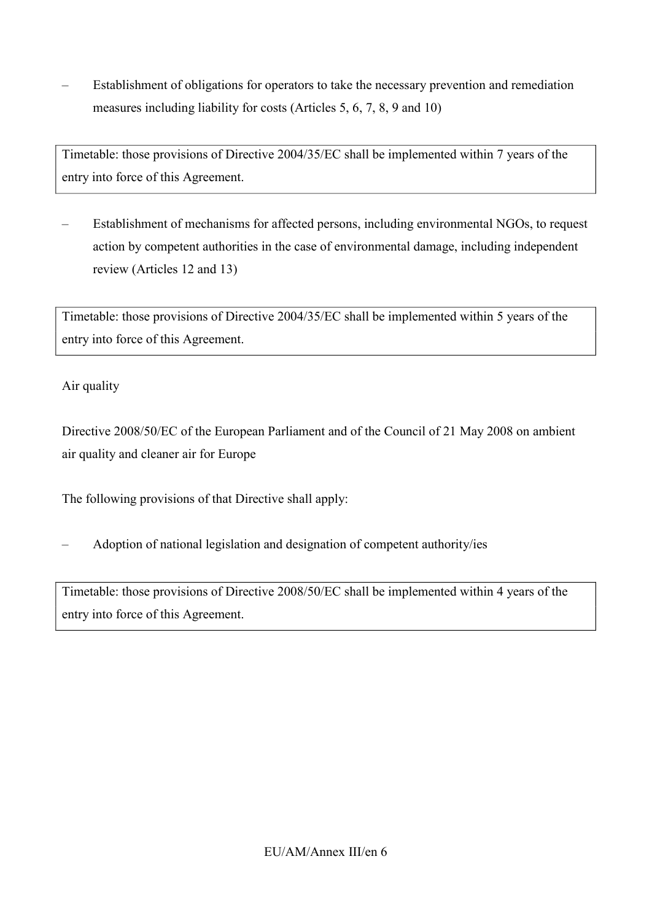– Establishment of obligations for operators to take the necessary prevention and remediation measures including liability for costs (Articles 5, 6, 7, 8, 9 and 10)

Timetable: those provisions of Directive 2004/35/EC shall be implemented within 7 years of the entry into force of this Agreement.

– Establishment of mechanisms for affected persons, including environmental NGOs, to request action by competent authorities in the case of environmental damage, including independent review (Articles 12 and 13)

Timetable: those provisions of Directive 2004/35/EC shall be implemented within 5 years of the entry into force of this Agreement.

# Air quality

Directive 2008/50/EC of the European Parliament and of the Council of 21 May 2008 on ambient air quality and cleaner air for Europe

The following provisions of that Directive shall apply:

– Adoption of national legislation and designation of competent authority/ies

Timetable: those provisions of Directive 2008/50/EC shall be implemented within 4 years of the entry into force of this Agreement.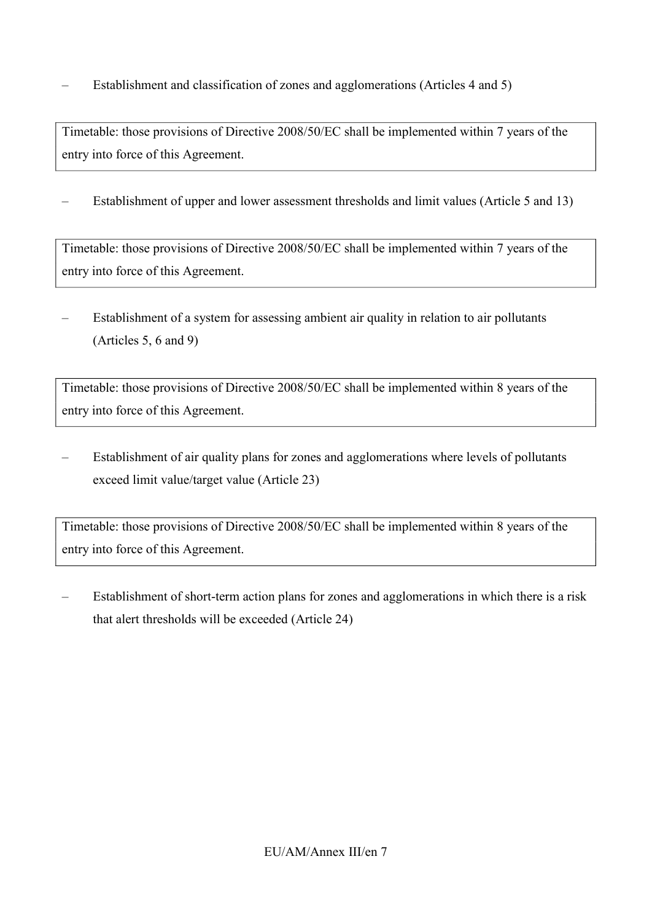– Establishment and classification of zones and agglomerations (Articles 4 and 5)

Timetable: those provisions of Directive 2008/50/EC shall be implemented within 7 years of the entry into force of this Agreement.

– Establishment of upper and lower assessment thresholds and limit values (Article 5 and 13)

Timetable: those provisions of Directive 2008/50/EC shall be implemented within 7 years of the entry into force of this Agreement.

– Establishment of a system for assessing ambient air quality in relation to air pollutants (Articles 5, 6 and 9)

Timetable: those provisions of Directive 2008/50/EC shall be implemented within 8 years of the entry into force of this Agreement.

– Establishment of air quality plans for zones and agglomerations where levels of pollutants exceed limit value/target value (Article 23)

Timetable: those provisions of Directive 2008/50/EC shall be implemented within 8 years of the entry into force of this Agreement.

– Establishment of short-term action plans for zones and agglomerations in which there is a risk that alert thresholds will be exceeded (Article 24)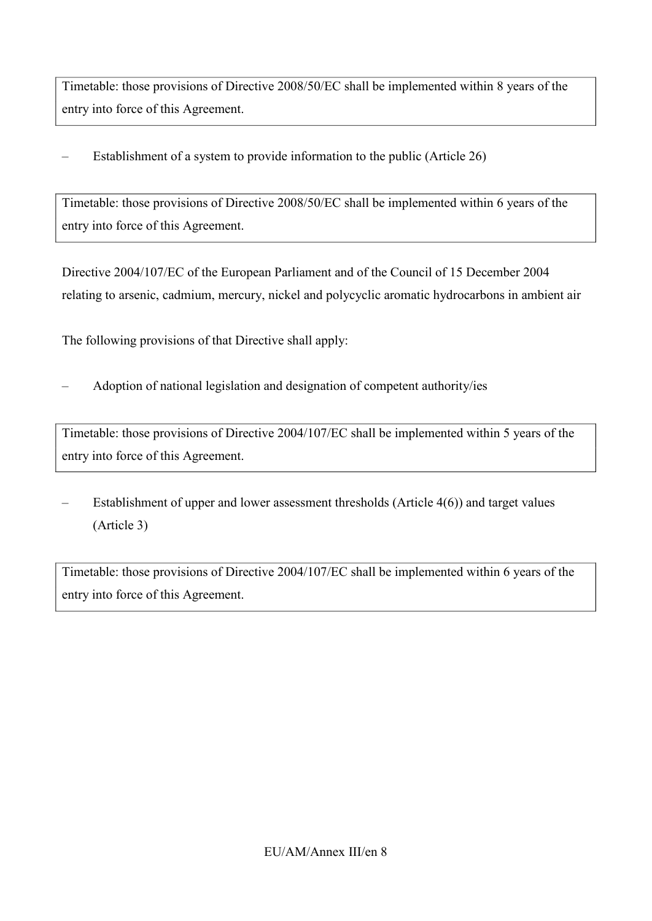Timetable: those provisions of Directive 2008/50/EC shall be implemented within 8 years of the entry into force of this Agreement.

– Establishment of a system to provide information to the public (Article 26)

Timetable: those provisions of Directive 2008/50/EC shall be implemented within 6 years of the entry into force of this Agreement.

Directive 2004/107/EC of the European Parliament and of the Council of 15 December 2004 relating to arsenic, cadmium, mercury, nickel and polycyclic aromatic hydrocarbons in ambient air

The following provisions of that Directive shall apply:

– Adoption of national legislation and designation of competent authority/ies

Timetable: those provisions of Directive 2004/107/EC shall be implemented within 5 years of the entry into force of this Agreement.

– Establishment of upper and lower assessment thresholds (Article 4(6)) and target values (Article 3)

Timetable: those provisions of Directive 2004/107/EC shall be implemented within 6 years of the entry into force of this Agreement.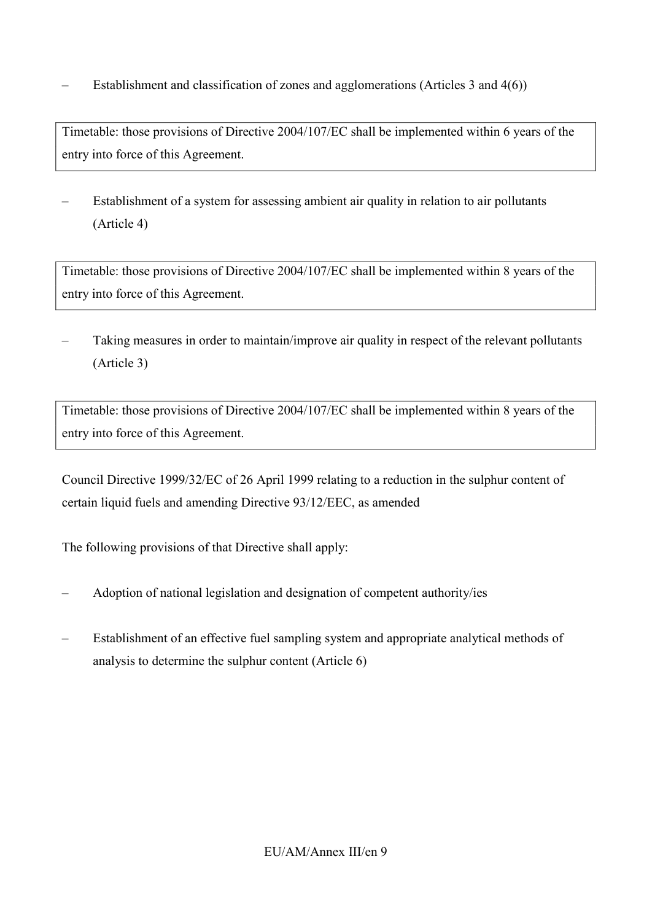– Establishment and classification of zones and agglomerations (Articles 3 and 4(6))

Timetable: those provisions of Directive 2004/107/EC shall be implemented within 6 years of the entry into force of this Agreement.

– Establishment of a system for assessing ambient air quality in relation to air pollutants (Article 4)

Timetable: those provisions of Directive 2004/107/EC shall be implemented within 8 years of the entry into force of this Agreement.

– Taking measures in order to maintain/improve air quality in respect of the relevant pollutants (Article 3)

Timetable: those provisions of Directive 2004/107/EC shall be implemented within 8 years of the entry into force of this Agreement.

Council Directive 1999/32/EC of 26 April 1999 relating to a reduction in the sulphur content of certain liquid fuels and amending Directive 93/12/EEC, as amended

- Adoption of national legislation and designation of competent authority/ies
- Establishment of an effective fuel sampling system and appropriate analytical methods of analysis to determine the sulphur content (Article 6)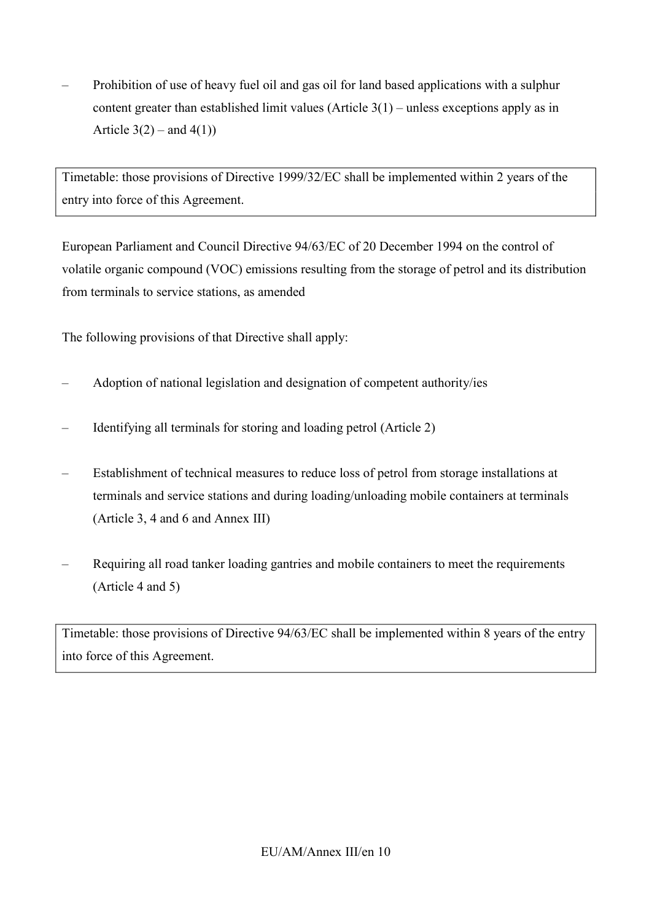– Prohibition of use of heavy fuel oil and gas oil for land based applications with a sulphur content greater than established limit values  $(A$ rticle  $3(1)$  – unless exceptions apply as in Article  $3(2)$  – and  $4(1)$ )

Timetable: those provisions of Directive 1999/32/EC shall be implemented within 2 years of the entry into force of this Agreement.

European Parliament and Council Directive 94/63/EC of 20 December 1994 on the control of volatile organic compound (VOC) emissions resulting from the storage of petrol and its distribution from terminals to service stations, as amended

The following provisions of that Directive shall apply:

- Adoption of national legislation and designation of competent authority/ies
- Identifying all terminals for storing and loading petrol (Article 2)
- Establishment of technical measures to reduce loss of petrol from storage installations at terminals and service stations and during loading/unloading mobile containers at terminals (Article 3, 4 and 6 and Annex III)
- Requiring all road tanker loading gantries and mobile containers to meet the requirements (Article 4 and 5)

Timetable: those provisions of Directive 94/63/EC shall be implemented within 8 years of the entry into force of this Agreement.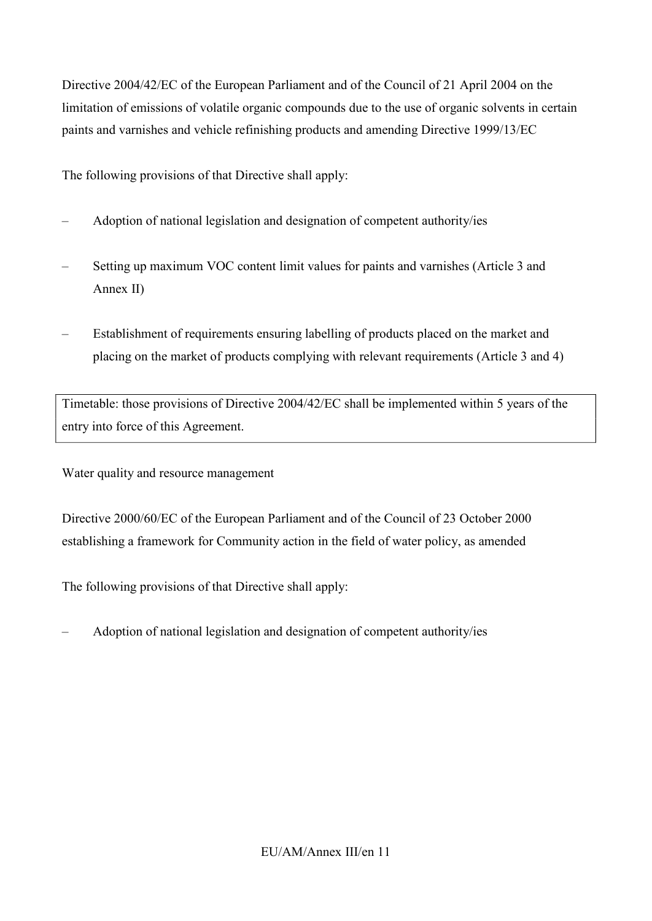Directive 2004/42/EC of the European Parliament and of the Council of 21 April 2004 on the limitation of emissions of volatile organic compounds due to the use of organic solvents in certain paints and varnishes and vehicle refinishing products and amending Directive 1999/13/EC

The following provisions of that Directive shall apply:

- Adoption of national legislation and designation of competent authority/ies
- Setting up maximum VOC content limit values for paints and varnishes (Article 3 and Annex II)
- Establishment of requirements ensuring labelling of products placed on the market and placing on the market of products complying with relevant requirements (Article 3 and 4)

Timetable: those provisions of Directive 2004/42/EC shall be implemented within 5 years of the entry into force of this Agreement.

Water quality and resource management

Directive 2000/60/EC of the European Parliament and of the Council of 23 October 2000 establishing a framework for Community action in the field of water policy, as amended

The following provisions of that Directive shall apply:

– Adoption of national legislation and designation of competent authority/ies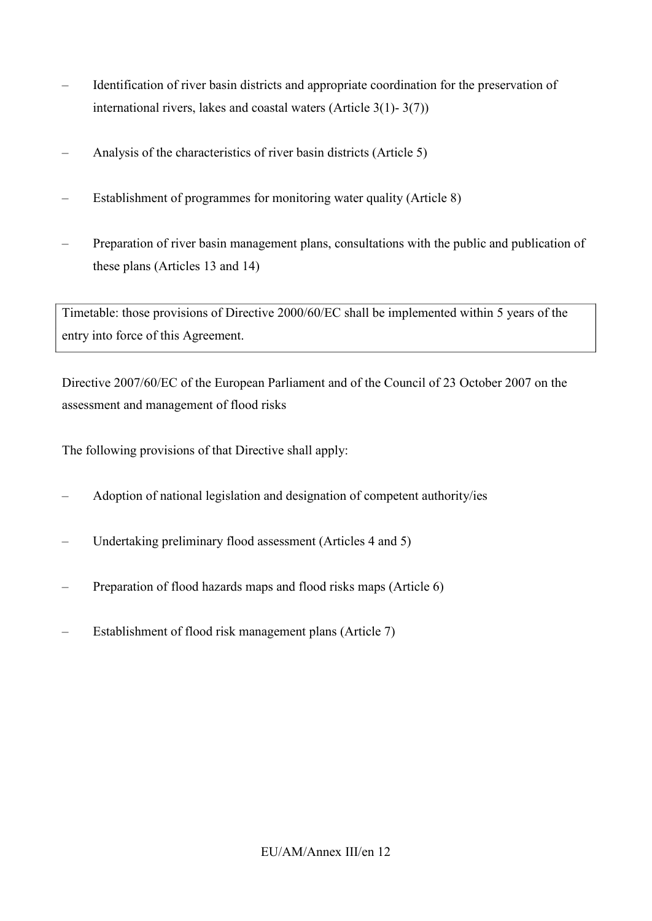- Identification of river basin districts and appropriate coordination for the preservation of international rivers, lakes and coastal waters (Article 3(1)- 3(7))
- Analysis of the characteristics of river basin districts (Article 5)
- Establishment of programmes for monitoring water quality (Article 8)
- Preparation of river basin management plans, consultations with the public and publication of these plans (Articles 13 and 14)

Timetable: those provisions of Directive 2000/60/EC shall be implemented within 5 years of the entry into force of this Agreement.

Directive 2007/60/EC of the European Parliament and of the Council of 23 October 2007 on the assessment and management of flood risks

- Adoption of national legislation and designation of competent authority/ies
- Undertaking preliminary flood assessment (Articles 4 and 5)
- Preparation of flood hazards maps and flood risks maps (Article 6)
- Establishment of flood risk management plans (Article 7)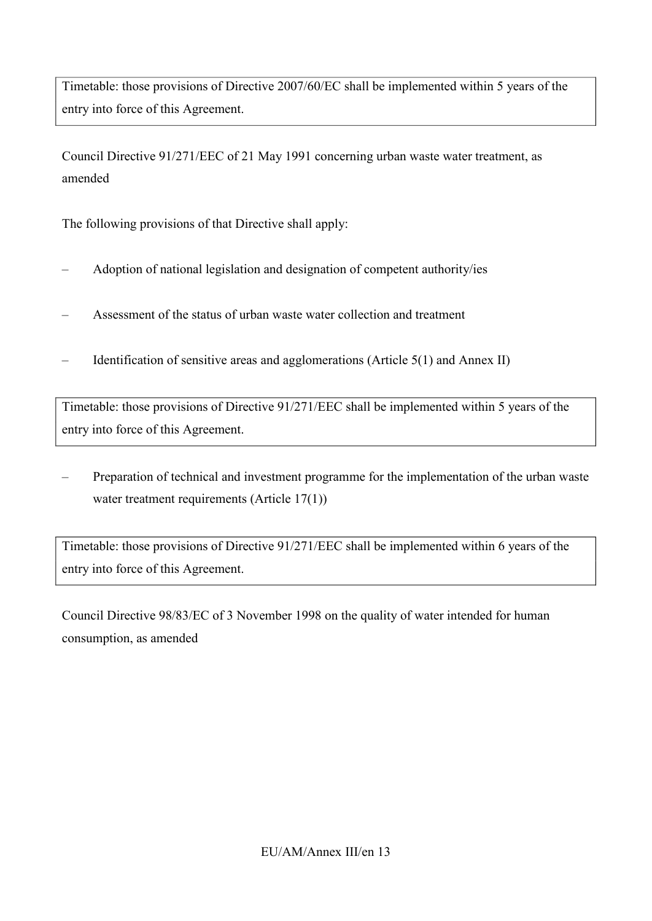Timetable: those provisions of Directive 2007/60/EC shall be implemented within 5 years of the entry into force of this Agreement.

Council Directive 91/271/EEC of 21 May 1991 concerning urban waste water treatment, as amended

The following provisions of that Directive shall apply:

- Adoption of national legislation and designation of competent authority/ies
- Assessment of the status of urban waste water collection and treatment
- Identification of sensitive areas and agglomerations (Article 5(1) and Annex II)

Timetable: those provisions of Directive 91/271/EEC shall be implemented within 5 years of the entry into force of this Agreement.

– Preparation of technical and investment programme for the implementation of the urban waste water treatment requirements (Article 17(1))

Timetable: those provisions of Directive 91/271/EEC shall be implemented within 6 years of the entry into force of this Agreement.

Council Directive 98/83/EC of 3 November 1998 on the quality of water intended for human consumption, as amended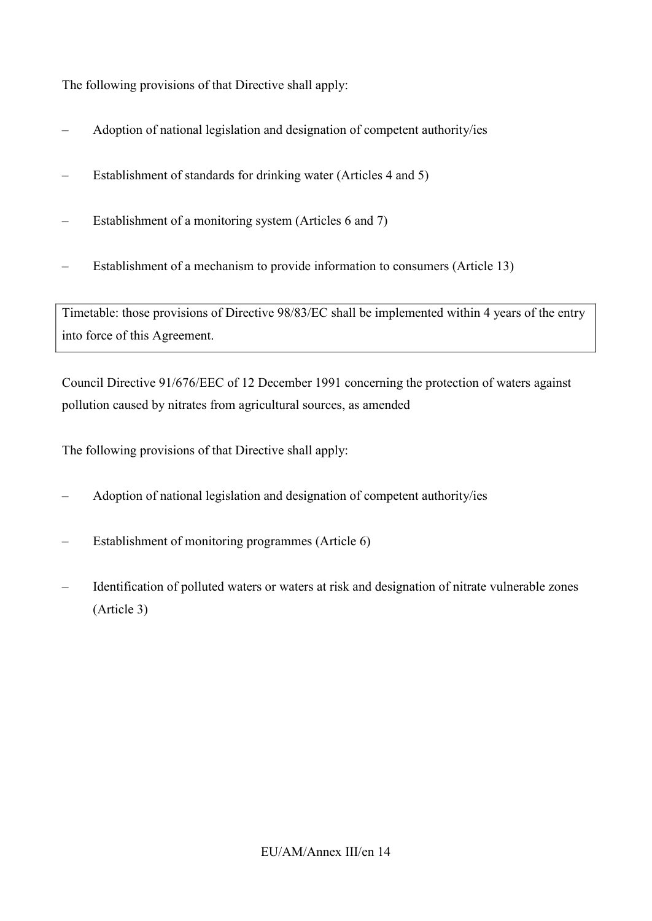The following provisions of that Directive shall apply:

- Adoption of national legislation and designation of competent authority/ies
- Establishment of standards for drinking water (Articles 4 and 5)
- Establishment of a monitoring system (Articles 6 and 7)
- Establishment of a mechanism to provide information to consumers (Article 13)

Timetable: those provisions of Directive 98/83/EC shall be implemented within 4 years of the entry into force of this Agreement.

Council Directive 91/676/EEC of 12 December 1991 concerning the protection of waters against pollution caused by nitrates from agricultural sources, as amended

- Adoption of national legislation and designation of competent authority/ies
- Establishment of monitoring programmes (Article 6)
- Identification of polluted waters or waters at risk and designation of nitrate vulnerable zones (Article 3)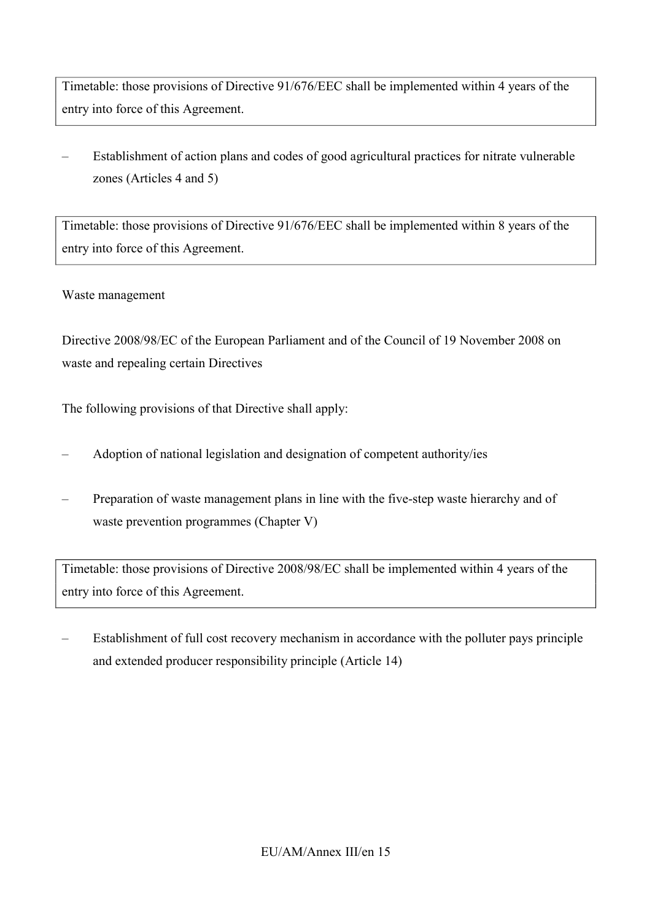Timetable: those provisions of Directive 91/676/EEC shall be implemented within 4 years of the entry into force of this Agreement.

– Establishment of action plans and codes of good agricultural practices for nitrate vulnerable zones (Articles 4 and 5)

Timetable: those provisions of Directive 91/676/EEC shall be implemented within 8 years of the entry into force of this Agreement.

### Waste management

Directive 2008/98/EC of the European Parliament and of the Council of 19 November 2008 on waste and repealing certain Directives

The following provisions of that Directive shall apply:

- Adoption of national legislation and designation of competent authority/ies
- Preparation of waste management plans in line with the five-step waste hierarchy and of waste prevention programmes (Chapter V)

Timetable: those provisions of Directive 2008/98/EC shall be implemented within 4 years of the entry into force of this Agreement.

– Establishment of full cost recovery mechanism in accordance with the polluter pays principle and extended producer responsibility principle (Article 14)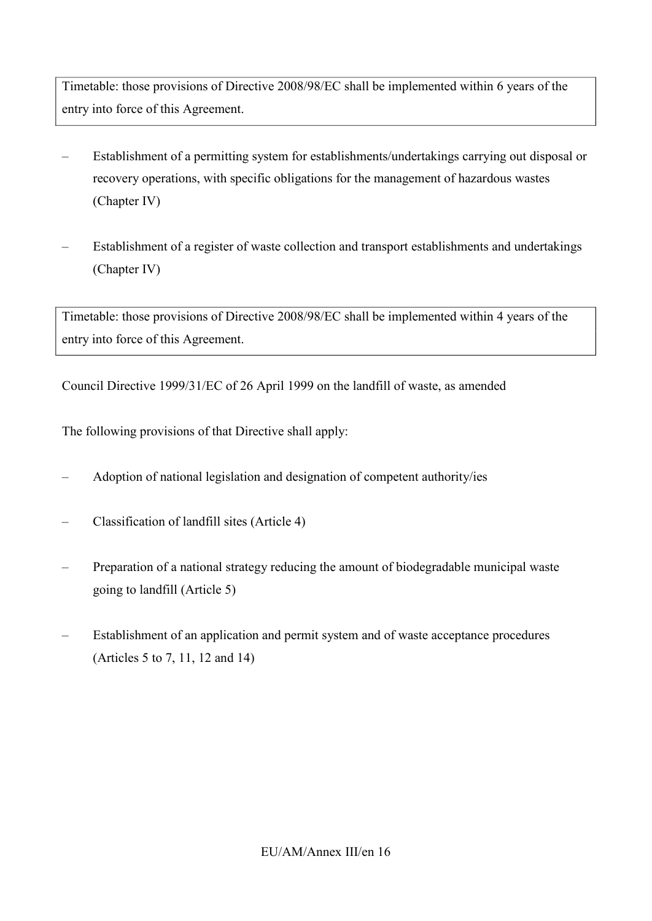Timetable: those provisions of Directive 2008/98/EC shall be implemented within 6 years of the entry into force of this Agreement.

- Establishment of a permitting system for establishments/undertakings carrying out disposal or recovery operations, with specific obligations for the management of hazardous wastes (Chapter IV)
- Establishment of a register of waste collection and transport establishments and undertakings (Chapter IV)

Timetable: those provisions of Directive 2008/98/EC shall be implemented within 4 years of the entry into force of this Agreement.

Council Directive 1999/31/ЕС of 26 April 1999 on the landfill of waste, as amended

- Adoption of national legislation and designation of competent authority/ies
- Classification of landfill sites (Article 4)
- Preparation of a national strategy reducing the amount of biodegradable municipal waste going to landfill (Article 5)
- Establishment of an application and permit system and of waste acceptance procedures (Articles 5 to 7, 11, 12 and 14)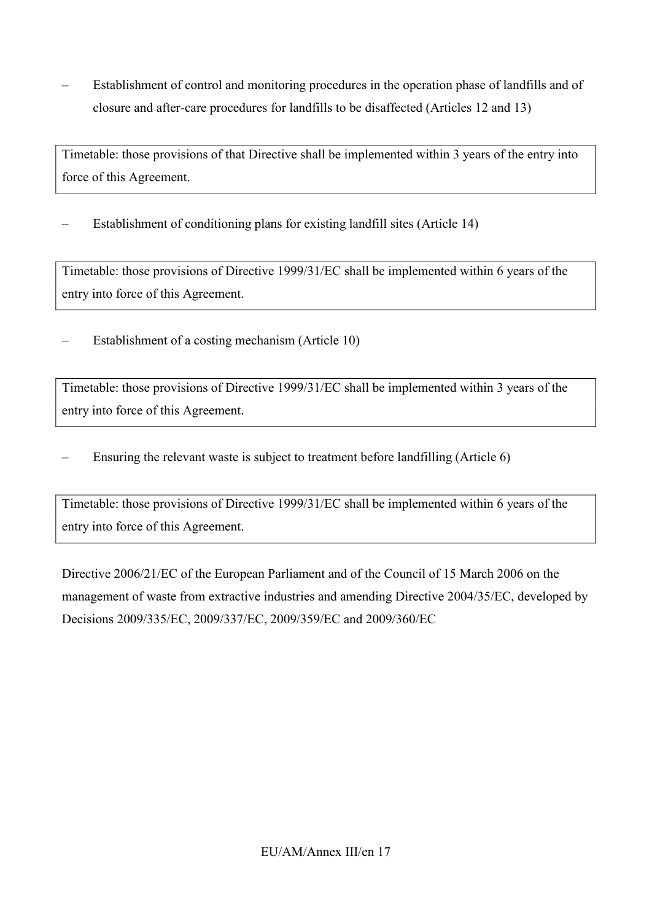– Establishment of control and monitoring procedures in the operation phase of landfills and of closure and after-care procedures for landfills to be disaffected (Articles 12 and 13)

Timetable: those provisions of that Directive shall be implemented within 3 years of the entry into force of this Agreement.

– Establishment of conditioning plans for existing landfill sites (Article 14)

Timetable: those provisions of Directive 1999/31/ЕС shall be implemented within 6 years of the entry into force of this Agreement.

– Establishment of a costing mechanism (Article 10)

Timetable: those provisions of Directive 1999/31/ЕС shall be implemented within 3 years of the entry into force of this Agreement.

– Ensuring the relevant waste is subject to treatment before landfilling (Article 6)

Timetable: those provisions of Directive 1999/31/ЕС shall be implemented within 6 years of the entry into force of this Agreement.

Directive 2006/21/EC of the European Parliament and of the Council of 15 March 2006 on the management of waste from extractive industries and amending Directive 2004/35/EC, developed by Decisions 2009/335/EC, 2009/337/EC, 2009/359/EC and 2009/360/EC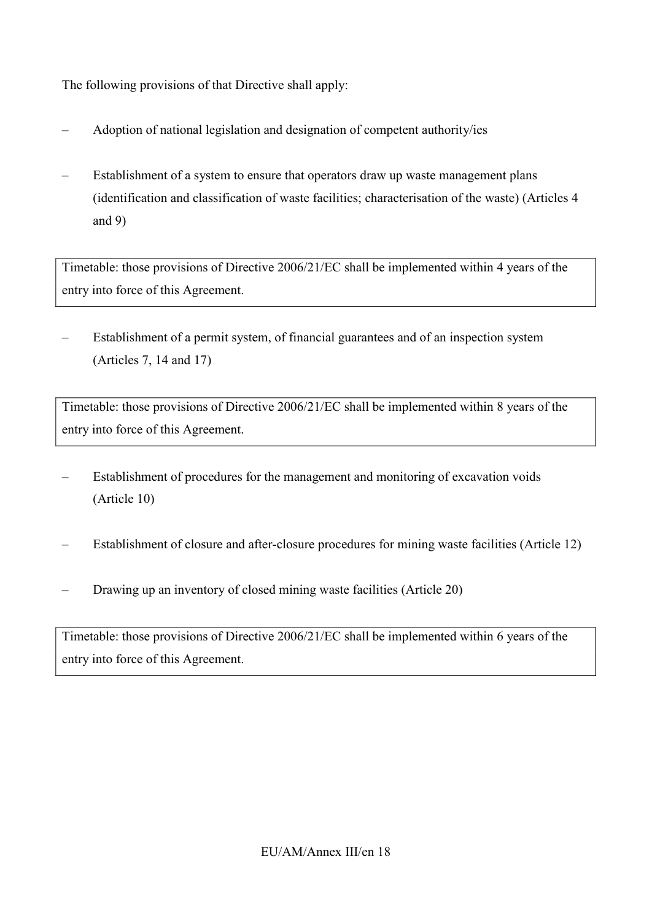The following provisions of that Directive shall apply:

- Adoption of national legislation and designation of competent authority/ies
- Establishment of a system to ensure that operators draw up waste management plans (identification and classification of waste facilities; characterisation of the waste) (Articles 4 and 9)

Timetable: those provisions of Directive 2006/21/EC shall be implemented within 4 years of the entry into force of this Agreement.

– Establishment of a permit system, of financial guarantees and of an inspection system (Articles 7, 14 and 17)

Timetable: those provisions of Directive 2006/21/EC shall be implemented within 8 years of the entry into force of this Agreement.

- Establishment of procedures for the management and monitoring of excavation voids (Article 10)
- Establishment of closure and after-closure procedures for mining waste facilities (Article 12)
- Drawing up an inventory of closed mining waste facilities (Article 20)

Timetable: those provisions of Directive 2006/21/EC shall be implemented within 6 years of the entry into force of this Agreement.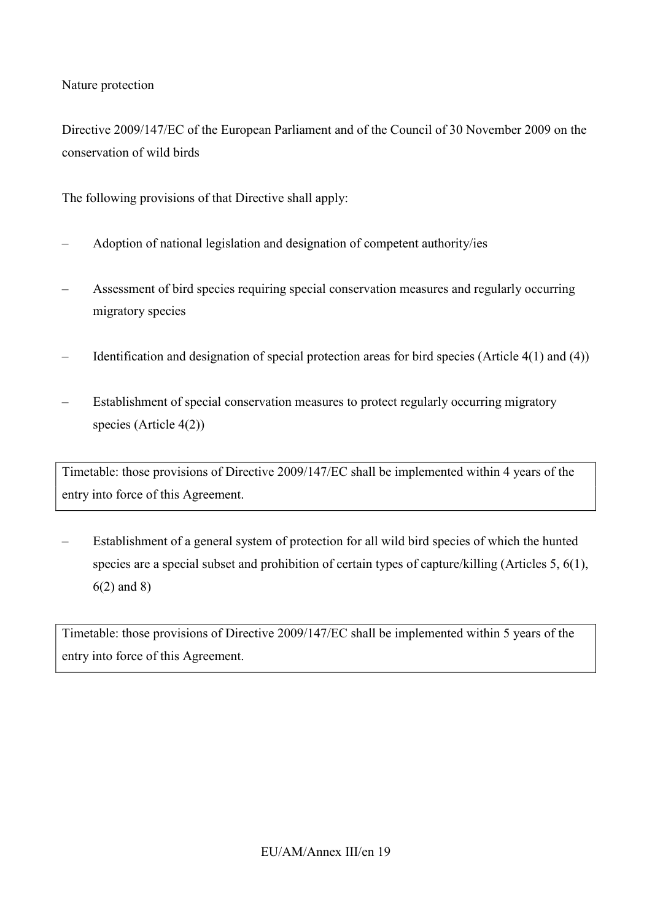Nature protection

Directive 2009/147/EC of the European Parliament and of the Council of 30 November 2009 on the conservation of wild birds

The following provisions of that Directive shall apply:

- Adoption of national legislation and designation of competent authority/ies
- Assessment of bird species requiring special conservation measures and regularly occurring migratory species
- Identification and designation of special protection areas for bird species (Article 4(1) and (4))
- Establishment of special conservation measures to protect regularly occurring migratory species (Article 4(2))

Timetable: those provisions of Directive 2009/147/EC shall be implemented within 4 years of the entry into force of this Agreement.

– Establishment of a general system of protection for all wild bird species of which the hunted species are a special subset and prohibition of certain types of capture/killing (Articles 5, 6(1), 6(2) and 8)

Timetable: those provisions of Directive 2009/147/EC shall be implemented within 5 years of the entry into force of this Agreement.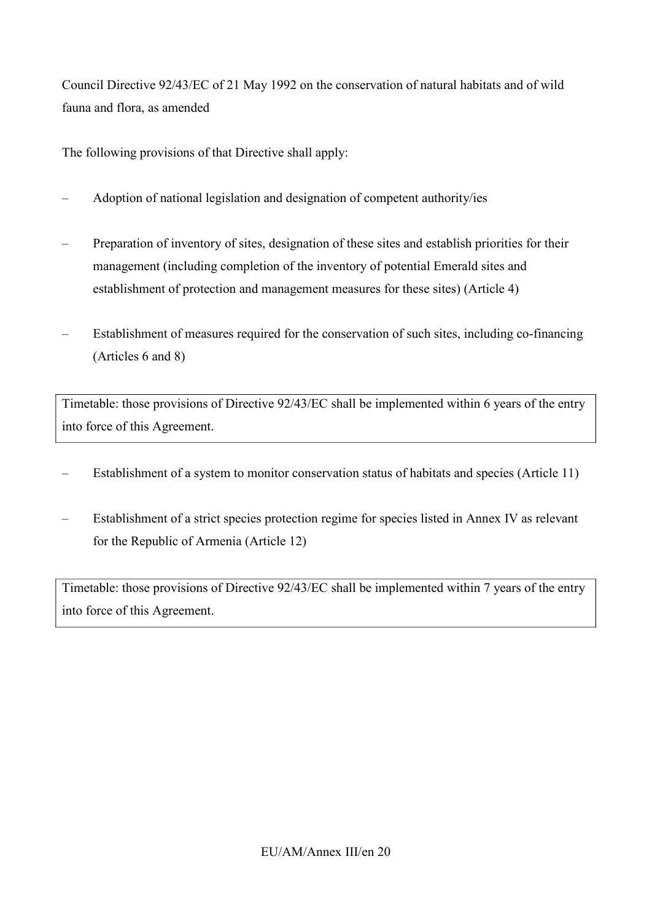Council Directive 92/43/EC of 21 May 1992 on the conservation of natural habitats and of wild fauna and flora, as amended

The following provisions of that Directive shall apply:

- Adoption of national legislation and designation of competent authority/ies
- Preparation of inventory of sites, designation of these sites and establish priorities for their management (including completion of the inventory of potential Emerald sites and establishment of protection and management measures for these sites) (Article 4)
- Establishment of measures required for the conservation of such sites, including co-financing (Articles 6 and 8)

Timetable: those provisions of Directive 92/43/EC shall be implemented within 6 years of the entry into force of this Agreement.

- Establishment of a system to monitor conservation status of habitats and species (Article 11)
- Establishment of a strict species protection regime for species listed in Annex IV as relevant for the Republic of Armenia (Article 12)

Timetable: those provisions of Directive 92/43/EC shall be implemented within 7 years of the entry into force of this Agreement.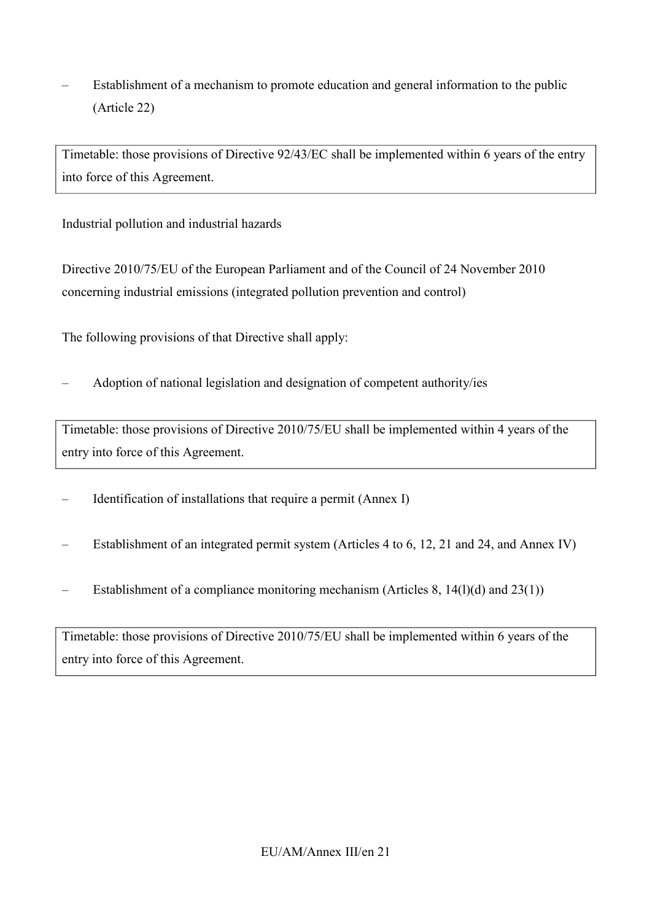– Establishment of a mechanism to promote education and general information to the public (Article 22)

Timetable: those provisions of Directive 92/43/EC shall be implemented within 6 years of the entry into force of this Agreement.

Industrial pollution and industrial hazards

Directive 2010/75/EU of the European Parliament and of the Council of 24 November 2010 concerning industrial emissions (integrated pollution prevention and control)

The following provisions of that Directive shall apply:

– Adoption of national legislation and designation of competent authority/ies

Timetable: those provisions of Directive 2010/75/EU shall be implemented within 4 years of the entry into force of this Agreement.

- Identification of installations that require a permit (Annex I)
- Establishment of an integrated permit system (Articles 4 to 6, 12, 21 and 24, and Annex IV)
- Establishment of a compliance monitoring mechanism (Articles 8,  $14(1)(d)$  and  $23(1)$ )

Timetable: those provisions of Directive 2010/75/EU shall be implemented within 6 years of the entry into force of this Agreement.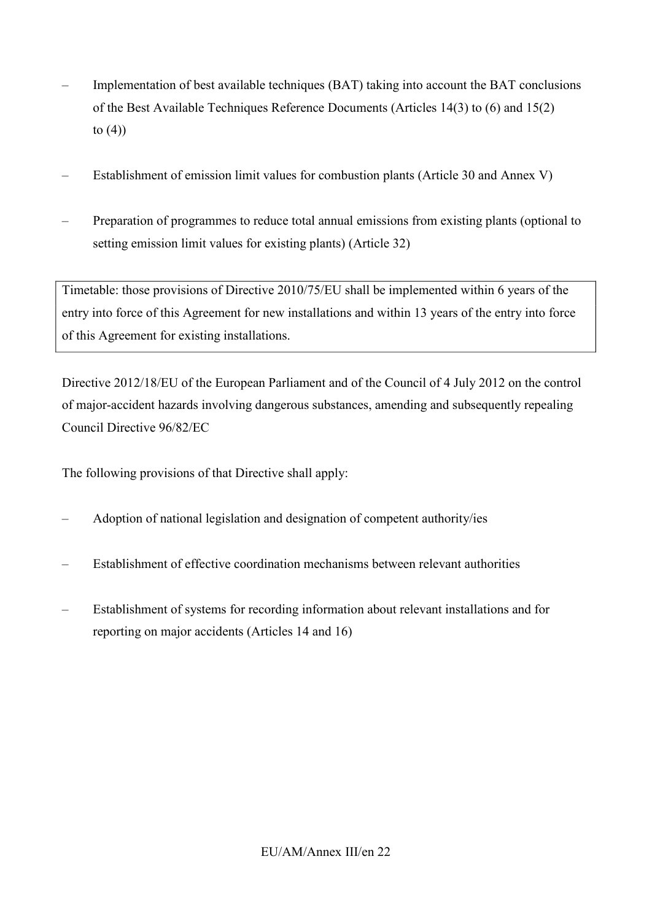- Implementation of best available techniques (BAT) taking into account the BAT conclusions of the Best Available Techniques Reference Documents (Articles 14(3) to (6) and 15(2) to  $(4)$
- Establishment of emission limit values for combustion plants (Article 30 and Annex V)
- Preparation of programmes to reduce total annual emissions from existing plants (optional to setting emission limit values for existing plants) (Article 32)

Timetable: those provisions of Directive 2010/75/EU shall be implemented within 6 years of the entry into force of this Agreement for new installations and within 13 years of the entry into force of this Agreement for existing installations.

Directive 2012/18/EU of the European Parliament and of the Council of 4 July 2012 on the control of major-accident hazards involving dangerous substances, amending and subsequently repealing Council Directive 96/82/EC

- Adoption of national legislation and designation of competent authority/ies
- Establishment of effective coordination mechanisms between relevant authorities
- Establishment of systems for recording information about relevant installations and for reporting on major accidents (Articles 14 and 16)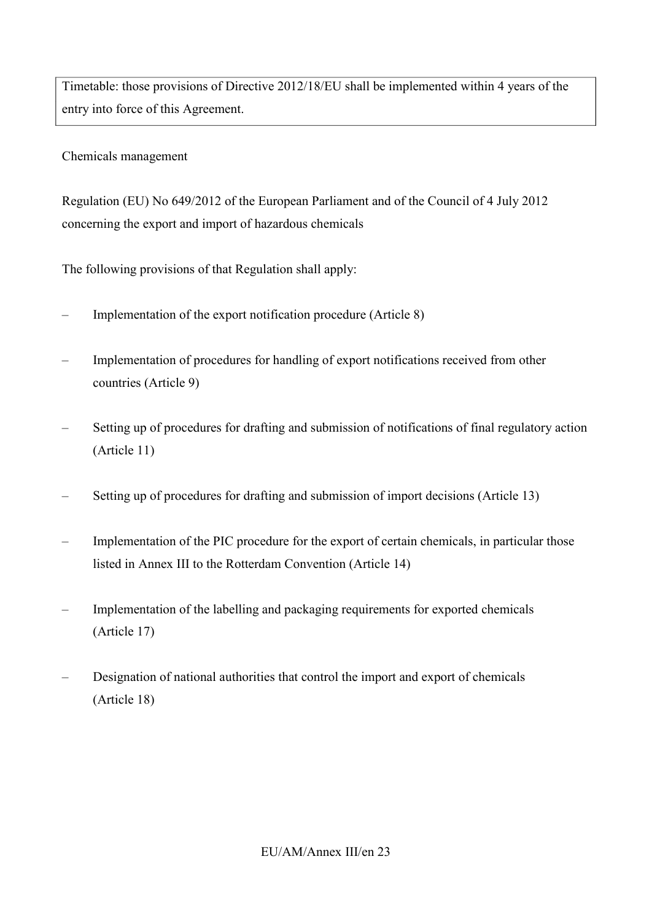Timetable: those provisions of Directive 2012/18/EU shall be implemented within 4 years of the entry into force of this Agreement.

Chemicals management

Regulation (EU) No 649/2012 of the European Parliament and of the Council of 4 July 2012 concerning the export and import of hazardous chemicals

- Implementation of the export notification procedure (Article 8)
- Implementation of procedures for handling of export notifications received from other countries (Article 9)
- Setting up of procedures for drafting and submission of notifications of final regulatory action (Article 11)
- Setting up of procedures for drafting and submission of import decisions (Article 13)
- Implementation of the PIC procedure for the export of certain chemicals, in particular those listed in Annex III to the Rotterdam Convention (Article 14)
- Implementation of the labelling and packaging requirements for exported chemicals (Article 17)
- Designation of national authorities that control the import and export of chemicals (Article 18)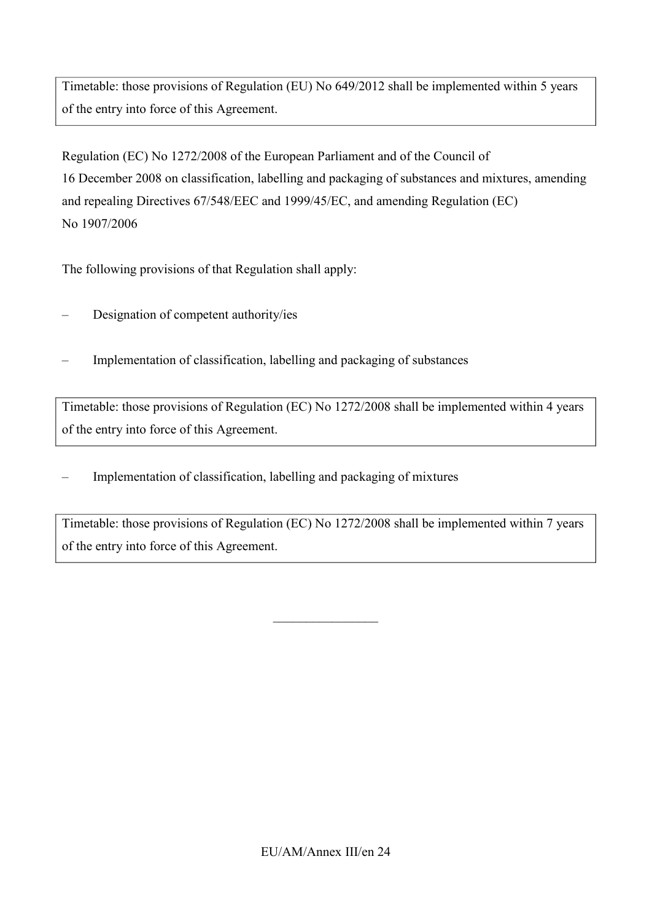Timetable: those provisions of Regulation (EU) No 649/2012 shall be implemented within 5 years of the entry into force of this Agreement.

Regulation (EC) No 1272/2008 of the European Parliament and of the Council of 16 December 2008 on classification, labelling and packaging of substances and mixtures, amending and repealing Directives 67/548/EEC and 1999/45/EC, and amending Regulation (EC) No 1907/2006

The following provisions of that Regulation shall apply:

- Designation of competent authority/ies
- Implementation of classification, labelling and packaging of substances

Timetable: those provisions of Regulation (EC) No 1272/2008 shall be implemented within 4 years of the entry into force of this Agreement.

– Implementation of classification, labelling and packaging of mixtures

Timetable: those provisions of Regulation (EC) No 1272/2008 shall be implemented within 7 years of the entry into force of this Agreement.

 $\overline{\phantom{a}}$  , where  $\overline{\phantom{a}}$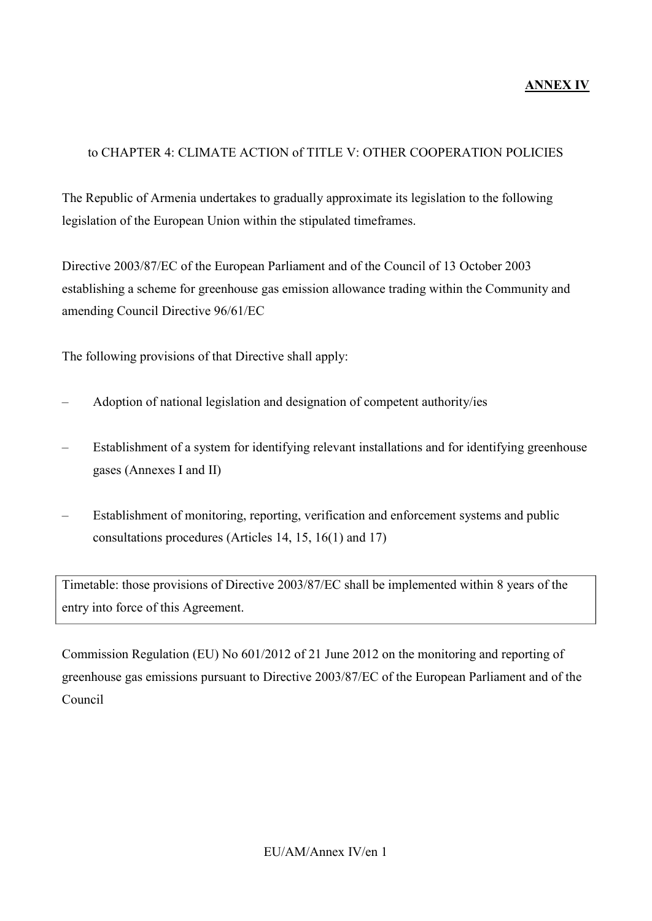### to CHAPTER 4: CLIMATE ACTION of TITLE V: OTHER COOPERATION POLICIES

The Republic of Armenia undertakes to gradually approximate its legislation to the following legislation of the European Union within the stipulated timeframes.

Directive 2003/87/EC of the European Parliament and of the Council of 13 October 2003 establishing a scheme for greenhouse gas emission allowance trading within the Community and amending Council Directive 96/61/EC

The following provisions of that Directive shall apply:

- Adoption of national legislation and designation of competent authority/ies
- Establishment of a system for identifying relevant installations and for identifying greenhouse gases (Annexes I and II)
- Establishment of monitoring, reporting, verification and enforcement systems and public consultations procedures (Articles 14, 15, 16(1) and 17)

Timetable: those provisions of Directive 2003/87/EC shall be implemented within 8 years of the entry into force of this Agreement.

Commission Regulation (EU) No 601/2012 of 21 June 2012 on the monitoring and reporting of greenhouse gas emissions pursuant to Directive 2003/87/EC of the European Parliament and of the Council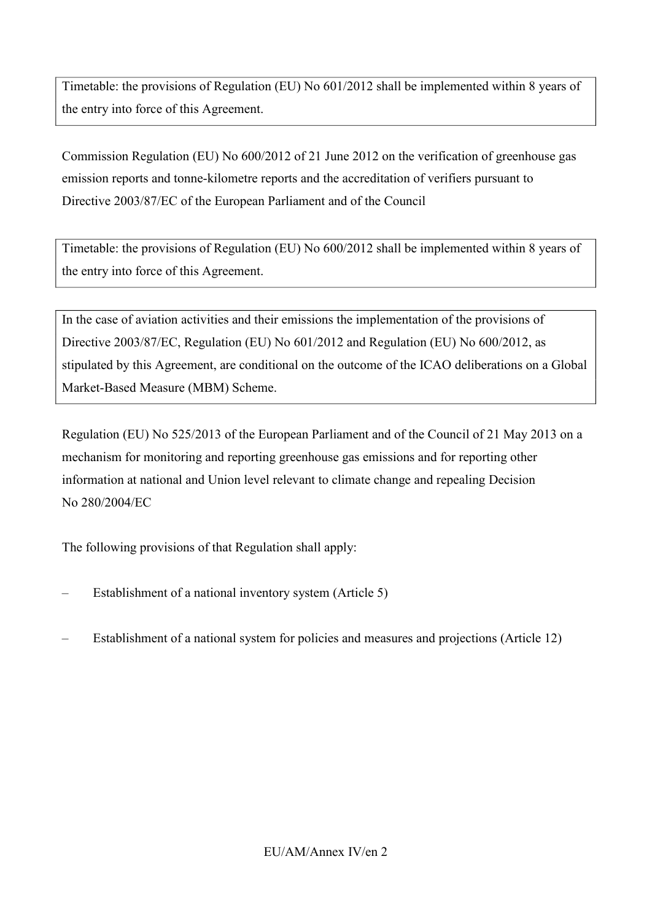Timetable: the provisions of Regulation (EU) No 601/2012 shall be implemented within 8 years of the entry into force of this Agreement.

Commission Regulation (EU) No 600/2012 of 21 June 2012 on the verification of greenhouse gas emission reports and tonne-kilometre reports and the accreditation of verifiers pursuant to Directive 2003/87/EC of the European Parliament and of the Council

Timetable: the provisions of Regulation (EU) No 600/2012 shall be implemented within 8 years of the entry into force of this Agreement.

In the case of aviation activities and their emissions the implementation of the provisions of Directive 2003/87/EC, Regulation (EU) No 601/2012 and Regulation (EU) No 600/2012, as stipulated by this Agreement, are conditional on the outcome of the ICAO deliberations on a Global Market-Based Measure (MBM) Scheme.

Regulation (EU) No 525/2013 of the European Parliament and of the Council of 21 May 2013 on a mechanism for monitoring and reporting greenhouse gas emissions and for reporting other information at national and Union level relevant to climate change and repealing Decision No 280/2004/EC

- Establishment of a national inventory system (Article 5)
- Establishment of a national system for policies and measures and projections (Article 12)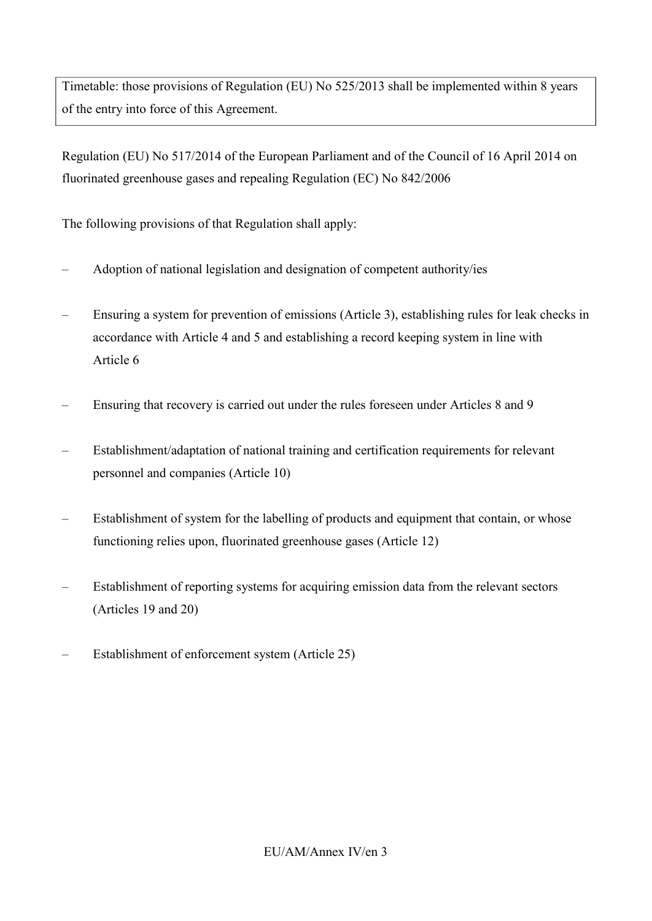Timetable: those provisions of Regulation (EU) No 525/2013 shall be implemented within 8 years of the entry into force of this Agreement.

Regulation (EU) No 517/2014 of the European Parliament and of the Council of 16 April 2014 on fluorinated greenhouse gases and repealing Regulation (EC) No 842/2006

- Adoption of national legislation and designation of competent authority/ies
- Ensuring a system for prevention of emissions (Article 3), establishing rules for leak checks in accordance with Article 4 and 5 and establishing a record keeping system in line with Article 6
- Ensuring that recovery is carried out under the rules foreseen under Articles 8 and 9
- Establishment/adaptation of national training and certification requirements for relevant personnel and companies (Article 10)
- Establishment of system for the labelling of products and equipment that contain, or whose functioning relies upon, fluorinated greenhouse gases (Article 12)
- Establishment of reporting systems for acquiring emission data from the relevant sectors (Articles 19 and 20)
- Establishment of enforcement system (Article 25)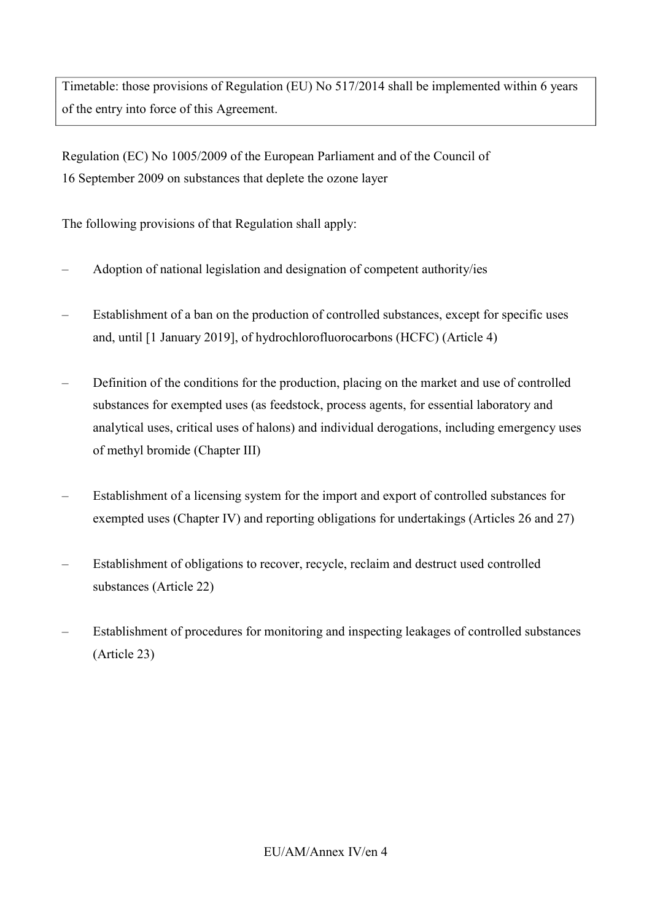Timetable: those provisions of Regulation (EU) No 517/2014 shall be implemented within 6 years of the entry into force of this Agreement.

Regulation (EC) No 1005/2009 of the European Parliament and of the Council of 16 September 2009 on substances that deplete the ozone layer

- Adoption of national legislation and designation of competent authority/ies
- Establishment of a ban on the production of controlled substances, except for specific uses and, until [1 January 2019], of hydrochlorofluorocarbons (HCFC) (Article 4)
- Definition of the conditions for the production, placing on the market and use of controlled substances for exempted uses (as feedstock, process agents, for essential laboratory and analytical uses, critical uses of halons) and individual derogations, including emergency uses of methyl bromide (Chapter III)
- Establishment of a licensing system for the import and export of controlled substances for exempted uses (Chapter IV) and reporting obligations for undertakings (Articles 26 and 27)
- Establishment of obligations to recover, recycle, reclaim and destruct used controlled substances (Article 22)
- Establishment of procedures for monitoring and inspecting leakages of controlled substances (Article 23)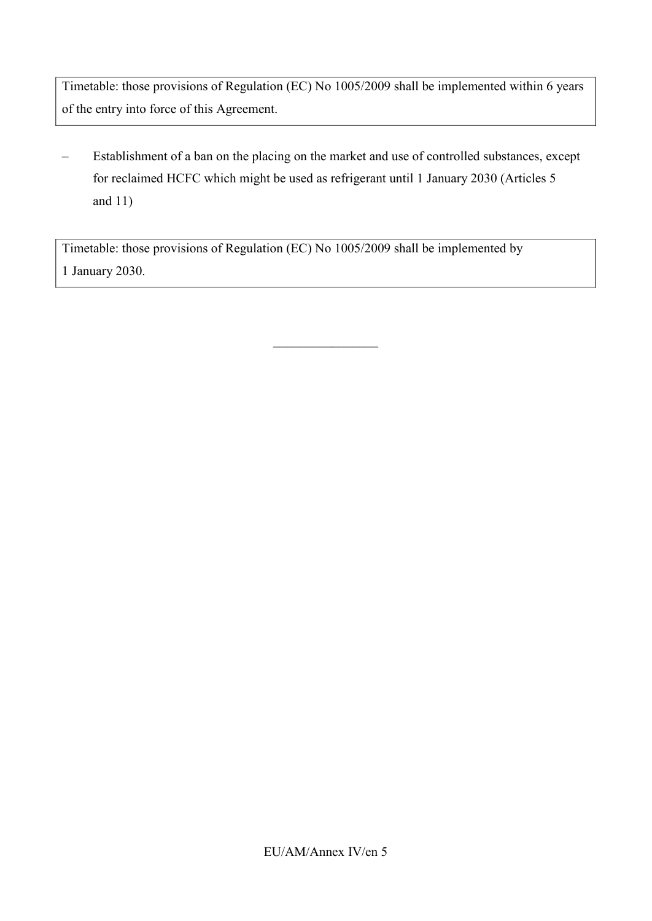Timetable: those provisions of Regulation (EC) No 1005/2009 shall be implemented within 6 years of the entry into force of this Agreement.

– Establishment of a ban on the placing on the market and use of controlled substances, except for reclaimed HCFC which might be used as refrigerant until 1 January 2030 (Articles 5 and 11)

 $\_$ 

Timetable: those provisions of Regulation (EC) No 1005/2009 shall be implemented by 1 January 2030.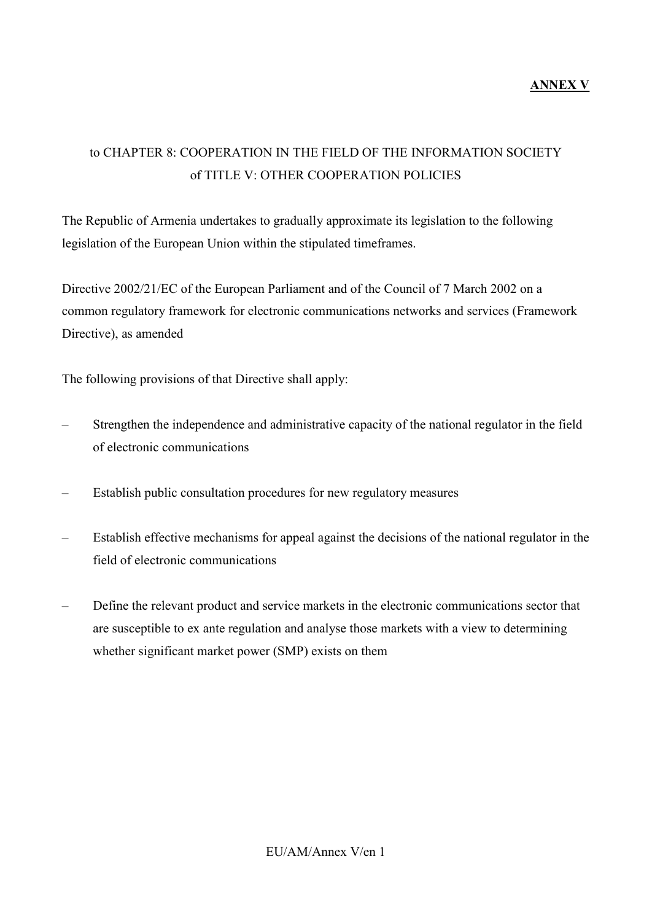# to CHAPTER 8: COOPERATION IN THE FIELD OF THE INFORMATION SOCIETY of TITLE V: OTHER COOPERATION POLICIES

The Republic of Armenia undertakes to gradually approximate its legislation to the following legislation of the European Union within the stipulated timeframes.

Directive 2002/21/EC of the European Parliament and of the Council of 7 March 2002 on a common regulatory framework for electronic communications networks and services (Framework Directive), as amended

The following provisions of that Directive shall apply:

- Strengthen the independence and administrative capacity of the national regulator in the field of electronic communications
- Establish public consultation procedures for new regulatory measures
- Establish effective mechanisms for appeal against the decisions of the national regulator in the field of electronic communications
- Define the relevant product and service markets in the electronic communications sector that are susceptible to ex ante regulation and analyse those markets with a view to determining whether significant market power (SMP) exists on them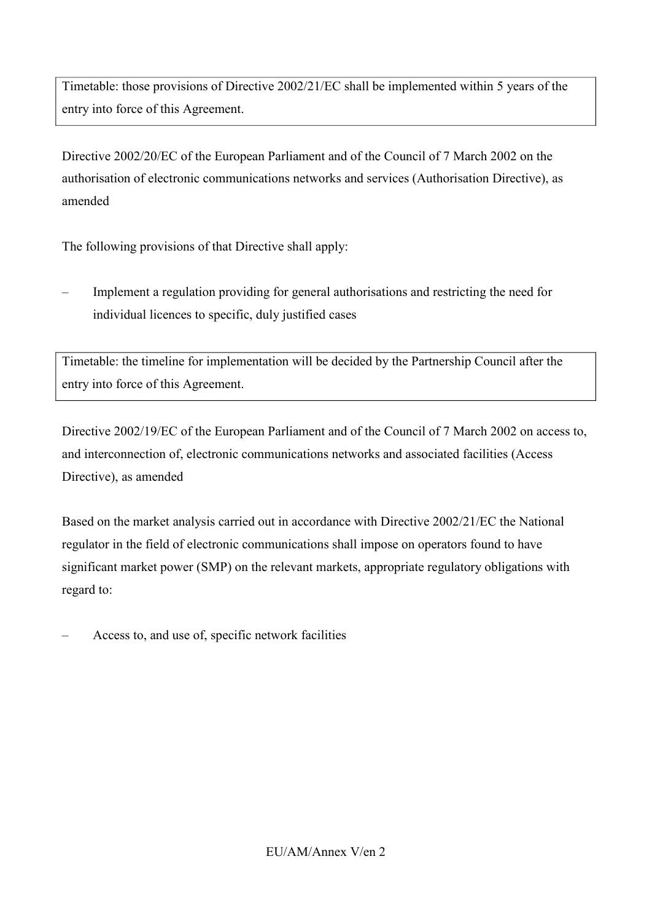Timetable: those provisions of Directive 2002/21/EC shall be implemented within 5 years of the entry into force of this Agreement.

Directive 2002/20/EC of the European Parliament and of the Council of 7 March 2002 on the authorisation of electronic communications networks and services (Authorisation Directive), as amended

The following provisions of that Directive shall apply:

– Implement a regulation providing for general authorisations and restricting the need for individual licences to specific, duly justified cases

Timetable: the timeline for implementation will be decided by the Partnership Council after the entry into force of this Agreement.

Directive 2002/19/EC of the European Parliament and of the Council of 7 March 2002 on access to, and interconnection of, electronic communications networks and associated facilities (Access Directive), as amended

Based on the market analysis carried out in accordance with Directive 2002/21/EC the National regulator in the field of electronic communications shall impose on operators found to have significant market power (SMP) on the relevant markets, appropriate regulatory obligations with regard to:

– Access to, and use of, specific network facilities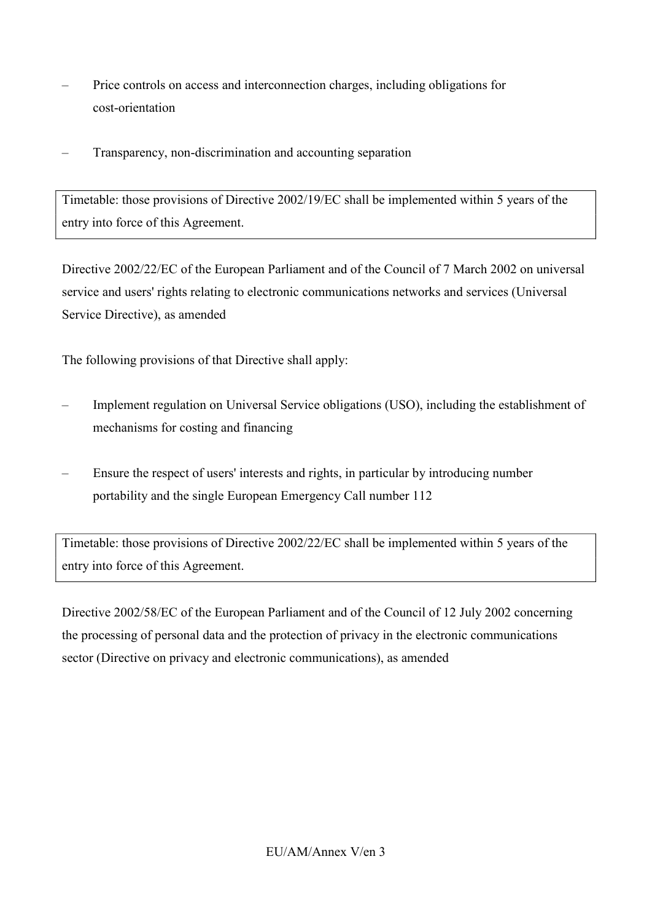- Price controls on access and interconnection charges, including obligations for cost-orientation
- Transparency, non-discrimination and accounting separation

Timetable: those provisions of Directive 2002/19/EC shall be implemented within 5 years of the entry into force of this Agreement.

Directive 2002/22/EC of the European Parliament and of the Council of 7 March 2002 on universal service and users' rights relating to electronic communications networks and services (Universal Service Directive), as amended

The following provisions of that Directive shall apply:

- Implement regulation on Universal Service obligations (USO), including the establishment of mechanisms for costing and financing
- Ensure the respect of users' interests and rights, in particular by introducing number portability and the single European Emergency Call number 112

Timetable: those provisions of Directive 2002/22/EC shall be implemented within 5 years of the entry into force of this Agreement.

Directive 2002/58/EC of the European Parliament and of the Council of 12 July 2002 concerning the processing of personal data and the protection of privacy in the electronic communications sector (Directive on privacy and electronic communications), as amended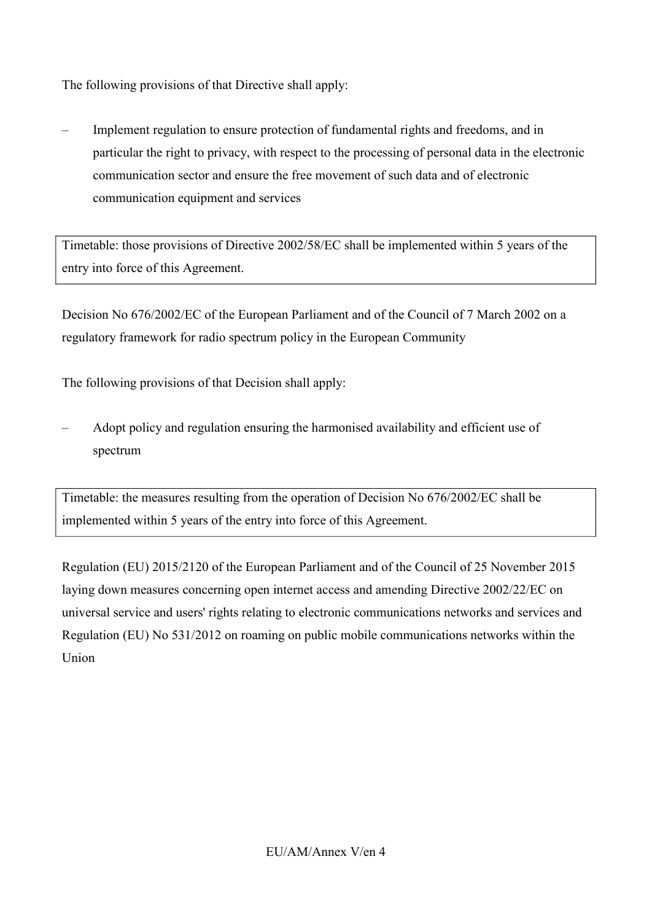The following provisions of that Directive shall apply:

– Implement regulation to ensure protection of fundamental rights and freedoms, and in particular the right to privacy, with respect to the processing of personal data in the electronic communication sector and ensure the free movement of such data and of electronic communication equipment and services

Timetable: those provisions of Directive 2002/58/EC shall be implemented within 5 years of the entry into force of this Agreement.

Decision No 676/2002/EC of the European Parliament and of the Council of 7 March 2002 on a regulatory framework for radio spectrum policy in the European Community

The following provisions of that Decision shall apply:

– Adopt policy and regulation ensuring the harmonised availability and efficient use of spectrum

Timetable: the measures resulting from the operation of Decision No 676/2002/EC shall be implemented within 5 years of the entry into force of this Agreement.

Regulation (EU) 2015/2120 of the European Parliament and of the Council of 25 November 2015 laying down measures concerning open internet access and amending Directive 2002/22/EC on universal service and users' rights relating to electronic communications networks and services and Regulation (EU) No 531/2012 on roaming on public mobile communications networks within the Union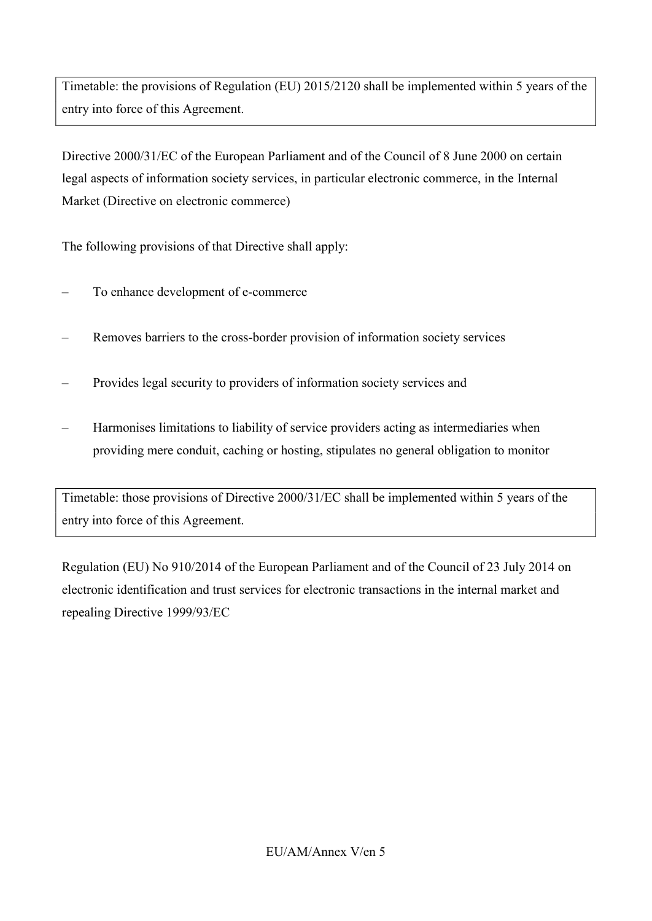Timetable: the provisions of Regulation (EU) 2015/2120 shall be implemented within 5 years of the entry into force of this Agreement.

Directive 2000/31/EC of the European Parliament and of the Council of 8 June 2000 on certain legal aspects of information society services, in particular electronic commerce, in the Internal Market (Directive on electronic commerce)

The following provisions of that Directive shall apply:

- To enhance development of e-commerce
- Removes barriers to the cross-border provision of information society services
- Provides legal security to providers of information society services and
- Harmonises limitations to liability of service providers acting as intermediaries when providing mere conduit, caching or hosting, stipulates no general obligation to monitor

Timetable: those provisions of Directive 2000/31/EC shall be implemented within 5 years of the entry into force of this Agreement.

Regulation (EU) No 910/2014 of the European Parliament and of the Council of 23 July 2014 on electronic identification and trust services for electronic transactions in the internal market and repealing Directive 1999/93/EC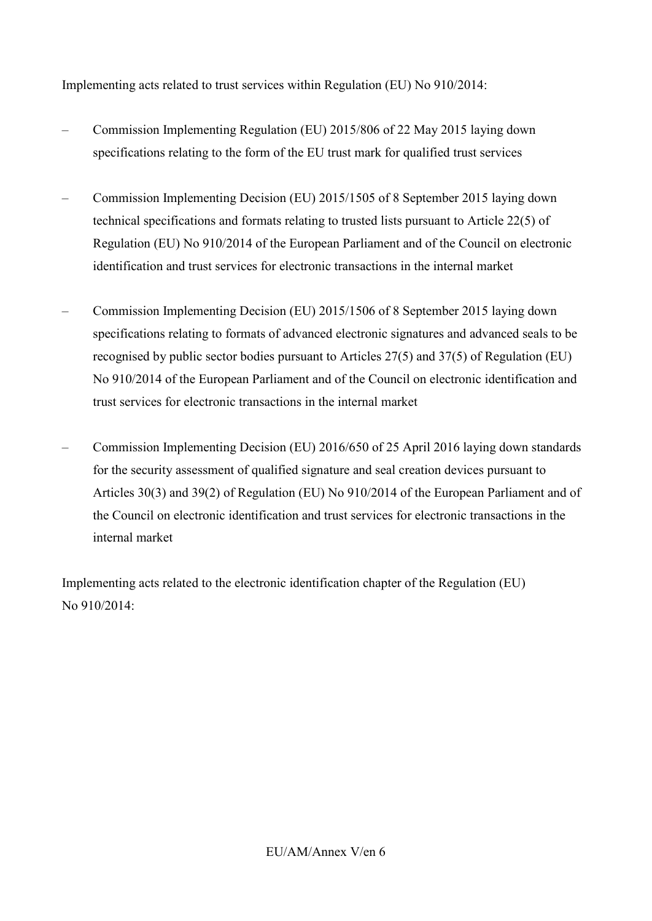Implementing acts related to trust services within Regulation (EU) No 910/2014:

- Commission Implementing Regulation (EU) 2015/806 of 22 May 2015 laying down specifications relating to the form of the EU trust mark for qualified trust services
- Commission Implementing Decision (EU) 2015/1505 of 8 September 2015 laying down technical specifications and formats relating to trusted lists pursuant to Article 22(5) of Regulation (EU) No 910/2014 of the European Parliament and of the Council on electronic identification and trust services for electronic transactions in the internal market
- Commission Implementing Decision (EU) 2015/1506 of 8 September 2015 laying down specifications relating to formats of advanced electronic signatures and advanced seals to be recognised by public sector bodies pursuant to Articles 27(5) and 37(5) of Regulation (EU) No 910/2014 of the European Parliament and of the Council on electronic identification and trust services for electronic transactions in the internal market
- Commission Implementing Decision (EU) 2016/650 of 25 April 2016 laying down standards for the security assessment of qualified signature and seal creation devices pursuant to Articles 30(3) and 39(2) of Regulation (EU) No 910/2014 of the European Parliament and of the Council on electronic identification and trust services for electronic transactions in the internal market

Implementing acts related to the electronic identification chapter of the Regulation (EU) No 910/2014: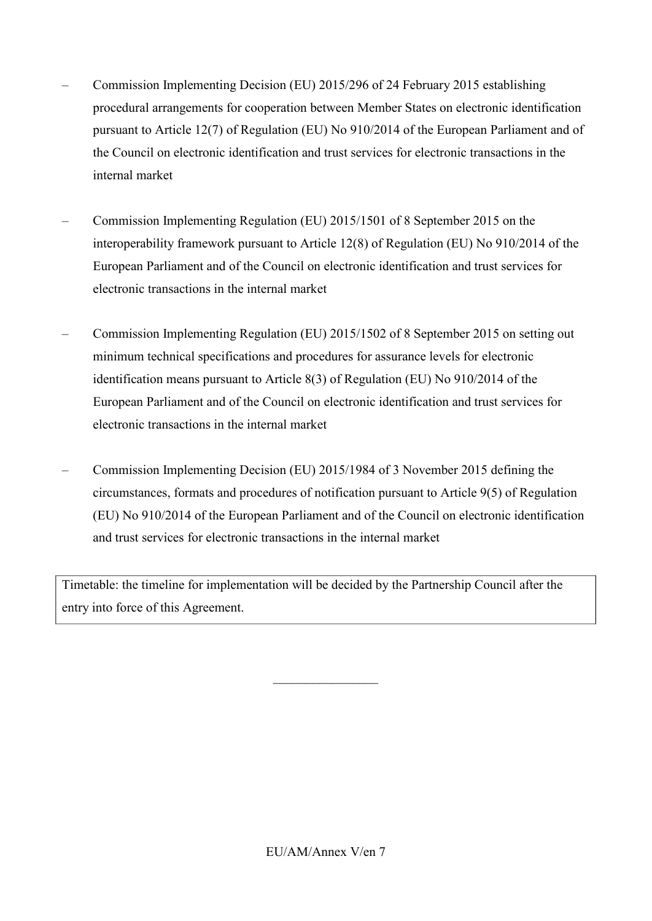- Commission Implementing Decision (EU) 2015/296 of 24 February 2015 establishing procedural arrangements for cooperation between Member States on electronic identification pursuant to Article 12(7) of Regulation (EU) No 910/2014 of the European Parliament and of the Council on electronic identification and trust services for electronic transactions in the internal market
- Commission Implementing Regulation (EU) 2015/1501 of 8 September 2015 on the interoperability framework pursuant to Article 12(8) of Regulation (EU) No 910/2014 of the European Parliament and of the Council on electronic identification and trust services for electronic transactions in the internal market
- Commission Implementing Regulation (EU) 2015/1502 of 8 September 2015 on setting out minimum technical specifications and procedures for assurance levels for electronic identification means pursuant to Article 8(3) of Regulation (EU) No 910/2014 of the European Parliament and of the Council on electronic identification and trust services for electronic transactions in the internal market
- Commission Implementing Decision (EU) 2015/1984 of 3 November 2015 defining the circumstances, formats and procedures of notification pursuant to Article 9(5) of Regulation (EU) No 910/2014 of the European Parliament and of the Council on electronic identification and trust services for electronic transactions in the internal market

Timetable: the timeline for implementation will be decided by the Partnership Council after the entry into force of this Agreement.

 $\_$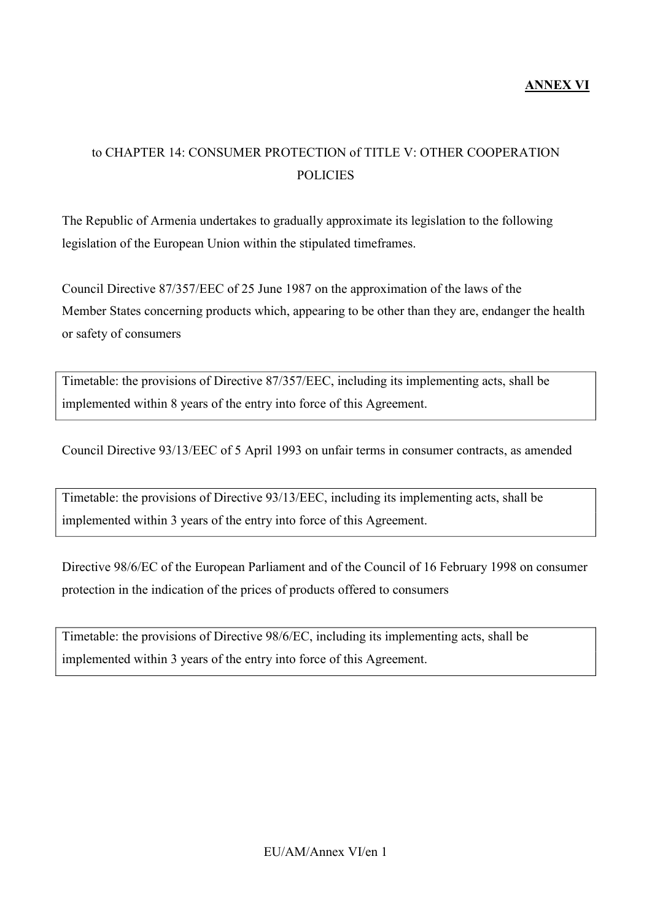## to CHAPTER 14: CONSUMER PROTECTION of TITLE V: OTHER COOPERATION **POLICIES**

The Republic of Armenia undertakes to gradually approximate its legislation to the following legislation of the European Union within the stipulated timeframes.

Council Directive 87/357/EEC of 25 June 1987 on the approximation of the laws of the Member States concerning products which, appearing to be other than they are, endanger the health or safety of consumers

Timetable: the provisions of Directive 87/357/EEC, including its implementing acts, shall be implemented within 8 years of the entry into force of this Agreement.

Council Directive 93/13/EEC of 5 April 1993 on unfair terms in consumer contracts, as amended

Timetable: the provisions of Directive 93/13/EEC, including its implementing acts, shall be implemented within 3 years of the entry into force of this Agreement.

Directive 98/6/EC of the European Parliament and of the Council of 16 February 1998 on consumer protection in the indication of the prices of products offered to consumers

Timetable: the provisions of Directive 98/6/EC, including its implementing acts, shall be implemented within 3 years of the entry into force of this Agreement.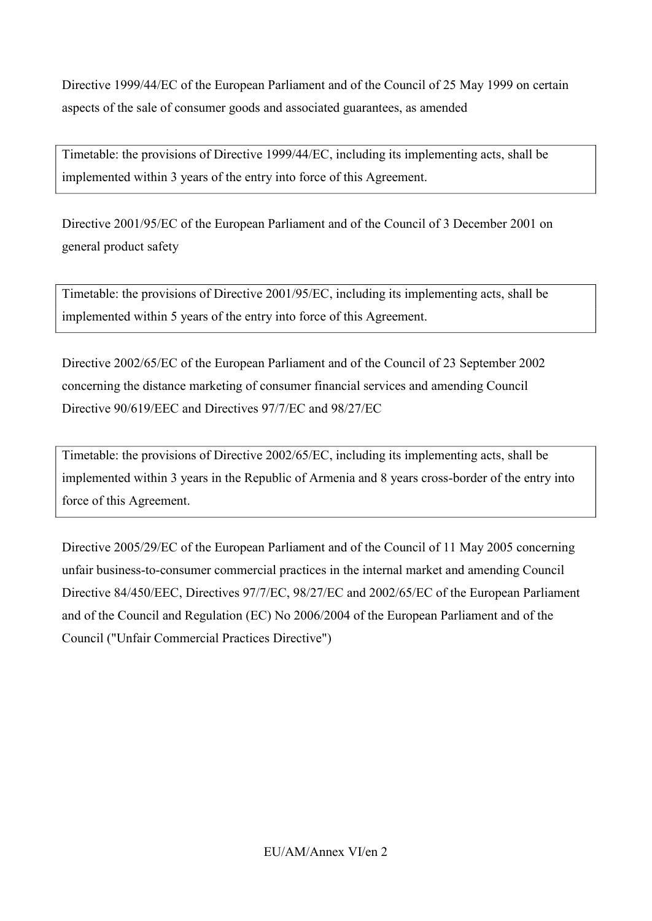Directive 1999/44/EC of the European Parliament and of the Council of 25 May 1999 on certain aspects of the sale of consumer goods and associated guarantees, as amended

Timetable: the provisions of Directive 1999/44/EC, including its implementing acts, shall be implemented within 3 years of the entry into force of this Agreement.

Directive 2001/95/EC of the European Parliament and of the Council of 3 December 2001 on general product safety

Timetable: the provisions of Directive 2001/95/EC, including its implementing acts, shall be implemented within 5 years of the entry into force of this Agreement.

Directive 2002/65/EC of the European Parliament and of the Council of 23 September 2002 concerning the distance marketing of consumer financial services and amending Council Directive 90/619/EEC and Directives 97/7/EC and 98/27/EC

Timetable: the provisions of Directive 2002/65/EC, including its implementing acts, shall be implemented within 3 years in the Republic of Armenia and 8 years cross-border of the entry into force of this Agreement.

Directive 2005/29/EC of the European Parliament and of the Council of 11 May 2005 concerning unfair business-to-consumer commercial practices in the internal market and amending Council Directive 84/450/EEC, Directives 97/7/EC, 98/27/EC and 2002/65/EC of the European Parliament and of the Council and Regulation (EC) No 2006/2004 of the European Parliament and of the Council ("Unfair Commercial Practices Directive")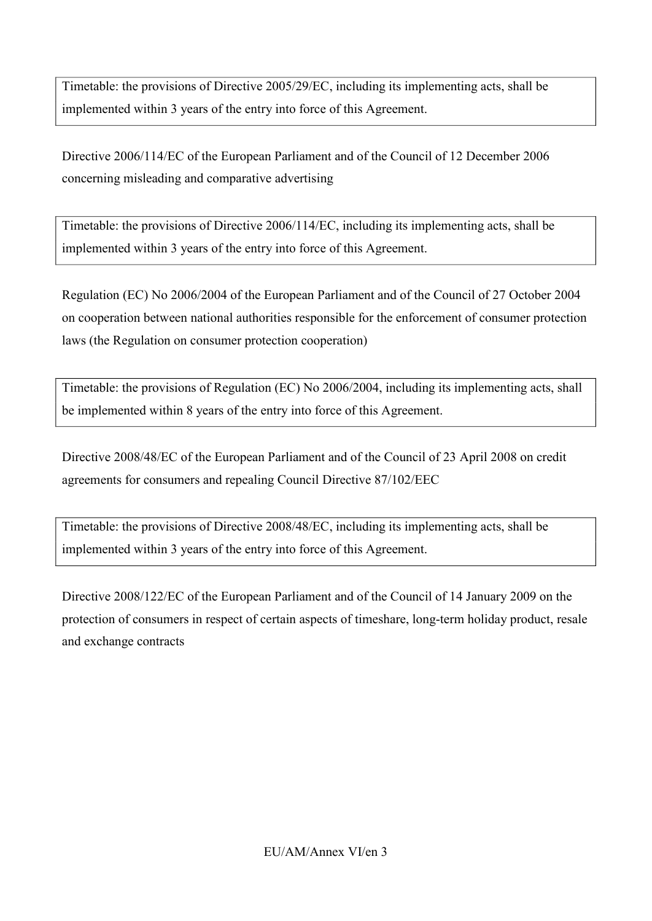Timetable: the provisions of Directive 2005/29/EC, including its implementing acts, shall be implemented within 3 years of the entry into force of this Agreement.

Directive 2006/114/EC of the European Parliament and of the Council of 12 December 2006 concerning misleading and comparative advertising

Timetable: the provisions of Directive 2006/114/EC, including its implementing acts, shall be implemented within 3 years of the entry into force of this Agreement.

Regulation (EC) No 2006/2004 of the European Parliament and of the Council of 27 October 2004 on cooperation between national authorities responsible for the enforcement of consumer protection laws (the Regulation on consumer protection cooperation)

Timetable: the provisions of Regulation (EC) No 2006/2004, including its implementing acts, shall be implemented within 8 years of the entry into force of this Agreement.

Directive 2008/48/EC of the European Parliament and of the Council of 23 April 2008 on credit agreements for consumers and repealing Council Directive 87/102/EEC

Timetable: the provisions of Directive 2008/48/EC, including its implementing acts, shall be implemented within 3 years of the entry into force of this Agreement.

Directive 2008/122/EC of the European Parliament and of the Council of 14 January 2009 on the protection of consumers in respect of certain aspects of timeshare, long-term holiday product, resale and exchange contracts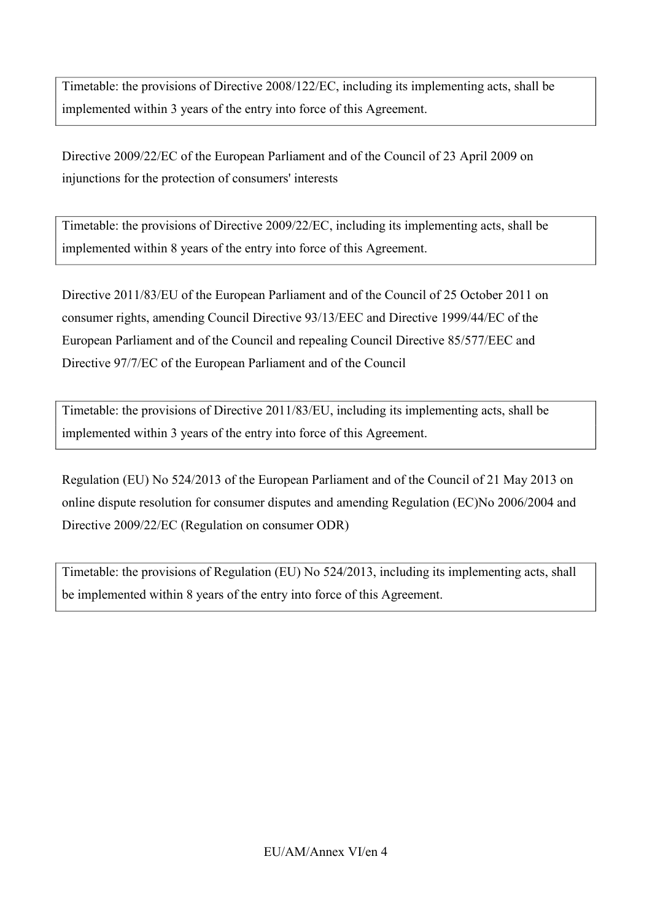Timetable: the provisions of Directive 2008/122/EC, including its implementing acts, shall be implemented within 3 years of the entry into force of this Agreement.

Directive 2009/22/EC of the European Parliament and of the Council of 23 April 2009 on injunctions for the protection of consumers' interests

Timetable: the provisions of Directive 2009/22/EC, including its implementing acts, shall be implemented within 8 years of the entry into force of this Agreement.

Directive 2011/83/EU of the European Parliament and of the Council of 25 October 2011 on consumer rights, amending Council Directive 93/13/EEC and Directive 1999/44/EC of the European Parliament and of the Council and repealing Council Directive 85/577/EEC and Directive 97/7/EC of the European Parliament and of the Council

Timetable: the provisions of Directive 2011/83/EU, including its implementing acts, shall be implemented within 3 years of the entry into force of this Agreement.

Regulation (EU) No 524/2013 of the European Parliament and of the Council of 21 May 2013 on online dispute resolution for consumer disputes and amending Regulation (EC)No 2006/2004 and Directive 2009/22/EC (Regulation on consumer ODR)

Timetable: the provisions of Regulation (EU) No 524/2013, including its implementing acts, shall be implemented within 8 years of the entry into force of this Agreement.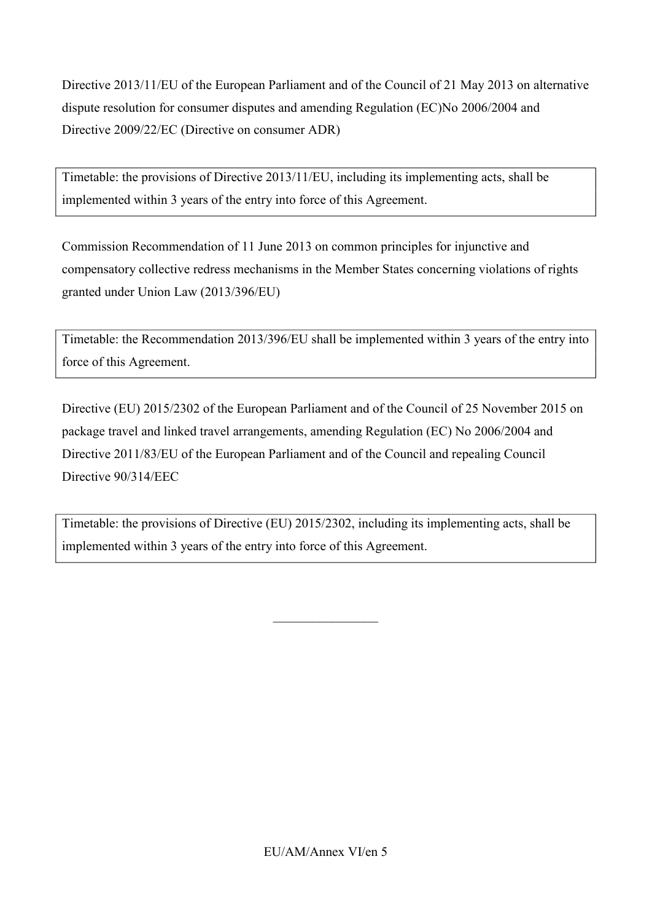Directive 2013/11/EU of the European Parliament and of the Council of 21 May 2013 on alternative dispute resolution for consumer disputes and amending Regulation (EC)No 2006/2004 and Directive 2009/22/EC (Directive on consumer ADR)

Timetable: the provisions of Directive 2013/11/EU, including its implementing acts, shall be implemented within 3 years of the entry into force of this Agreement.

Commission Recommendation of 11 June 2013 on common principles for injunctive and compensatory collective redress mechanisms in the Member States concerning violations of rights granted under Union Law (2013/396/EU)

Timetable: the Recommendation 2013/396/EU shall be implemented within 3 years of the entry into force of this Agreement.

Directive (EU) 2015/2302 of the European Parliament and of the Council of 25 November 2015 on package travel and linked travel arrangements, amending Regulation (EC) No 2006/2004 and Directive 2011/83/EU of the European Parliament and of the Council and repealing Council Directive 90/314/EEC

Timetable: the provisions of Directive (EU) 2015/2302, including its implementing acts, shall be implemented within 3 years of the entry into force of this Agreement.

 $\overline{\phantom{a}}$  , where  $\overline{\phantom{a}}$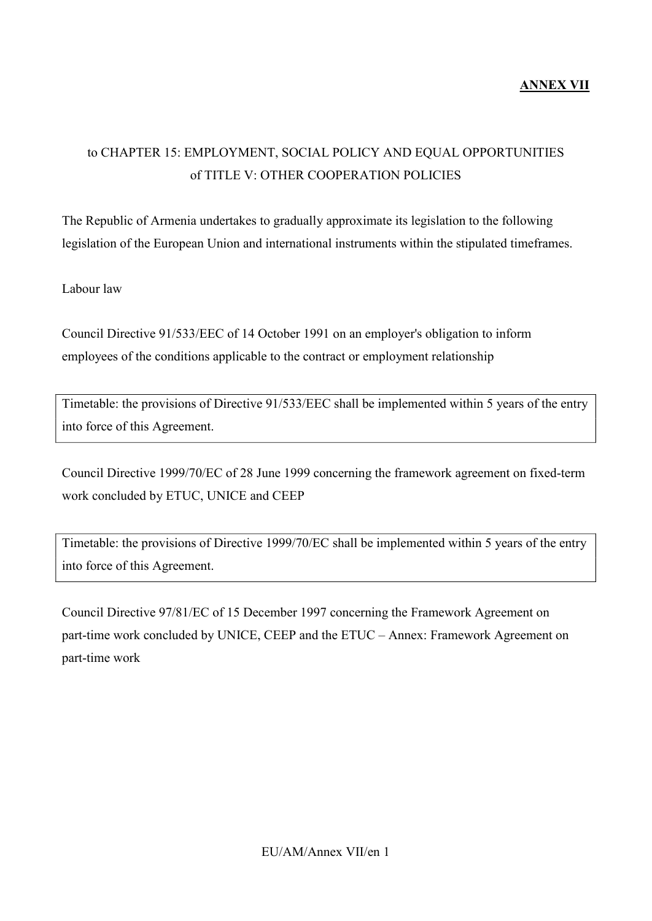#### **ANNEX VII**

## to CHAPTER 15: EMPLOYMENT, SOCIAL POLICY AND EQUAL OPPORTUNITIES of TITLE V: OTHER COOPERATION POLICIES

The Republic of Armenia undertakes to gradually approximate its legislation to the following legislation of the European Union and international instruments within the stipulated timeframes.

Labour law

Council Directive 91/533/EEC of 14 October 1991 on an employer's obligation to inform employees of the conditions applicable to the contract or employment relationship

Timetable: the provisions of Directive 91/533/EEC shall be implemented within 5 years of the entry into force of this Agreement.

Council Directive 1999/70/EC of 28 June 1999 concerning the framework agreement on fixed-term work concluded by ETUC, UNICE and CEEP

Timetable: the provisions of Directive 1999/70/EC shall be implemented within 5 years of the entry into force of this Agreement.

Council Directive 97/81/EC of 15 December 1997 concerning the Framework Agreement on part-time work concluded by UNICE, CEEP and the ETUC – Annex: Framework Agreement on part-time work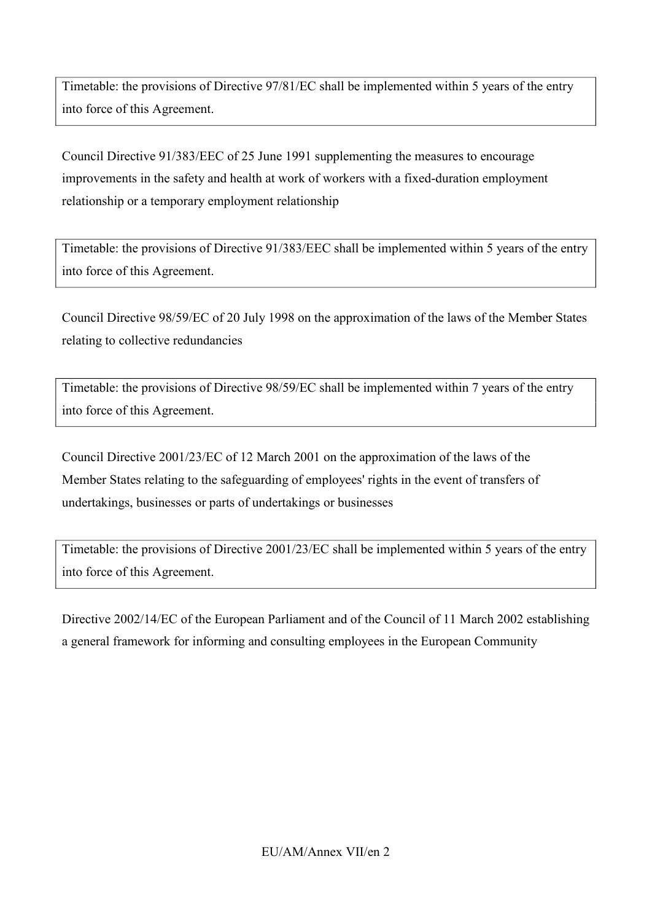Timetable: the provisions of Directive 97/81/EC shall be implemented within 5 years of the entry into force of this Agreement.

Council Directive 91/383/EEC of 25 June 1991 supplementing the measures to encourage improvements in the safety and health at work of workers with a fixed-duration employment relationship or a temporary employment relationship

Timetable: the provisions of Directive 91/383/EEC shall be implemented within 5 years of the entry into force of this Agreement.

Council Directive 98/59/EC of 20 July 1998 on the approximation of the laws of the Member States relating to collective redundancies

Timetable: the provisions of Directive 98/59/EC shall be implemented within 7 years of the entry into force of this Agreement.

Council Directive 2001/23/EC of 12 March 2001 on the approximation of the laws of the Member States relating to the safeguarding of employees' rights in the event of transfers of undertakings, businesses or parts of undertakings or businesses

Timetable: the provisions of Directive 2001/23/EC shall be implemented within 5 years of the entry into force of this Agreement.

Directive 2002/14/EC of the European Parliament and of the Council of 11 March 2002 establishing a general framework for informing and consulting employees in the European Community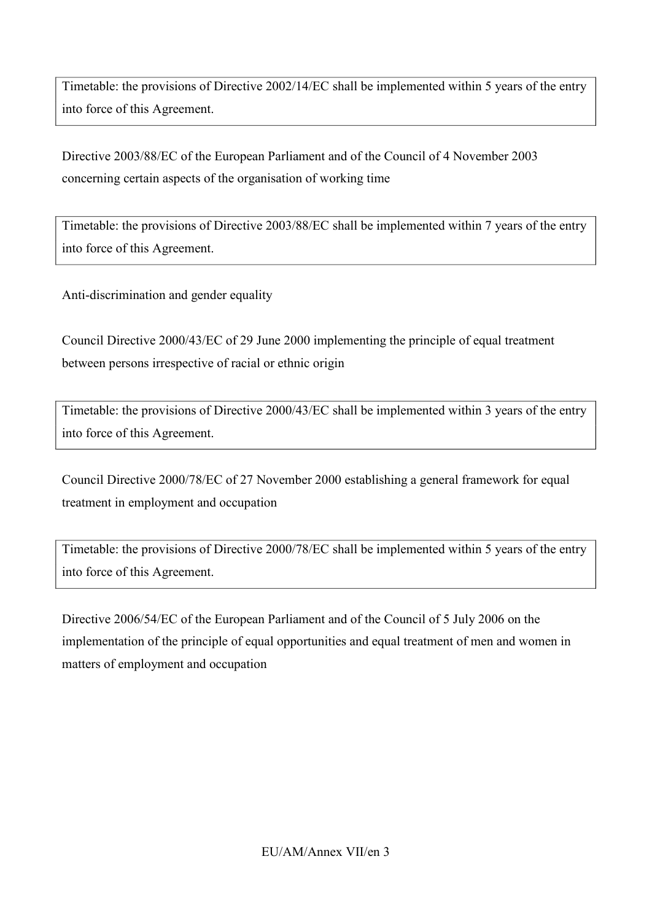Timetable: the provisions of Directive 2002/14/EC shall be implemented within 5 years of the entry into force of this Agreement.

Directive 2003/88/EC of the European Parliament and of the Council of 4 November 2003 concerning certain aspects of the organisation of working time

Timetable: the provisions of Directive 2003/88/EC shall be implemented within 7 years of the entry into force of this Agreement.

Anti-discrimination and gender equality

Council Directive 2000/43/EC of 29 June 2000 implementing the principle of equal treatment between persons irrespective of racial or ethnic origin

Timetable: the provisions of Directive 2000/43/EC shall be implemented within 3 years of the entry into force of this Agreement.

Council Directive 2000/78/EC of 27 November 2000 establishing a general framework for equal treatment in employment and occupation

Timetable: the provisions of Directive 2000/78/EC shall be implemented within 5 years of the entry into force of this Agreement.

Directive 2006/54/EC of the European Parliament and of the Council of 5 July 2006 on the implementation of the principle of equal opportunities and equal treatment of men and women in matters of employment and occupation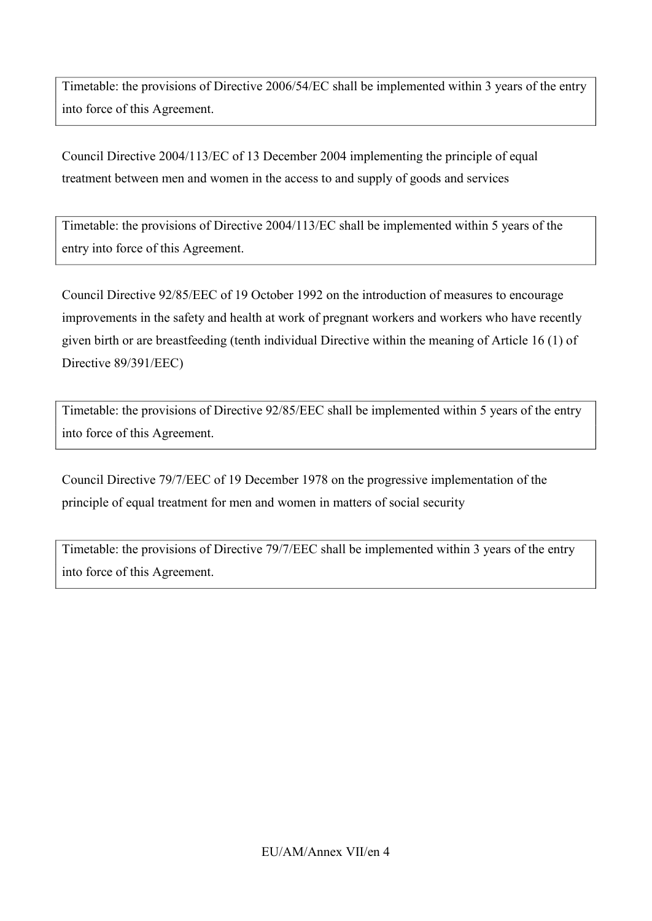Timetable: the provisions of Directive 2006/54/EC shall be implemented within 3 years of the entry into force of this Agreement.

Council Directive 2004/113/EC of 13 December 2004 implementing the principle of equal treatment between men and women in the access to and supply of goods and services

Timetable: the provisions of Directive 2004/113/EC shall be implemented within 5 years of the entry into force of this Agreement.

Council Directive 92/85/EEC of 19 October 1992 on the introduction of measures to encourage improvements in the safety and health at work of pregnant workers and workers who have recently given birth or are breastfeeding (tenth individual Directive within the meaning of Article 16 (1) of Directive 89/391/EEC)

Timetable: the provisions of Directive 92/85/EEC shall be implemented within 5 years of the entry into force of this Agreement.

Council Directive 79/7/EEC of 19 December 1978 on the progressive implementation of the principle of equal treatment for men and women in matters of social security

Timetable: the provisions of Directive 79/7/EEC shall be implemented within 3 years of the entry into force of this Agreement.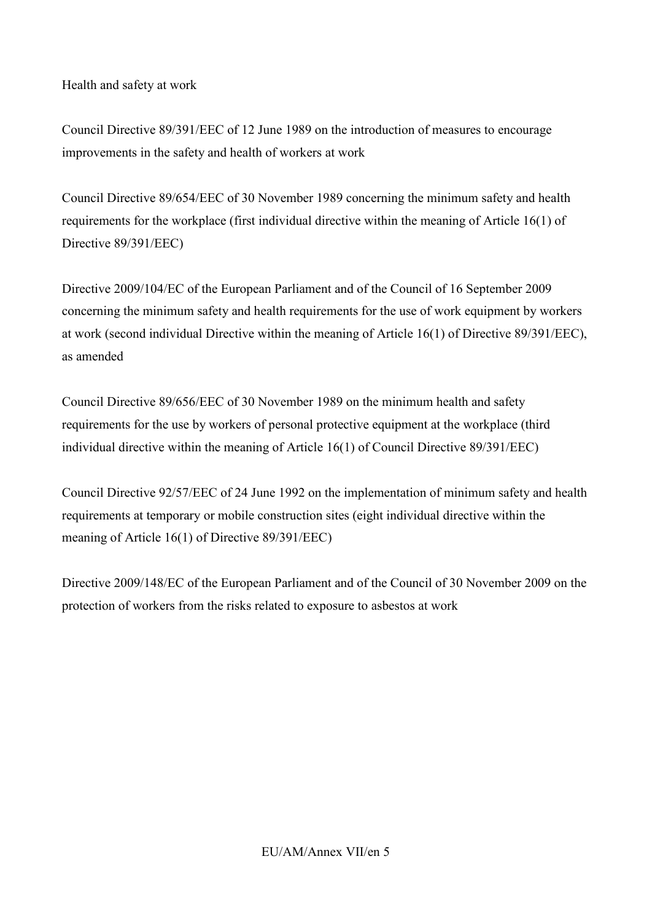Health and safety at work

Council Directive 89/391/EEC of 12 June 1989 on the introduction of measures to encourage improvements in the safety and health of workers at work

Council Directive 89/654/EEC of 30 November 1989 concerning the minimum safety and health requirements for the workplace (first individual directive within the meaning of Article 16(1) of Directive 89/391/EEC)

Directive 2009/104/EC of the European Parliament and of the Council of 16 September 2009 concerning the minimum safety and health requirements for the use of work equipment by workers at work (second individual Directive within the meaning of Article 16(1) of Directive 89/391/EEC), as amended

Council Directive 89/656/EEC of 30 November 1989 on the minimum health and safety requirements for the use by workers of personal protective equipment at the workplace (third individual directive within the meaning of Article 16(1) of Council Directive 89/391/EEC)

Council Directive 92/57/EEC of 24 June 1992 on the implementation of minimum safety and health requirements at temporary or mobile construction sites (eight individual directive within the meaning of Article 16(1) of Directive 89/391/EEC)

Directive 2009/148/EC of the European Parliament and of the Council of 30 November 2009 on the protection of workers from the risks related to exposure to asbestos at work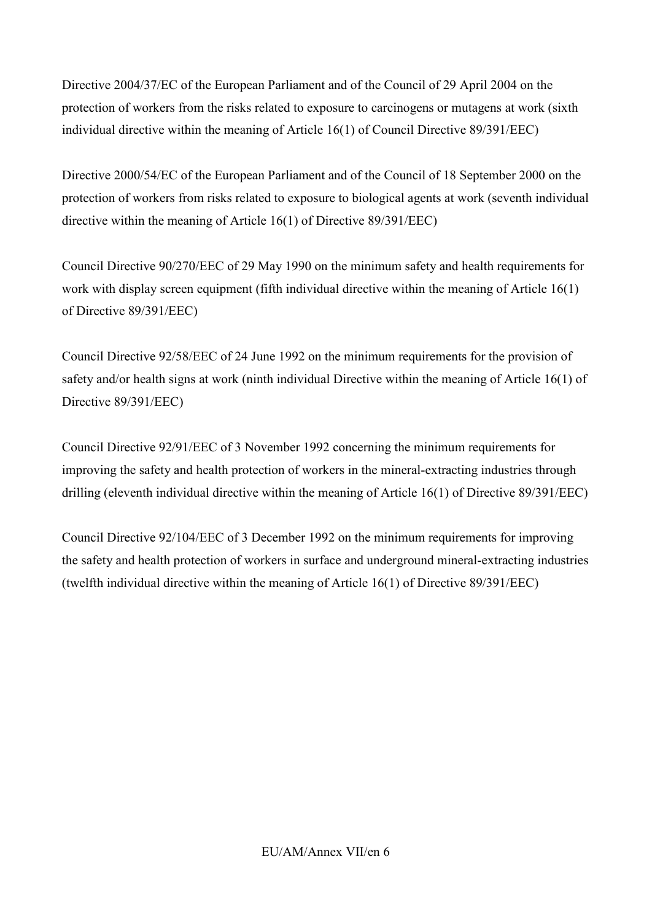Directive 2004/37/EC of the European Parliament and of the Council of 29 April 2004 on the protection of workers from the risks related to exposure to carcinogens or mutagens at work (sixth individual directive within the meaning of Article 16(1) of Council Directive 89/391/EEC)

Directive 2000/54/EC of the European Parliament and of the Council of 18 September 2000 on the protection of workers from risks related to exposure to biological agents at work (seventh individual directive within the meaning of Article 16(1) of Directive 89/391/EEC)

Council Directive 90/270/EEC of 29 May 1990 on the minimum safety and health requirements for work with display screen equipment (fifth individual directive within the meaning of Article 16(1) of Directive 89/391/EEC)

Council Directive 92/58/EEC of 24 June 1992 on the minimum requirements for the provision of safety and/or health signs at work (ninth individual Directive within the meaning of Article 16(1) of Directive 89/391/EEC)

Council Directive 92/91/EEC of 3 November 1992 concerning the minimum requirements for improving the safety and health protection of workers in the mineral-extracting industries through drilling (eleventh individual directive within the meaning of Article 16(1) of Directive 89/391/EEC)

Council Directive 92/104/EEC of 3 December 1992 on the minimum requirements for improving the safety and health protection of workers in surface and underground mineral-extracting industries (twelfth individual directive within the meaning of Article 16(1) of Directive 89/391/EEC)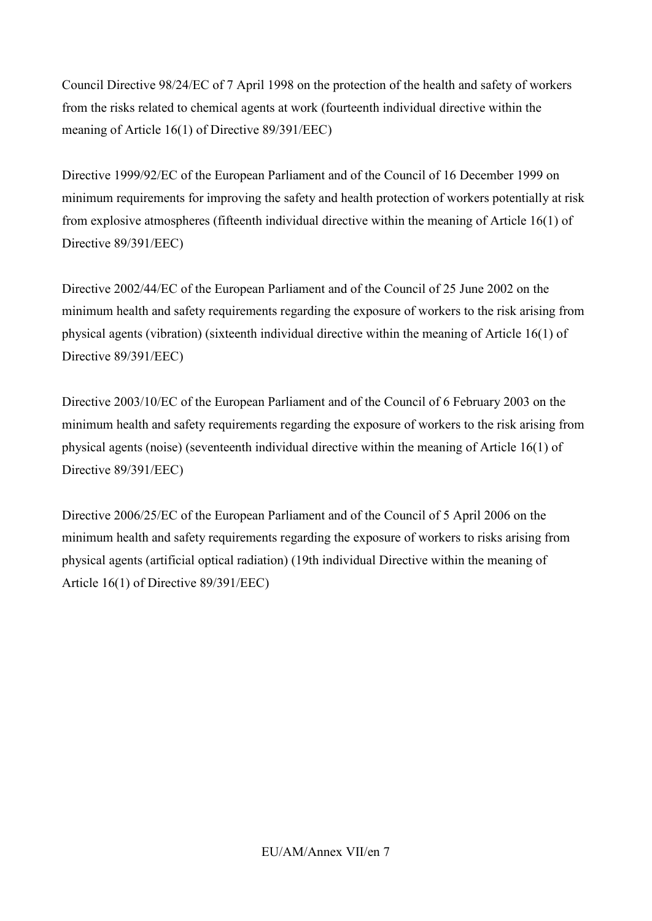Council Directive 98/24/EC of 7 April 1998 on the protection of the health and safety of workers from the risks related to chemical agents at work (fourteenth individual directive within the meaning of Article 16(1) of Directive 89/391/EEC)

Directive 1999/92/EC of the European Parliament and of the Council of 16 December 1999 on minimum requirements for improving the safety and health protection of workers potentially at risk from explosive atmospheres (fifteenth individual directive within the meaning of Article 16(1) of Directive 89/391/EEC)

Directive 2002/44/EC of the European Parliament and of the Council of 25 June 2002 on the minimum health and safety requirements regarding the exposure of workers to the risk arising from physical agents (vibration) (sixteenth individual directive within the meaning of Article 16(1) of Directive 89/391/EEC)

Directive 2003/10/EC of the European Parliament and of the Council of 6 February 2003 on the minimum health and safety requirements regarding the exposure of workers to the risk arising from physical agents (noise) (seventeenth individual directive within the meaning of Article 16(1) of Directive 89/391/EEC)

Directive 2006/25/EC of the European Parliament and of the Council of 5 April 2006 on the minimum health and safety requirements regarding the exposure of workers to risks arising from physical agents (artificial optical radiation) (19th individual Directive within the meaning of Article 16(1) of Directive 89/391/EEC)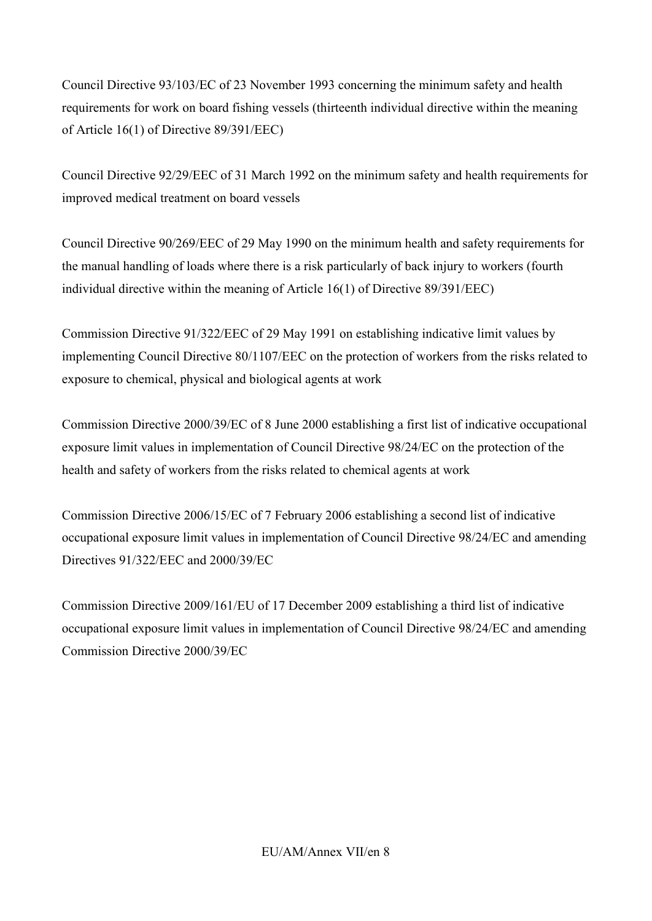Council Directive 93/103/EC of 23 November 1993 concerning the minimum safety and health requirements for work on board fishing vessels (thirteenth individual directive within the meaning of Article 16(1) of Directive 89/391/EEC)

Council Directive 92/29/EEC of 31 March 1992 on the minimum safety and health requirements for improved medical treatment on board vessels

Council Directive 90/269/EEC of 29 May 1990 on the minimum health and safety requirements for the manual handling of loads where there is a risk particularly of back injury to workers (fourth individual directive within the meaning of Article 16(1) of Directive 89/391/EEC)

Commission Directive 91/322/EEC of 29 May 1991 on establishing indicative limit values by implementing Council Directive 80/1107/EEC on the protection of workers from the risks related to exposure to chemical, physical and biological agents at work

Commission Directive 2000/39/EC of 8 June 2000 establishing a first list of indicative occupational exposure limit values in implementation of Council Directive 98/24/EC on the protection of the health and safety of workers from the risks related to chemical agents at work

Commission Directive 2006/15/EC of 7 February 2006 establishing a second list of indicative occupational exposure limit values in implementation of Council Directive 98/24/EC and amending Directives 91/322/EEC and 2000/39/EC

Commission Directive 2009/161/EU of 17 December 2009 establishing a third list of indicative occupational exposure limit values in implementation of Council Directive 98/24/EC and amending Commission Directive 2000/39/EC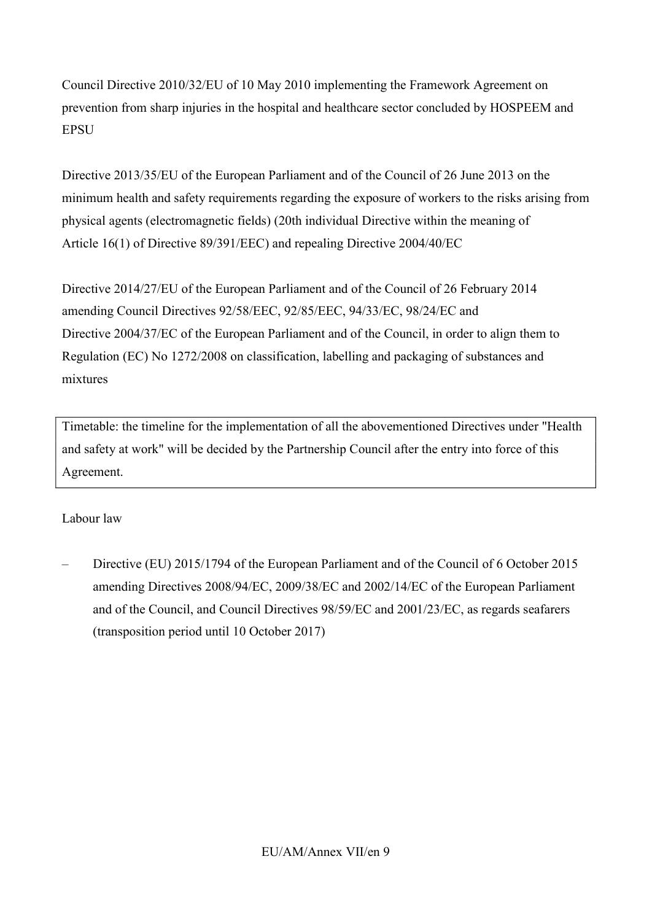Council Directive 2010/32/EU of 10 May 2010 implementing the Framework Agreement on prevention from sharp injuries in the hospital and healthcare sector concluded by HOSPEEM and **EPSU** 

Directive 2013/35/EU of the European Parliament and of the Council of 26 June 2013 on the minimum health and safety requirements regarding the exposure of workers to the risks arising from physical agents (electromagnetic fields) (20th individual Directive within the meaning of Article 16(1) of Directive 89/391/EEC) and repealing Directive 2004/40/EC

Directive 2014/27/EU of the European Parliament and of the Council of 26 February 2014 amending Council Directives 92/58/EEC, 92/85/EEC, 94/33/EC, 98/24/EC and Directive 2004/37/EC of the European Parliament and of the Council, in order to align them to Regulation (EC) No 1272/2008 on classification, labelling and packaging of substances and mixtures

Timetable: the timeline for the implementation of all the abovementioned Directives under "Health and safety at work" will be decided by the Partnership Council after the entry into force of this Agreement.

### Labour law

– Directive (EU) 2015/1794 of the European Parliament and of the Council of 6 October 2015 amending Directives 2008/94/EC, 2009/38/EC and 2002/14/EC of the European Parliament and of the Council, and Council Directives 98/59/EC and 2001/23/EC, as regards seafarers (transposition period until 10 October 2017)